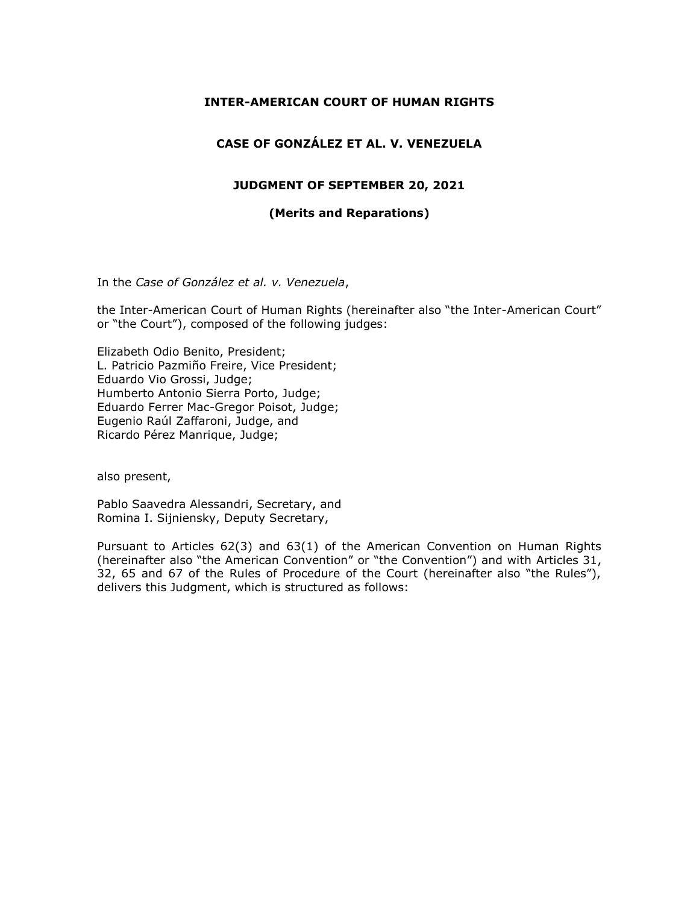#### **INTER-AMERICAN COURT OF HUMAN RIGHTS**

# **CASE OF GONZÁLEZ ET AL. V. VENEZUELA**

#### **JUDGMENT OF SEPTEMBER 20, 2021**

#### **(Merits and Reparations)**

In the *Case of González et al. v. Venezuela*,

the Inter-American Court of Human Rights (hereinafter also "the Inter-American Court" or "the Court"), composed of the following judges:

Elizabeth Odio Benito, President; L. Patricio Pazmiño Freire, Vice President; Eduardo Vio Grossi, Judge; Humberto Antonio Sierra Porto, Judge; Eduardo Ferrer Mac-Gregor Poisot, Judge; Eugenio Raúl Zaffaroni, Judge, and Ricardo Pérez Manrique, Judge;

also present,

Pablo Saavedra Alessandri, Secretary, and Romina I. Sijniensky, Deputy Secretary,

Pursuant to Articles 62(3) and 63(1) of the American Convention on Human Rights (hereinafter also "the American Convention" or "the Convention") and with Articles 31, 32, 65 and 67 of the Rules of Procedure of the Court (hereinafter also "the Rules"), delivers this Judgment, which is structured as follows: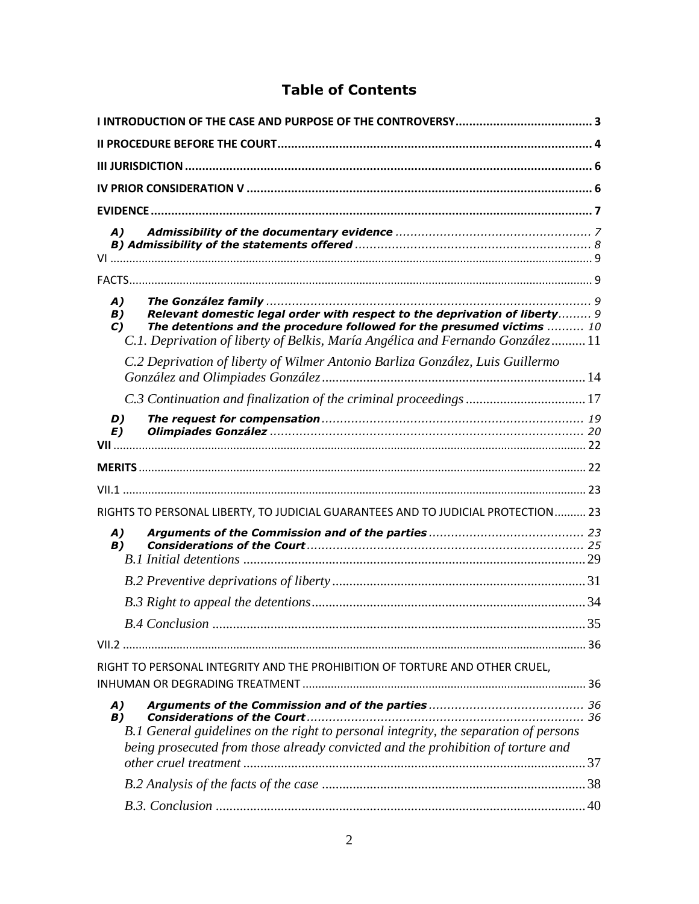# **Table of Contents**

| A)                                                                                                                                                                                                                                                                        |    |
|---------------------------------------------------------------------------------------------------------------------------------------------------------------------------------------------------------------------------------------------------------------------------|----|
|                                                                                                                                                                                                                                                                           |    |
| A)<br>Relevant domestic legal order with respect to the deprivation of liberty 9<br><b>B</b> )<br>The detentions and the procedure followed for the presumed victims  10<br>$\mathbf{C}$<br>C.1. Deprivation of liberty of Belkis, María Angélica and Fernando González11 |    |
| C.2 Deprivation of liberty of Wilmer Antonio Barliza González, Luis Guillermo                                                                                                                                                                                             |    |
|                                                                                                                                                                                                                                                                           |    |
| D)<br>E)                                                                                                                                                                                                                                                                  |    |
|                                                                                                                                                                                                                                                                           |    |
|                                                                                                                                                                                                                                                                           |    |
| RIGHTS TO PERSONAL LIBERTY, TO JUDICIAL GUARANTEES AND TO JUDICIAL PROTECTION 23                                                                                                                                                                                          |    |
| A)<br>B)                                                                                                                                                                                                                                                                  |    |
|                                                                                                                                                                                                                                                                           |    |
|                                                                                                                                                                                                                                                                           |    |
|                                                                                                                                                                                                                                                                           | 35 |
|                                                                                                                                                                                                                                                                           |    |
| RIGHT TO PERSONAL INTEGRITY AND THE PROHIBITION OF TORTURE AND OTHER CRUEL,                                                                                                                                                                                               |    |
| A)<br>B)<br>B.1 General guidelines on the right to personal integrity, the separation of persons<br>being prosecuted from those already convicted and the prohibition of torture and                                                                                      |    |
|                                                                                                                                                                                                                                                                           |    |
|                                                                                                                                                                                                                                                                           |    |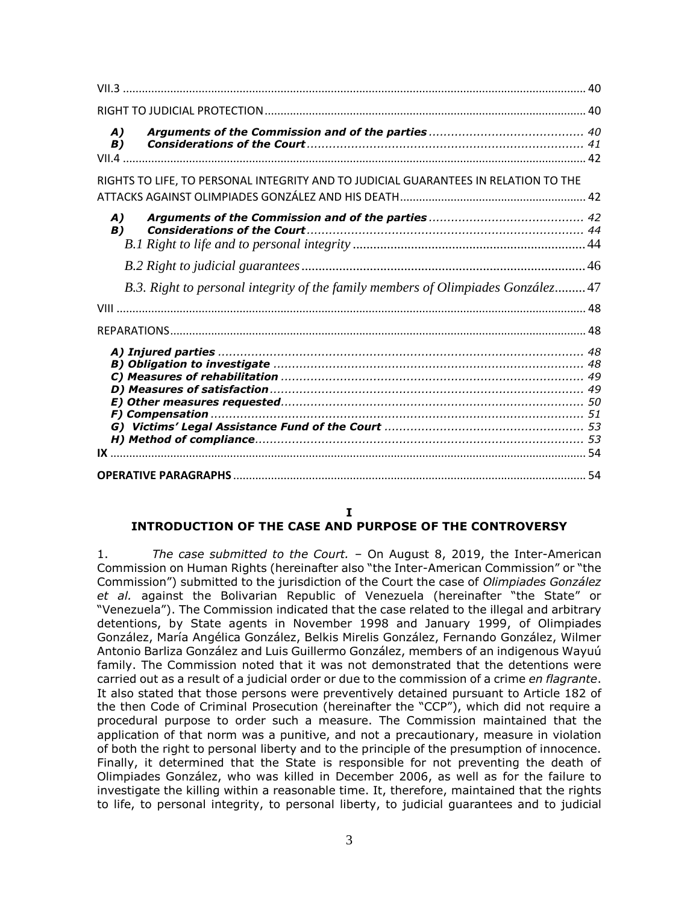| A)<br>B)                                                                            |  |
|-------------------------------------------------------------------------------------|--|
| RIGHTS TO LIFE, TO PERSONAL INTEGRITY AND TO JUDICIAL GUARANTEES IN RELATION TO THE |  |
|                                                                                     |  |
| A)<br>B)                                                                            |  |
|                                                                                     |  |
|                                                                                     |  |
| B.3. Right to personal integrity of the family members of Olimpiades González 47    |  |
|                                                                                     |  |
|                                                                                     |  |
|                                                                                     |  |
|                                                                                     |  |

#### **I**

#### <span id="page-2-0"></span>**INTRODUCTION OF THE CASE AND PURPOSE OF THE CONTROVERSY**

1. *The case submitted to the Court. –* On August 8, 2019, the Inter-American Commission on Human Rights (hereinafter also "the Inter-American Commission" or "the Commission") submitted to the jurisdiction of the Court the case of *Olimpiades González et al.* against the Bolivarian Republic of Venezuela (hereinafter "the State" or "Venezuela"). The Commission indicated that the case related to the illegal and arbitrary detentions, by State agents in November 1998 and January 1999, of Olimpiades González, María Angélica González, Belkis Mirelis González, Fernando González, Wilmer Antonio Barliza González and Luis Guillermo González, members of an indigenous Wayuú family. The Commission noted that it was not demonstrated that the detentions were carried out as a result of a judicial order or due to the commission of a crime *en flagrante*. It also stated that those persons were preventively detained pursuant to Article 182 of the then Code of Criminal Prosecution (hereinafter the "CCP"), which did not require a procedural purpose to order such a measure. The Commission maintained that the application of that norm was a punitive, and not a precautionary, measure in violation of both the right to personal liberty and to the principle of the presumption of innocence. Finally, it determined that the State is responsible for not preventing the death of Olimpiades González, who was killed in December 2006, as well as for the failure to investigate the killing within a reasonable time. It, therefore, maintained that the rights to life, to personal integrity, to personal liberty, to judicial guarantees and to judicial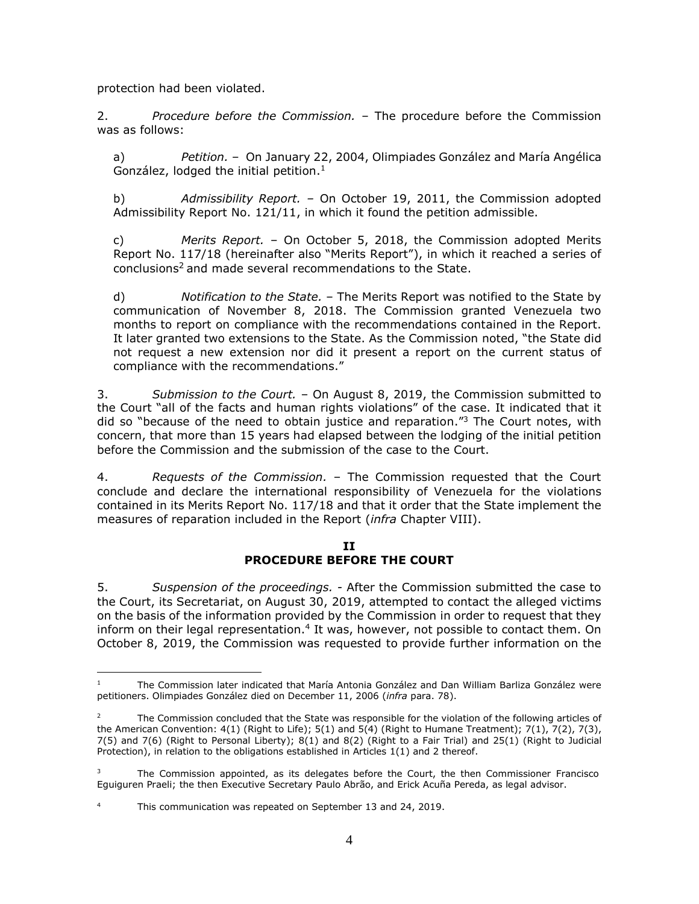protection had been violated.

2. *Procedure before the Commission.* – The procedure before the Commission was as follows:

a) *Petition.* – On January 22, 2004, Olimpiades González and María Angélica González, lodged the initial petition. $1$ 

b) *Admissibility Report. –* On October 19, 2011, the Commission adopted Admissibility Report No. 121/11, in which it found the petition admissible.

c) *Merits Report.* – On October 5, 2018, the Commission adopted Merits Report No. 117/18 (hereinafter also "Merits Report"), in which it reached a series of conclusions [2](#page-3-1) and made several recommendations to the State.

d) *Notification to the State.* – The Merits Report was notified to the State by communication of November 8, 2018. The Commission granted Venezuela two months to report on compliance with the recommendations contained in the Report. It later granted two extensions to the State. As the Commission noted, "the State did not request a new extension nor did it present a report on the current status of compliance with the recommendations."

3. *Submission to the Court.* – On August 8, 2019, the Commission submitted to the Court "all of the facts and human rights violations" of the case. It indicated that it did so "because of the need to obtain justice and reparation."<sup>3</sup> The Court notes, with concern, that more than 15 years had elapsed between the lodging of the initial petition before the Commission and the submission of the case to the Court.

<span id="page-3-1"></span>4. *Requests of the Commission.* – The Commission requested that the Court conclude and declare the international responsibility of Venezuela for the violations contained in its Merits Report No. 117/18 and that it order that the State implement the measures of reparation included in the Report (*infra* Chapter VIII).

#### **II PROCEDURE BEFORE THE COURT**

<span id="page-3-0"></span>5. *Suspension of the proceedings. -* After the Commission submitted the case to the Court, its Secretariat, on August 30, 2019, attempted to contact the alleged victims on the basis of the information provided by the Commission in order to request that they inform on their legal representation.<sup>4</sup> It was, however, not possible to contact them. On October 8, 2019, the Commission was requested to provide further information on the

<sup>1</sup> The Commission later indicated that María Antonia González and Dan William Barliza González were petitioners. Olimpiades González died on December 11, 2006 (*infra* para. 78).

<sup>2</sup> The Commission concluded that the State was responsible for the violation of the following articles of the American Convention: 4(1) (Right to Life); 5(1) and 5(4) (Right to Humane Treatment); 7(1), 7(2), 7(3), 7(5) and 7(6) (Right to Personal Liberty); 8(1) and 8(2) (Right to a Fair Trial) and 25(1) (Right to Judicial Protection), in relation to the obligations established in Articles 1(1) and 2 thereof.

The Commission appointed, as its delegates before the Court, the then Commissioner Francisco Eguiguren Praeli; the then Executive Secretary Paulo Abrão, and Erick Acuña Pereda, as legal advisor.

This communication was repeated on September 13 and 24, 2019.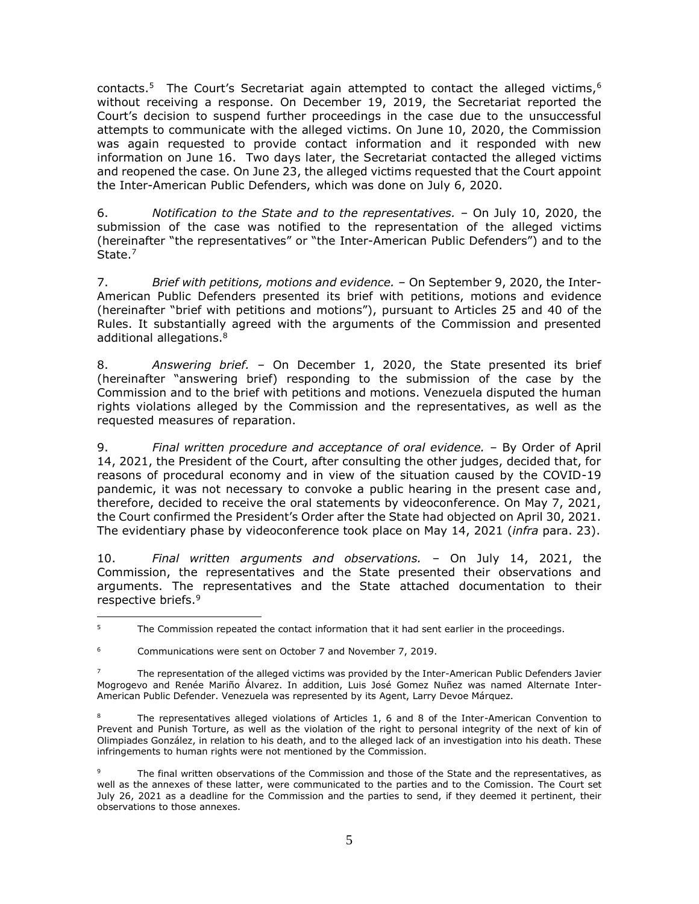contacts.<sup>5</sup> The Court's Secretariat again attempted to contact the alleged victims,<sup>6</sup> without receiving a response. On December 19, 2019, the Secretariat reported the Court's decision to suspend further proceedings in the case due to the unsuccessful attempts to communicate with the alleged victims. On June 10, 2020, the Commission was again requested to provide contact information and it responded with new information on June 16. Two days later, the Secretariat contacted the alleged victims and reopened the case. On June 23, the alleged victims requested that the Court appoint the Inter-American Public Defenders, which was done on July 6, 2020.

6. *Notification to the State and to the representatives.* – On July 10, 2020, the submission of the case was notified to the representation of the alleged victims (hereinafter "the representatives" or "the Inter-American Public Defenders") and to the State.<sup>7</sup>

7. *Brief with petitions, motions and evidence.* – On September 9, 2020, the Inter-American Public Defenders presented its brief with petitions, motions and evidence (hereinafter "brief with petitions and motions"), pursuant to Articles 25 and 40 of the Rules. It substantially agreed with the arguments of the Commission and presented additional allegations.<sup>8</sup>

8. *Answering brief.* – On December 1, 2020, the State presented its brief (hereinafter "answering brief) responding to the submission of the case by the Commission and to the brief with petitions and motions. Venezuela disputed the human rights violations alleged by the Commission and the representatives, as well as the requested measures of reparation.

9. *Final written procedure and acceptance of oral evidence.* – By Order of April 14, 2021, the President of the Court, after consulting the other judges, decided that, for reasons of procedural economy and in view of the situation caused by the COVID-19 pandemic, it was not necessary to convoke a public hearing in the present case and, therefore, decided to receive the oral statements by videoconference. On May 7, 2021, the Court confirmed the President's Order after the State had objected on April 30, 2021. The evidentiary phase by videoconference took place on May 14, 2021 (*infra* para. 23).

10. *Final written arguments and observations.* – On July 14, 2021, the Commission, the representatives and the State presented their observations and arguments. The representatives and the State attached documentation to their respective briefs.<sup>9</sup>

 $\overline{a}$ <sup>5</sup> The Commission repeated the contact information that it had sent earlier in the proceedings.

<sup>&</sup>lt;sup>6</sup> Communications were sent on October 7 and November 7, 2019.

<sup>7</sup> The representation of the alleged victims was provided by the Inter-American Public Defenders Javier Mogrogevo and Renée Mariño Álvarez. In addition, Luis José Gomez Nuñez was named Alternate Inter-American Public Defender. Venezuela was represented by its Agent, Larry Devoe Márquez.

<sup>8</sup> The representatives alleged violations of Articles 1, 6 and 8 of the Inter-American Convention to Prevent and Punish Torture, as well as the violation of the right to personal integrity of the next of kin of Olimpiades González, in relation to his death, and to the alleged lack of an investigation into his death. These infringements to human rights were not mentioned by the Commission.

The final written observations of the Commission and those of the State and the representatives, as well as the annexes of these latter, were communicated to the parties and to the Comission. The Court set July 26, 2021 as a deadline for the Commission and the parties to send, if they deemed it pertinent, their observations to those annexes.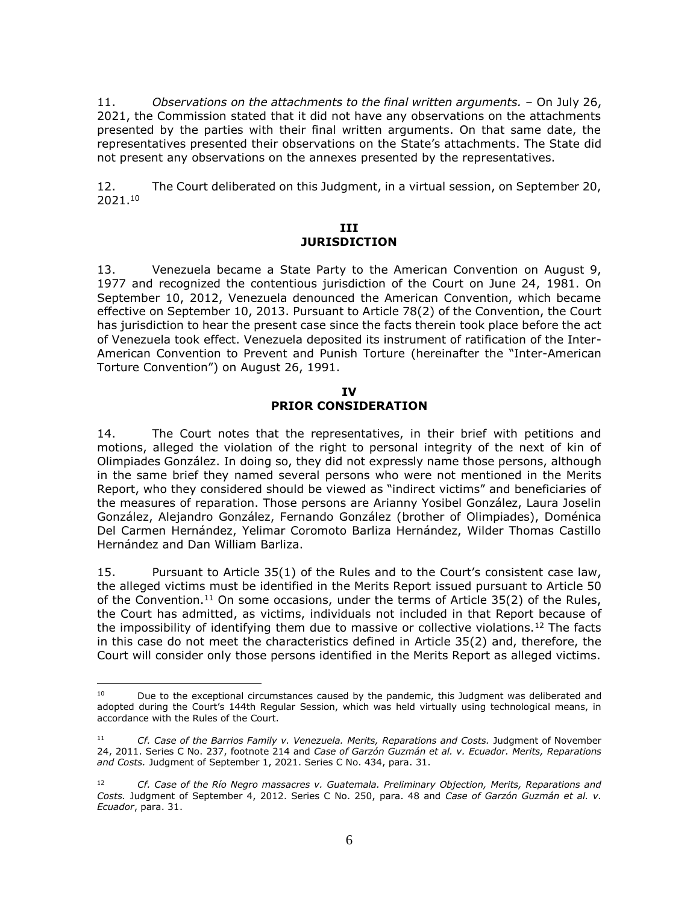11. *Observations on the attachments to the final written arguments.* – On July 26, 2021, the Commission stated that it did not have any observations on the attachments presented by the parties with their final written arguments. On that same date, the representatives presented their observations on the State's attachments. The State did not present any observations on the annexes presented by the representatives.

<span id="page-5-0"></span>12. The Court deliberated on this Judgment, in a virtual session, on September 20, 2021. 10

#### **III JURISDICTION**

13. Venezuela became a State Party to the American Convention on August 9, 1977 and recognized the contentious jurisdiction of the Court on June 24, 1981. On September 10, 2012, Venezuela denounced the American Convention, which became effective on September 10, 2013. Pursuant to Article 78(2) of the Convention, the Court has jurisdiction to hear the present case since the facts therein took place before the act of Venezuela took effect. Venezuela deposited its instrument of ratification of the Inter-American Convention to Prevent and Punish Torture (hereinafter the "Inter-American Torture Convention") on August 26, 1991.

#### **IV PRIOR CONSIDERATION**

<span id="page-5-1"></span>14. The Court notes that the representatives, in their brief with petitions and motions, alleged the violation of the right to personal integrity of the next of kin of Olimpiades González. In doing so, they did not expressly name those persons, although in the same brief they named several persons who were not mentioned in the Merits Report, who they considered should be viewed as "indirect victims" and beneficiaries of the measures of reparation. Those persons are Arianny Yosibel González, Laura Joselin González, Alejandro González, Fernando González (brother of Olimpiades), Doménica Del Carmen Hernández, Yelimar Coromoto Barliza Hernández, Wilder Thomas Castillo Hernández and Dan William Barliza.

15. Pursuant to Article 35(1) of the Rules and to the Court's consistent case law, the alleged victims must be identified in the Merits Report issued pursuant to Article 50 of the Convention.<sup>11</sup> On some occasions, under the terms of Article  $35(2)$  of the Rules, the Court has admitted, as victims, individuals not included in that Report because of the impossibility of identifying them due to massive or collective violations.<sup>12</sup> The facts in this case do not meet the characteristics defined in Article 35(2) and, therefore, the Court will consider only those persons identified in the Merits Report as alleged victims.

<sup>&</sup>lt;sup>10</sup> Due to the exceptional circumstances caused by the pandemic, this Judgment was deliberated and adopted during the Court's 144th Regular Session, which was held virtually using technological means, in accordance with the Rules of the Court.

<sup>11</sup> *Cf. Case of the Barrios Family v. Venezuela. Merits, Reparations and Costs.* Judgment of November 24, 2011. Series C No. 237, footnote 214 and *Case of Garzón Guzmán et al. v. Ecuador. Merits, Reparations and Costs.* Judgment of September 1, 2021. Series C No. 434, para. 31.

<sup>12</sup> *Cf. Case of the Río Negro massacres v. Guatemala. Preliminary Objection, Merits, Reparations and Costs.* Judgment of September 4, 2012. Series C No. 250, para. 48 and *Case of Garzón Guzmán et al. v. Ecuador*, para. 31.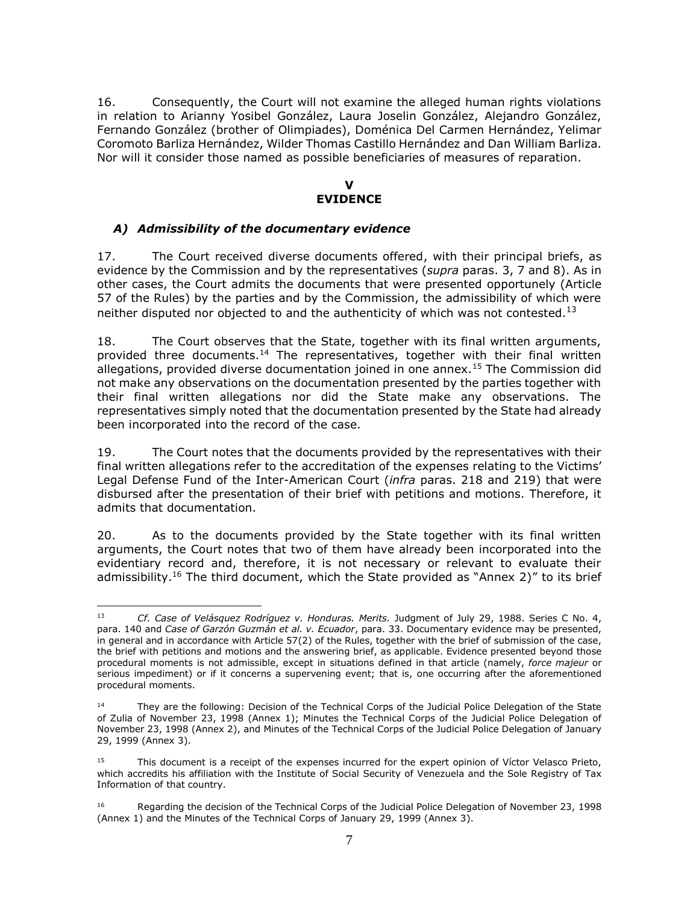16. Consequently, the Court will not examine the alleged human rights violations in relation to Arianny Yosibel González, Laura Joselin González, Alejandro González, Fernando González (brother of Olimpiades), Doménica Del Carmen Hernández, Yelimar Coromoto Barliza Hernández, Wilder Thomas Castillo Hernández and Dan William Barliza. Nor will it consider those named as possible beneficiaries of measures of reparation.

#### **V EVIDENCE**

# <span id="page-6-1"></span><span id="page-6-0"></span>*A) Admissibility of the documentary evidence*

17. The Court received diverse documents offered, with their principal briefs, as evidence by the Commission and by the representatives (*supra* paras. 3, 7 and 8). As in other cases, the Court admits the documents that were presented opportunely (Article 57 of the Rules) by the parties and by the Commission, the admissibility of which were neither disputed nor objected to and the authenticity of which was not contested.<sup>13</sup>

18. The Court observes that the State, together with its final written arguments, provided three documents.<sup>14</sup> The representatives, together with their final written allegations, provided diverse documentation joined in one annex.<sup>15</sup> The Commission did not make any observations on the documentation presented by the parties together with their final written allegations nor did the State make any observations. The representatives simply noted that the documentation presented by the State had already been incorporated into the record of the case.

19. The Court notes that the documents provided by the representatives with their final written allegations refer to the accreditation of the expenses relating to the Victims' Legal Defense Fund of the Inter-American Court (*infra* paras. 218 and 219) that were disbursed after the presentation of their brief with petitions and motions. Therefore, it admits that documentation.

20. As to the documents provided by the State together with its final written arguments, the Court notes that two of them have already been incorporated into the evidentiary record and, therefore, it is not necessary or relevant to evaluate their admissibility.<sup>16</sup> The third document, which the State provided as "Annex 2)" to its brief

 $\overline{a}$ <sup>13</sup> *Cf. Case of Velásquez Rodríguez v. Honduras. Merits.* Judgment of July 29, 1988. Series C No. 4, para. 140 and *Case of Garzón Guzmán et al. v. Ecuador*, para. 33. Documentary evidence may be presented, in general and in accordance with Article 57(2) of the Rules, together with the brief of submission of the case, the brief with petitions and motions and the answering brief, as applicable. Evidence presented beyond those procedural moments is not admissible, except in situations defined in that article (namely, *force majeur* or serious impediment) or if it concerns a supervening event; that is, one occurring after the aforementioned procedural moments.

<sup>14</sup> They are the following: Decision of the Technical Corps of the Judicial Police Delegation of the State of Zulia of November 23, 1998 (Annex 1); Minutes the Technical Corps of the Judicial Police Delegation of November 23, 1998 (Annex 2), and Minutes of the Technical Corps of the Judicial Police Delegation of January 29, 1999 (Annex 3).

<sup>15</sup> This document is a receipt of the expenses incurred for the expert opinion of Víctor Velasco Prieto, which accredits his affiliation with the Institute of Social Security of Venezuela and the Sole Registry of Tax Information of that country.

<sup>16</sup> Regarding the decision of the Technical Corps of the Judicial Police Delegation of November 23, 1998 (Annex 1) and the Minutes of the Technical Corps of January 29, 1999 (Annex 3).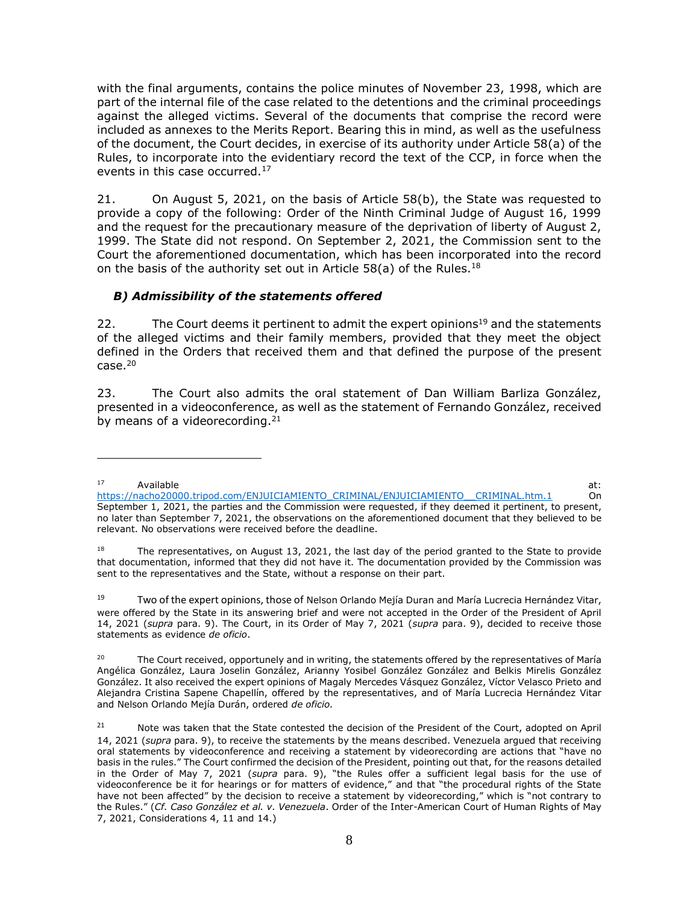with the final arguments, contains the police minutes of November 23, 1998, which are part of the internal file of the case related to the detentions and the criminal proceedings against the alleged victims. Several of the documents that comprise the record were included as annexes to the Merits Report. Bearing this in mind, as well as the usefulness of the document, the Court decides, in exercise of its authority under Article 58(a) of the Rules, to incorporate into the evidentiary record the text of the CCP, in force when the events in this case occurred.<sup>17</sup>

21. On August 5, 2021, on the basis of Article 58(b), the State was requested to provide a copy of the following: Order of the Ninth Criminal Judge of August 16, 1999 and the request for the precautionary measure of the deprivation of liberty of August 2, 1999. The State did not respond. On September 2, 2021, the Commission sent to the Court the aforementioned documentation, which has been incorporated into the record on the basis of the authority set out in Article 58(a) of the Rules.<sup>18</sup>

# <span id="page-7-0"></span>*B) Admissibility of the statements offered*

 $\overline{a}$ 

22. The Court deems it pertinent to admit the expert opinions<sup>19</sup> and the statements of the alleged victims and their family members, provided that they meet the object defined in the Orders that received them and that defined the purpose of the present  $case.<sup>20</sup>$ 

23. The Court also admits the oral statement of Dan William Barliza González, presented in a videoconference, as well as the statement of Fernando González, received by means of a videorecording. $21$ 

<sup>17</sup> Available at: the contract of the contract of the contract of the contract of the contract of the contract of the contract of the contract of the contract of the contract of the contract of the contract of the contract of [https://nacho20000.tripod.com/ENJUICIAMIENTO\\_CRIMINAL/ENJUICIAMIENTO\\_\\_CRIMINAL.htm.1](https://nacho20000.tripod.com/ENJUICIAMIENTO_CRIMINAL/ENJUICIAMIENTO__CRIMINAL.htm.1) On September 1, 2021, the parties and the Commission were requested, if they deemed it pertinent, to present, no later than September 7, 2021, the observations on the aforementioned document that they believed to be relevant. No observations were received before the deadline.

<sup>18</sup> The representatives, on August 13, 2021, the last day of the period granted to the State to provide that documentation, informed that they did not have it. The documentation provided by the Commission was sent to the representatives and the State, without a response on their part.

<sup>19</sup> Two of the expert opinions, those of Nelson Orlando Mejía Duran and María Lucrecia Hernández Vitar, were offered by the State in its answering brief and were not accepted in the Order of the President of April 14, 2021 (*supra* para. 9). The Court, in its Order of May 7, 2021 (*supra* para. 9), decided to receive those statements as evidence *de oficio*.

<sup>&</sup>lt;sup>20</sup> The Court received, opportunely and in writing, the statements offered by the representatives of María Angélica González, Laura Joselin González, Arianny Yosibel González González and Belkis Mirelis González González. It also received the expert opinions of Magaly Mercedes Vásquez González, Víctor Velasco Prieto and Alejandra Cristina Sapene Chapellín, offered by the representatives, and of María Lucrecia Hernández Vitar and Nelson Orlando Mejía Durán, ordered *de oficio.* 

<sup>&</sup>lt;sup>21</sup> Note was taken that the State contested the decision of the President of the Court, adopted on April 14, 2021 (*supra* para. 9), to receive the statements by the means described. Venezuela argued that receiving oral statements by videoconference and receiving a statement by videorecording are actions that "have no basis in the rules." The Court confirmed the decision of the President, pointing out that, for the reasons detailed in the Order of May 7, 2021 (*supra* para. 9), "the Rules offer a sufficient legal basis for the use of videoconference be it for hearings or for matters of evidence," and that "the procedural rights of the State have not been affected" by the decision to receive a statement by videorecording," which is "not contrary to the Rules." (*Cf. Caso González et al. v. Venezuela*. Order of the Inter-American Court of Human Rights of May 7, 2021, Considerations 4, 11 and 14.)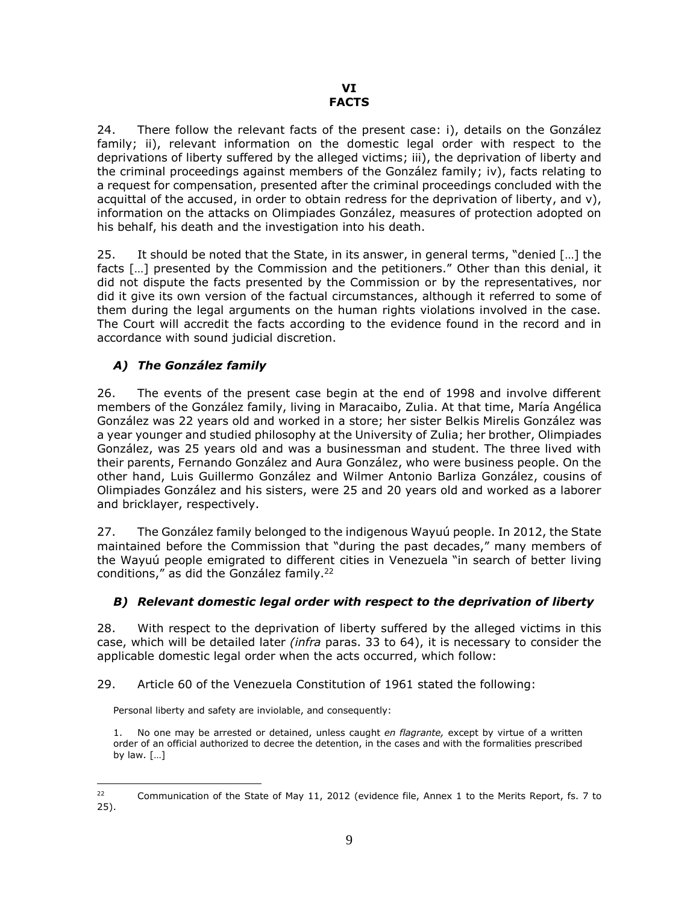<span id="page-8-1"></span><span id="page-8-0"></span>24. There follow the relevant facts of the present case: i), details on the González family; ii), relevant information on the domestic legal order with respect to the deprivations of liberty suffered by the alleged victims; iii), the deprivation of liberty and the criminal proceedings against members of the González family; iv), facts relating to a request for compensation, presented after the criminal proceedings concluded with the acquittal of the accused, in order to obtain redress for the deprivation of liberty, and v), information on the attacks on Olimpiades González, measures of protection adopted on his behalf, his death and the investigation into his death.

25. It should be noted that the State, in its answer, in general terms, "denied […] the facts […] presented by the Commission and the petitioners." Other than this denial, it did not dispute the facts presented by the Commission or by the representatives, nor did it give its own version of the factual circumstances, although it referred to some of them during the legal arguments on the human rights violations involved in the case. The Court will accredit the facts according to the evidence found in the record and in accordance with sound judicial discretion.

# <span id="page-8-2"></span>*A) The González family*

26. The events of the present case begin at the end of 1998 and involve different members of the González family, living in Maracaibo, Zulia. At that time, María Angélica González was 22 years old and worked in a store; her sister Belkis Mirelis González was a year younger and studied philosophy at the University of Zulia; her brother, Olimpiades González, was 25 years old and was a businessman and student. The three lived with their parents, Fernando González and Aura González, who were business people. On the other hand, Luis Guillermo González and Wilmer Antonio Barliza González, cousins of Olimpiades González and his sisters, were 25 and 20 years old and worked as a laborer and bricklayer, respectively.

27. The González family belonged to the indigenous Wayuú people. In 2012, the State maintained before the Commission that "during the past decades," many members of the Wayuú people emigrated to different cities in Venezuela "in search of better living conditions," as did the González family.<sup>22</sup>

#### <span id="page-8-3"></span>*B) Relevant domestic legal order with respect to the deprivation of liberty*

28. With respect to the deprivation of liberty suffered by the alleged victims in this case, which will be detailed later *(infra* paras. 33 to 64), it is necessary to consider the applicable domestic legal order when the acts occurred, which follow:

29. Article 60 of the Venezuela Constitution of 1961 stated the following:

Personal liberty and safety are inviolable, and consequently:

1. No one may be arrested or detained, unless caught *en flagrante,* except by virtue of a written order of an official authorized to decree the detention, in the cases and with the formalities prescribed by law. […]

 $\overline{a}$ <sup>22</sup> Communication of the State of May 11, 2012 (evidence file, Annex 1 to the Merits Report, fs. 7 to 25).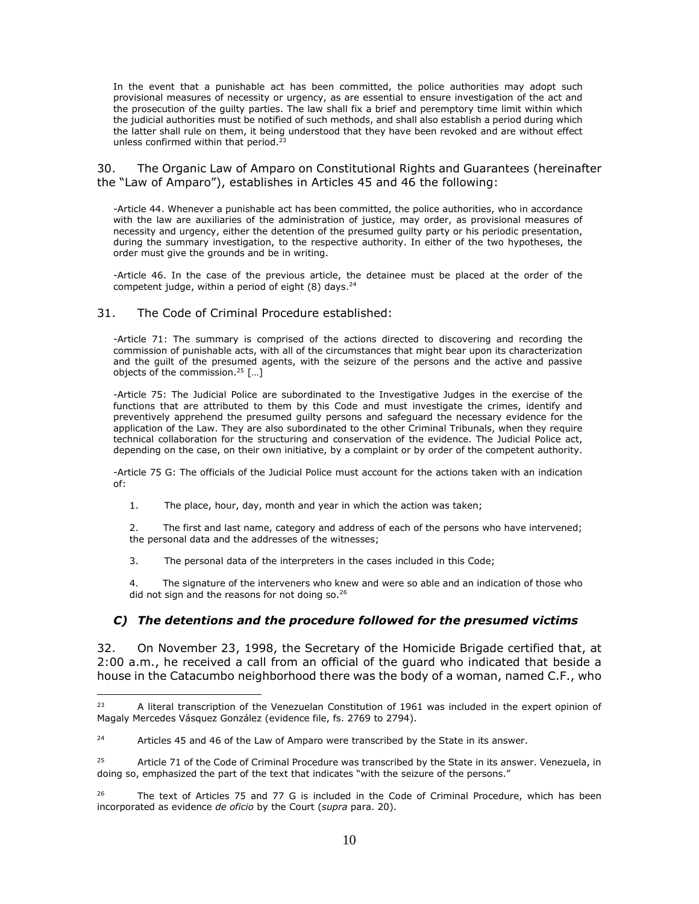In the event that a punishable act has been committed, the police authorities may adopt such provisional measures of necessity or urgency, as are essential to ensure investigation of the act and the prosecution of the guilty parties. The law shall fix a brief and peremptory time limit within which the judicial authorities must be notified of such methods, and shall also establish a period during which the latter shall rule on them, it being understood that they have been revoked and are without effect unless confirmed within that period.<sup>23</sup>

30. The Organic Law of Amparo on Constitutional Rights and Guarantees (hereinafter the "Law of Amparo"), establishes in Articles 45 and 46 the following:

-Article 44. Whenever a punishable act has been committed, the police authorities, who in accordance with the law are auxiliaries of the administration of justice, may order, as provisional measures of necessity and urgency, either the detention of the presumed guilty party or his periodic presentation, during the summary investigation, to the respective authority. In either of the two hypotheses, the order must give the grounds and be in writing.

-Article 46. In the case of the previous article, the detainee must be placed at the order of the competent judge, within a period of eight  $(8)$  days.<sup>24</sup>

#### 31. The Code of Criminal Procedure established:

 $\overline{a}$ 

-Article 71: The summary is comprised of the actions directed to discovering and recording the commission of punishable acts, with all of the circumstances that might bear upon its characterization and the guilt of the presumed agents, with the seizure of the persons and the active and passive objects of the commission. <sup>25</sup> […]

-Article 75: The Judicial Police are subordinated to the Investigative Judges in the exercise of the functions that are attributed to them by this Code and must investigate the crimes, identify and preventively apprehend the presumed guilty persons and safeguard the necessary evidence for the application of the Law. They are also subordinated to the other Criminal Tribunals, when they require technical collaboration for the structuring and conservation of the evidence. The Judicial Police act, depending on the case, on their own initiative, by a complaint or by order of the competent authority.

-Article 75 G: The officials of the Judicial Police must account for the actions taken with an indication of:

1. The place, hour, day, month and year in which the action was taken;

2. The first and last name, category and address of each of the persons who have intervened; the personal data and the addresses of the witnesses;

3. The personal data of the interpreters in the cases included in this Code;

The signature of the interveners who knew and were so able and an indication of those who did not sign and the reasons for not doing so.<sup>26</sup>

#### <span id="page-9-0"></span>*C) The detentions and the procedure followed for the presumed victims*

32. On November 23, 1998, the Secretary of the Homicide Brigade certified that, at 2:00 a.m., he received a call from an official of the guard who indicated that beside a house in the Catacumbo neighborhood there was the body of a woman, named C.F., who

<sup>&</sup>lt;sup>23</sup> A literal transcription of the Venezuelan Constitution of 1961 was included in the expert opinion of Magaly Mercedes Vásquez González (evidence file, fs. 2769 to 2794).

<sup>24</sup> Articles 45 and 46 of the Law of Amparo were transcribed by the State in its answer.

<sup>25</sup> Article 71 of the Code of Criminal Procedure was transcribed by the State in its answer. Venezuela, in doing so, emphasized the part of the text that indicates "with the seizure of the persons."

<sup>26</sup> The text of Articles 75 and 77 G is included in the Code of Criminal Procedure, which has been incorporated as evidence *de oficio* by the Court (*supra* para. 20).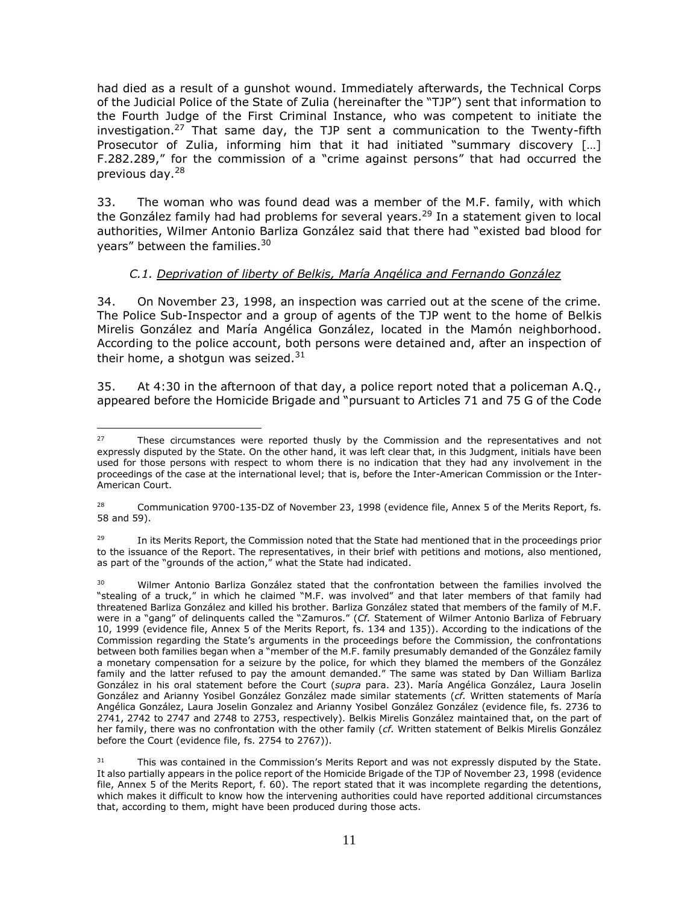had died as a result of a gunshot wound. Immediately afterwards, the Technical Corps of the Judicial Police of the State of Zulia (hereinafter the "TJP") sent that information to the Fourth Judge of the First Criminal Instance, who was competent to initiate the investigation.<sup>27</sup> That same day, the TJP sent a communication to the Twenty-fifth Prosecutor of Zulia, informing him that it had initiated "summary discovery [...] F.282.289," for the commission of a "crime against persons" that had occurred the previous day.<sup>28</sup>

33. The woman who was found dead was a member of the M.F. family, with which the González family had had problems for several years.<sup>29</sup> In a statement given to local authorities, Wilmer Antonio Barliza González said that there had "existed bad blood for years" between the families.<sup>30</sup>

# *C.1. Deprivation of liberty of Belkis, María Angélica and Fernando González*

<span id="page-10-0"></span>34. On November 23, 1998, an inspection was carried out at the scene of the crime. The Police Sub-Inspector and a group of agents of the TJP went to the home of Belkis Mirelis González and María Angélica González, located in the Mamón neighborhood. According to the police account, both persons were detained and, after an inspection of their home, a shotgun was seized. $31$ 

35. At 4:30 in the afternoon of that day, a police report noted that a policeman A.Q., appeared before the Homicide Brigade and "pursuant to Articles 71 and 75 G of the Code

 $\overline{a}$ <sup>27</sup> These circumstances were reported thusly by the Commission and the representatives and not expressly disputed by the State. On the other hand, it was left clear that, in this Judgment, initials have been used for those persons with respect to whom there is no indication that they had any involvement in the proceedings of the case at the international level; that is, before the Inter-American Commission or the Inter-American Court.

Communication 9700-135-DZ of November 23, 1998 (evidence file, Annex 5 of the Merits Report, fs. 58 and 59).

<sup>&</sup>lt;sup>29</sup> In its Merits Report, the Commission noted that the State had mentioned that in the proceedings prior to the issuance of the Report. The representatives, in their brief with petitions and motions, also mentioned, as part of the "grounds of the action," what the State had indicated.

<sup>&</sup>lt;sup>30</sup> Wilmer Antonio Barliza González stated that the confrontation between the families involved the "stealing of a truck," in which he claimed "M.F. was involved" and that later members of that family had threatened Barliza González and killed his brother. Barliza González stated that members of the family of M.F. were in a "gang" of delinguents called the "Zamuros." (*Cf.* Statement of Wilmer Antonio Barliza of February 10, 1999 (evidence file, Annex 5 of the Merits Report, fs. 134 and 135)). According to the indications of the Commission regarding the State's arguments in the proceedings before the Commission, the confrontations between both families began when a "member of the M.F. family presumably demanded of the González family a monetary compensation for a seizure by the police, for which they blamed the members of the González family and the latter refused to pay the amount demanded." The same was stated by Dan William Barliza González in his oral statement before the Court (*supra* para. 23). María Angélica González, Laura Joselin González and Arianny Yosibel González González made similar statements (*cf.* Written statements of María Angélica González, Laura Joselin Gonzalez and Arianny Yosibel González González (evidence file, fs. 2736 to 2741, 2742 to 2747 and 2748 to 2753, respectively). Belkis Mirelis González maintained that, on the part of her family, there was no confrontation with the other family (*cf.* Written statement of Belkis Mirelis González before the Court (evidence file, fs. 2754 to 2767)).

<sup>&</sup>lt;sup>31</sup> This was contained in the Commission's Merits Report and was not expressly disputed by the State. It also partially appears in the police report of the Homicide Brigade of the TJP of November 23, 1998 (evidence file, Annex 5 of the Merits Report, f. 60). The report stated that it was incomplete regarding the detentions, which makes it difficult to know how the intervening authorities could have reported additional circumstances that, according to them, might have been produced during those acts.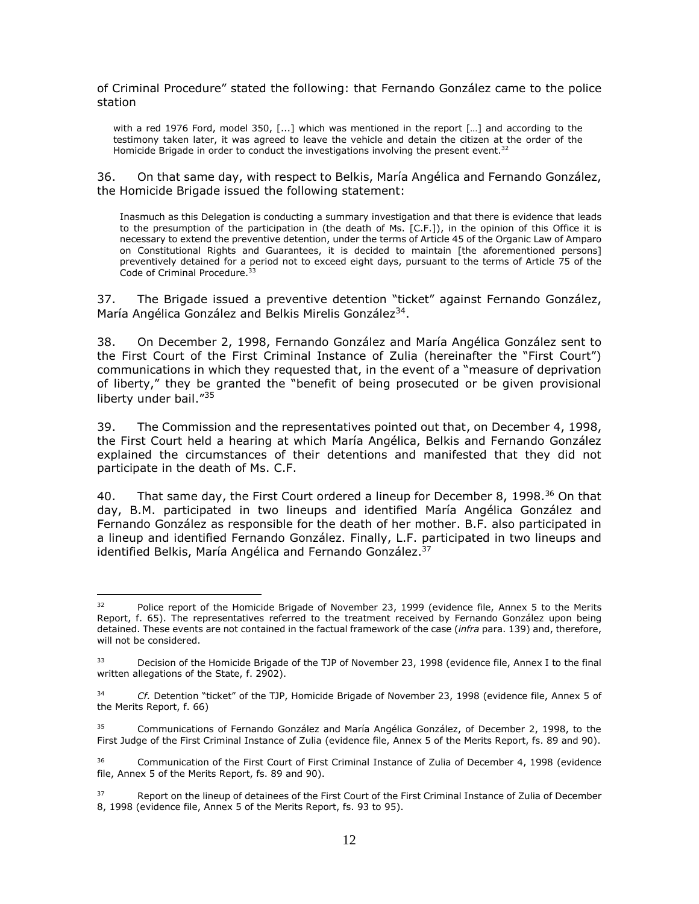of Criminal Procedure" stated the following: that Fernando González came to the police station

with a red 1976 Ford, model 350, [...] which was mentioned in the report […] and according to the testimony taken later, it was agreed to leave the vehicle and detain the citizen at the order of the Homicide Brigade in order to conduct the investigations involving the present event.<sup>32</sup>

36. On that same day, with respect to Belkis, María Angélica and Fernando González, the Homicide Brigade issued the following statement:

Inasmuch as this Delegation is conducting a summary investigation and that there is evidence that leads to the presumption of the participation in (the death of Ms. [C.F.]), in the opinion of this Office it is necessary to extend the preventive detention, under the terms of Article 45 of the Organic Law of Amparo on Constitutional Rights and Guarantees, it is decided to maintain [the aforementioned persons] preventively detained for a period not to exceed eight days, pursuant to the terms of Article 75 of the Code of Criminal Procedure.<sup>33</sup>

37. The Brigade issued a preventive detention "ticket" against Fernando González, María Angélica González and Belkis Mirelis González<sup>34</sup>.

38. On December 2, 1998, Fernando González and María Angélica González sent to the First Court of the First Criminal Instance of Zulia (hereinafter the "First Court") communications in which they requested that, in the event of a "measure of deprivation of liberty," they be granted the "benefit of being prosecuted or be given provisional liberty under bail."<sup>35</sup>

39. The Commission and the representatives pointed out that, on December 4, 1998, the First Court held a hearing at which María Angélica, Belkis and Fernando González explained the circumstances of their detentions and manifested that they did not participate in the death of Ms. C.F.

40. That same day, the First Court ordered a lineup for December 8, 1998.<sup>36</sup> On that day, B.M. participated in two lineups and identified María Angélica González and Fernando González as responsible for the death of her mother. B.F. also participated in a lineup and identified Fernando González. Finally, L.F. participated in two lineups and identified Belkis, María Angélica and Fernando González. 37

<sup>&</sup>lt;sup>32</sup> Police report of the Homicide Brigade of November 23, 1999 (evidence file, Annex 5 to the Merits Report, f. 65). The representatives referred to the treatment received by Fernando González upon being detained. These events are not contained in the factual framework of the case (*infra* para. 139) and, therefore, will not be considered.

Decision of the Homicide Brigade of the TJP of November 23, 1998 (evidence file, Annex I to the final written allegations of the State, f. 2902).

<sup>34</sup> *Cf.* Detention "ticket" of the TJP, Homicide Brigade of November 23, 1998 (evidence file, Annex 5 of the Merits Report, f. 66)

<sup>35</sup> Communications of Fernando González and María Angélica González, of December 2, 1998, to the First Judge of the First Criminal Instance of Zulia (evidence file, Annex 5 of the Merits Report, fs. 89 and 90).

<sup>&</sup>lt;sup>36</sup> Communication of the First Court of First Criminal Instance of Zulia of December 4, 1998 (evidence file, Annex 5 of the Merits Report, fs. 89 and 90).

Report on the lineup of detainees of the First Court of the First Criminal Instance of Zulia of December 8, 1998 (evidence file, Annex 5 of the Merits Report, fs. 93 to 95).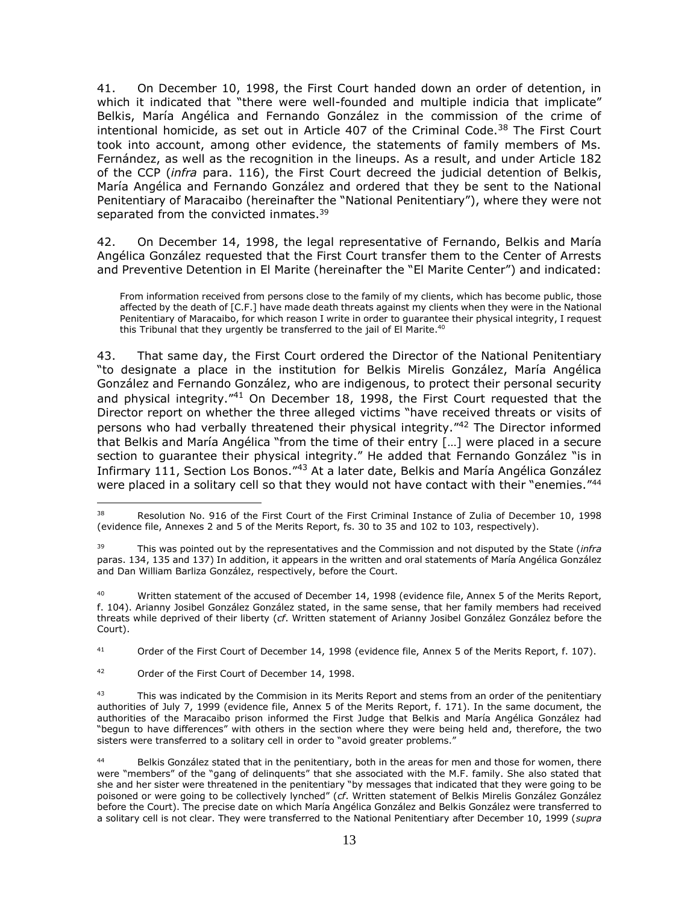41. On December 10, 1998, the First Court handed down an order of detention, in which it indicated that "there were well-founded and multiple indicia that implicate" Belkis, María Angélica and Fernando González in the commission of the crime of intentional homicide, as set out in Article 407 of the Criminal Code. $38$  The First Court took into account, among other evidence, the statements of family members of Ms. Fernández, as well as the recognition in the lineups. As a result, and under Article 182 of the CCP (*infra* para. 116), the First Court decreed the judicial detention of Belkis, María Angélica and Fernando González and ordered that they be sent to the National Penitentiary of Maracaibo (hereinafter the "National Penitentiary"), where they were not separated from the convicted inmates.<sup>39</sup>

42. On December 14, 1998, the legal representative of Fernando, Belkis and María Angélica González requested that the First Court transfer them to the Center of Arrests and Preventive Detention in El Marite (hereinafter the "El Marite Center") and indicated:

From information received from persons close to the family of my clients, which has become public, those affected by the death of [C.F.] have made death threats against my clients when they were in the National Penitentiary of Maracaibo, for which reason I write in order to guarantee their physical integrity, I request this Tribunal that they urgently be transferred to the jail of El Marite.<sup>40</sup>

43. That same day, the First Court ordered the Director of the National Penitentiary "to designate a place in the institution for Belkis Mirelis González, María Angélica González and Fernando González, who are indigenous, to protect their personal security and physical integrity."<sup>41</sup> On December 18, 1998, the First Court requested that the Director report on whether the three alleged victims "have received threats or visits of persons who had verbally threatened their physical integrity."<sup>42</sup> The Director informed that Belkis and María Angélica "from the time of their entry […] were placed in a secure section to guarantee their physical integrity." He added that Fernando González "is in Infirmary 111, Section Los Bonos."<sup>43</sup> At a later date, Belkis and María Angélica González were placed in a solitary cell so that they would not have contact with their "enemies."<sup>44</sup>

<sup>41</sup> Order of the First Court of December 14, 1998 (evidence file, Annex 5 of the Merits Report, f. 107).

<sup>&</sup>lt;sup>38</sup> Resolution No. 916 of the First Court of the First Criminal Instance of Zulia of December 10, 1998 (evidence file, Annexes 2 and 5 of the Merits Report, fs. 30 to 35 and 102 to 103, respectively).

<sup>39</sup> This was pointed out by the representatives and the Commission and not disputed by the State (*infra*  paras. 134, 135 and 137) In addition, it appears in the written and oral statements of María Angélica González and Dan William Barliza González, respectively, before the Court.

Written statement of the accused of December 14, 1998 (evidence file, Annex 5 of the Merits Report, f. 104). Arianny Josibel González González stated, in the same sense, that her family members had received threats while deprived of their liberty (*cf*. Written statement of Arianny Josibel González González before the Court).

<sup>42</sup> Order of the First Court of December 14, 1998.

<sup>&</sup>lt;sup>43</sup> This was indicated by the Commision in its Merits Report and stems from an order of the penitentiary authorities of July 7, 1999 (evidence file, Annex 5 of the Merits Report, f. 171). In the same document, the authorities of the Maracaibo prison informed the First Judge that Belkis and María Angélica González had "begun to have differences" with others in the section where they were being held and, therefore, the two sisters were transferred to a solitary cell in order to "avoid greater problems."

<sup>44</sup> Belkis González stated that in the penitentiary, both in the areas for men and those for women, there were "members" of the "gang of delinquents" that she associated with the M.F. family. She also stated that she and her sister were threatened in the penitentiary "by messages that indicated that they were going to be poisoned or were going to be collectively lynched" (*cf*. Written statement of Belkis Mirelis González González before the Court). The precise date on which María Angélica González and Belkis González were transferred to a solitary cell is not clear. They were transferred to the National Penitentiary after December 10, 1999 (*supra*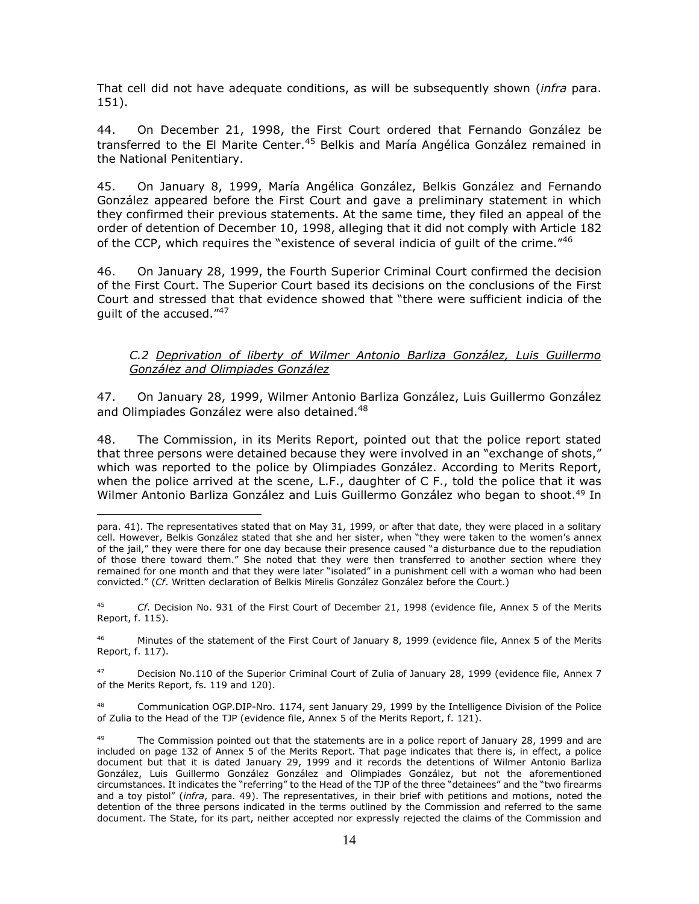That cell did not have adequate conditions, as will be subsequently shown (*infra* para. 151).

44. On December 21, 1998, the First Court ordered that Fernando González be transferred to the El Marite Center.<sup>45</sup> Belkis and María Angélica González remained in the National Penitentiary.

45. On January 8, 1999, María Angélica González, Belkis González and Fernando González appeared before the First Court and gave a preliminary statement in which they confirmed their previous statements. At the same time, they filed an appeal of the order of detention of December 10, 1998, alleging that it did not comply with Article 182 of the CCP, which requires the "existence of several indicia of guilt of the crime."<sup>46</sup>

46. On January 28, 1999, the Fourth Superior Criminal Court confirmed the decision of the First Court. The Superior Court based its decisions on the conclusions of the First Court and stressed that that evidence showed that "there were sufficient indicia of the guilt of the accused."<sup>47</sup>

#### <span id="page-13-0"></span>*C.2 Deprivation of liberty of Wilmer Antonio Barliza González, Luis Guillermo González and Olimpiades González*

47. On January 28, 1999, Wilmer Antonio Barliza González, Luis Guillermo González and Olimpiades González were also detained.<sup>48</sup>

48. The Commission, in its Merits Report, pointed out that the police report stated that three persons were detained because they were involved in an "exchange of shots," which was reported to the police by Olimpiades González. According to Merits Report, when the police arrived at the scene, L.F., daughter of C F., told the police that it was Wilmer Antonio Barliza González and Luis Guillermo González who began to shoot. <sup>49</sup> In

 $\overline{a}$ 

<sup>47</sup> Decision No.110 of the Superior Criminal Court of Zulia of January 28, 1999 (evidence file, Annex 7 of the Merits Report, fs. 119 and 120).

Communication OGP.DIP-Nro. 1174, sent January 29, 1999 by the Intelligence Division of the Police of Zulia to the Head of the TJP (evidence file, Annex 5 of the Merits Report, f. 121).

para. 41). The representatives stated that on May 31, 1999, or after that date, they were placed in a solitary cell. However, Belkis González stated that she and her sister, when "they were taken to the women's annex of the jail," they were there for one day because their presence caused "a disturbance due to the repudiation of those there toward them." She noted that they were then transferred to another section where they remained for one month and that they were later "isolated" in a punishment cell with a woman who had been convicted." (*Cf*. Written declaration of Belkis Mirelis González González before the Court.)

<sup>45</sup> *Cf.* Decision No. 931 of the First Court of December 21, 1998 (evidence file, Annex 5 of the Merits Report, f. 115).

<sup>46</sup> Minutes of the statement of the First Court of January 8, 1999 (evidence file, Annex 5 of the Merits Report, f. 117).

The Commission pointed out that the statements are in a police report of January 28, 1999 and are included on page 132 of Annex 5 of the Merits Report. That page indicates that there is, in effect, a police document but that it is dated January 29, 1999 and it records the detentions of Wilmer Antonio Barliza González, Luis Guillermo González González and Olimpiades González, but not the aforementioned circumstances. It indicates the "referring" to the Head of the TJP of the three "detainees" and the "two firearms and a toy pistol" (*infra*, para. 49). The representatives, in their brief with petitions and motions, noted the detention of the three persons indicated in the terms outlined by the Commission and referred to the same document. The State, for its part, neither accepted nor expressly rejected the claims of the Commission and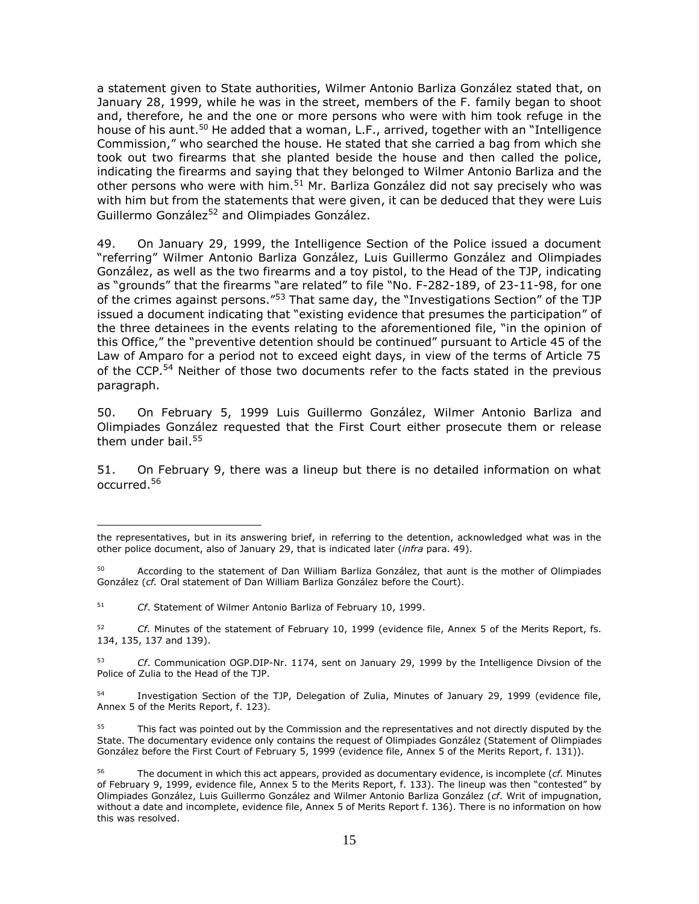a statement given to State authorities, Wilmer Antonio Barliza González stated that, on January 28, 1999, while he was in the street, members of the F. family began to shoot and, therefore, he and the one or more persons who were with him took refuge in the house of his aunt.<sup>50</sup> He added that a woman, L.F., arrived, together with an "Intelligence Commission," who searched the house. He stated that she carried a bag from which she took out two firearms that she planted beside the house and then called the police, indicating the firearms and saying that they belonged to Wilmer Antonio Barliza and the other persons who were with him.<sup>51</sup> Mr. Barliza González did not say precisely who was with him but from the statements that were given, it can be deduced that they were Luis Guillermo González<sup>52</sup> and Olimpiades González.

49. On January 29, 1999, the Intelligence Section of the Police issued a document "referring" Wilmer Antonio Barliza González, Luis Guillermo González and Olimpiades González, as well as the two firearms and a toy pistol, to the Head of the TJP, indicating as "grounds" that the firearms "are related" to file "No. F-282-189, of 23-11-98, for one of the crimes against persons."<sup>53</sup> That same day, the "Investigations Section" of the TJP issued a document indicating that "existing evidence that presumes the participation" of the three detainees in the events relating to the aforementioned file, "in the opinion of this Office," the "preventive detention should be continued" pursuant to Article 45 of the Law of Amparo for a period not to exceed eight days, in view of the terms of Article 75 of the CCP.<sup>54</sup> Neither of those two documents refer to the facts stated in the previous paragraph.

50. On February 5, 1999 Luis Guillermo González, Wilmer Antonio Barliza and Olimpiades González requested that the First Court either prosecute them or release them under bail. $55$ 

51. On February 9, there was a lineup but there is no detailed information on what occurred.<sup>56</sup>

the representatives, but in its answering brief, in referring to the detention, acknowledged what was in the other police document, also of January 29, that is indicated later (*infra* para. 49).

<sup>50</sup> According to the statement of Dan William Barliza González, that aunt is the mother of Olimpiades González (*cf.* Oral statement of Dan William Barliza González before the Court).

<sup>51</sup> *Cf*. Statement of Wilmer Antonio Barliza of February 10, 1999.

<sup>52</sup> *Cf.* Minutes of the statement of February 10, 1999 (evidence file, Annex 5 of the Merits Report, fs. 134, 135, 137 and 139).

<sup>53</sup> *Cf*. Communication OGP.DIP-Nr. 1174, sent on January 29, 1999 by the Intelligence Divsion of the Police of Zulia to the Head of the TJP.

<sup>54</sup> Investigation Section of the TJP, Delegation of Zulia, Minutes of January 29, 1999 (evidence file, Annex 5 of the Merits Report, f. 123).

<sup>55</sup> This fact was pointed out by the Commission and the representatives and not directly disputed by the State. The documentary evidence only contains the request of Olimpiades González (Statement of Olimpiades González before the First Court of February 5, 1999 (evidence file, Annex 5 of the Merits Report, f. 131)).

<sup>56</sup> The document in which this act appears, provided as documentary evidence, is incomplete (*cf.* Minutes of February 9, 1999, evidence file, Annex 5 to the Merits Report, f. 133). The lineup was then "contested" by Olimpiades González, Luis Guillermo González and Wilmer Antonio Barliza González (*cf*. Writ of impugnation, without a date and incomplete, evidence file, Annex 5 of Merits Report f. 136). There is no information on how this was resolved.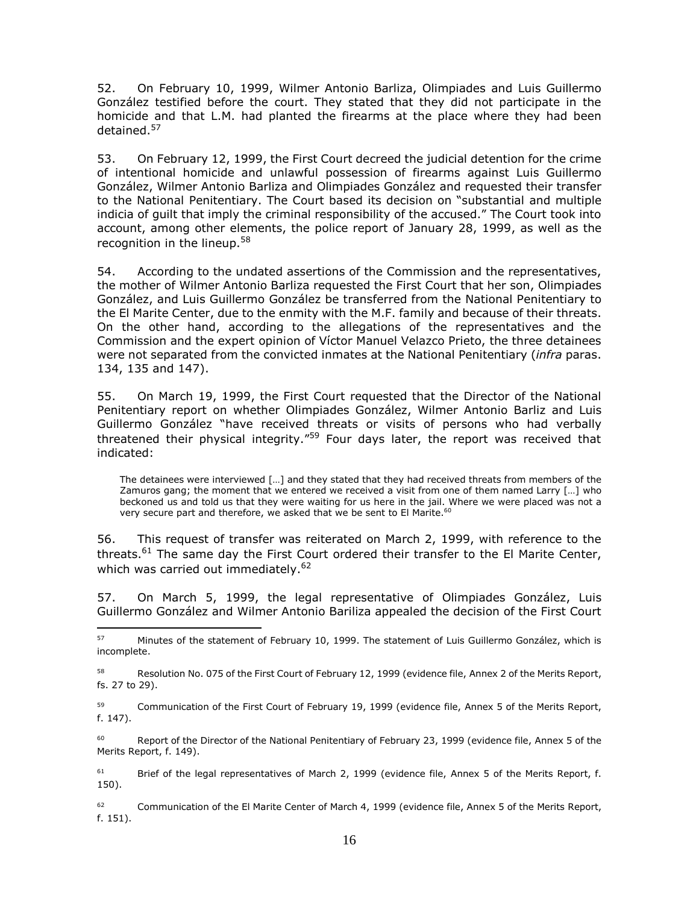52. On February 10, 1999, Wilmer Antonio Barliza, Olimpiades and Luis Guillermo González testified before the court. They stated that they did not participate in the homicide and that L.M. had planted the firearms at the place where they had been detained.<sup>57</sup>

53. On February 12, 1999, the First Court decreed the judicial detention for the crime of intentional homicide and unlawful possession of firearms against Luis Guillermo González, Wilmer Antonio Barliza and Olimpiades González and requested their transfer to the National Penitentiary. The Court based its decision on "substantial and multiple indicia of guilt that imply the criminal responsibility of the accused." The Court took into account, among other elements, the police report of January 28, 1999, as well as the recognition in the lineup.<sup>58</sup>

54. According to the undated assertions of the Commission and the representatives, the mother of Wilmer Antonio Barliza requested the First Court that her son, Olimpiades González, and Luis Guillermo González be transferred from the National Penitentiary to the El Marite Center, due to the enmity with the M.F. family and because of their threats. On the other hand, according to the allegations of the representatives and the Commission and the expert opinion of Víctor Manuel Velazco Prieto, the three detainees were not separated from the convicted inmates at the National Penitentiary (*infra* paras. 134, 135 and 147).

55. On March 19, 1999, the First Court requested that the Director of the National Penitentiary report on whether Olimpiades González, Wilmer Antonio Barliz and Luis Guillermo González "have received threats or visits of persons who had verbally threatened their physical integrity."<sup>59</sup> Four days later, the report was received that indicated:

The detainees were interviewed […] and they stated that they had received threats from members of the Zamuros gang; the moment that we entered we received a visit from one of them named Larry […] who beckoned us and told us that they were waiting for us here in the jail. Where we were placed was not a very secure part and therefore, we asked that we be sent to El Marite.<sup>60</sup>

56. This request of transfer was reiterated on March 2, 1999, with reference to the threats.<sup>61</sup> The same day the First Court ordered their transfer to the El Marite Center, which was carried out immediately.<sup>62</sup>

57. On March 5, 1999, the legal representative of Olimpiades González, Luis Guillermo González and Wilmer Antonio Bariliza appealed the decision of the First Court

 $\overline{a}$ 

<sup>59</sup> Communication of the First Court of February 19, 1999 (evidence file, Annex 5 of the Merits Report, f. 147).

Report of the Director of the National Penitentiary of February 23, 1999 (evidence file, Annex 5 of the Merits Report, f. 149).

<sup>61</sup> Brief of the legal representatives of March 2, 1999 (evidence file, Annex 5 of the Merits Report, f. 150).

<sup>62</sup> Communication of the El Marite Center of March 4, 1999 (evidence file, Annex 5 of the Merits Report, f. 151).

<sup>57</sup> Minutes of the statement of February 10, 1999. The statement of Luis Guillermo González, which is incomplete.

<sup>&</sup>lt;sup>58</sup> Resolution No. 075 of the First Court of February 12, 1999 (evidence file, Annex 2 of the Merits Report, fs. 27 to 29).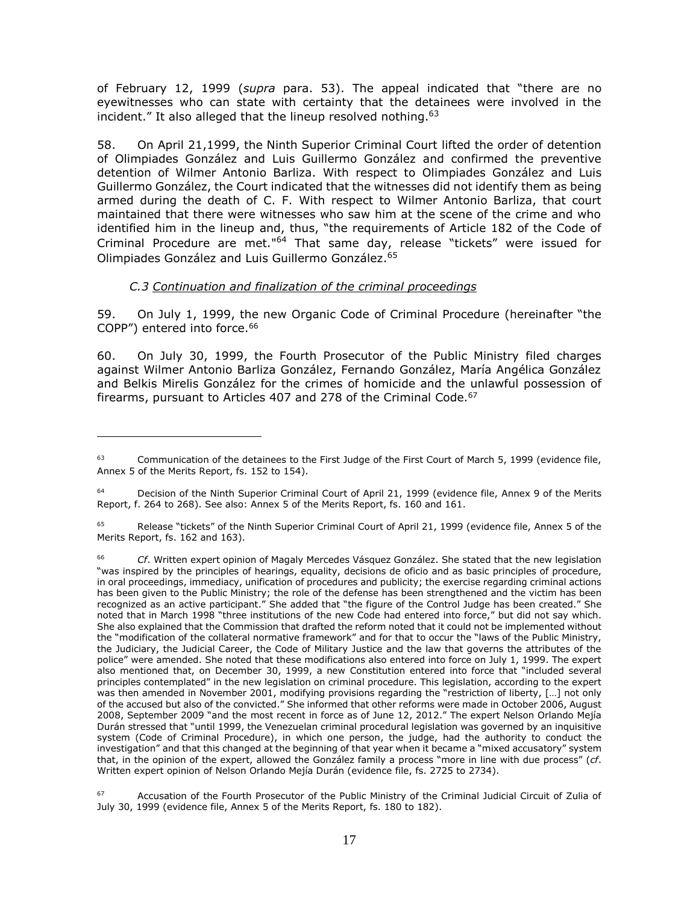of February 12, 1999 (*supra* para. 53). The appeal indicated that "there are no eyewitnesses who can state with certainty that the detainees were involved in the incident." It also alleged that the lineup resolved nothing.<sup>63</sup>

58. On April 21,1999, the Ninth Superior Criminal Court lifted the order of detention of Olimpiades González and Luis Guillermo González and confirmed the preventive detention of Wilmer Antonio Barliza. With respect to Olimpiades González and Luis Guillermo González, the Court indicated that the witnesses did not identify them as being armed during the death of C. F. With respect to Wilmer Antonio Barliza, that court maintained that there were witnesses who saw him at the scene of the crime and who identified him in the lineup and, thus, "the requirements of Article 182 of the Code of Criminal Procedure are met."<sup>64</sup> That same day, release "tickets" were issued for Olimpiades González and Luis Guillermo González. 65

#### *C.3 Continuation and finalization of the criminal proceedings*

 $\overline{a}$ 

<span id="page-16-0"></span>59. On July 1, 1999, the new Organic Code of Criminal Procedure (hereinafter "the COPP") entered into force.<sup>66</sup>

60. On July 30, 1999, the Fourth Prosecutor of the Public Ministry filed charges against Wilmer Antonio Barliza González, Fernando González, María Angélica González and Belkis Mirelis González for the crimes of homicide and the unlawful possession of firearms, pursuant to Articles 407 and 278 of the Criminal Code.<sup>67</sup>

Communication of the detainees to the First Judge of the First Court of March 5, 1999 (evidence file, Annex 5 of the Merits Report, fs. 152 to 154).

<sup>&</sup>lt;sup>64</sup> Decision of the Ninth Superior Criminal Court of April 21, 1999 (evidence file, Annex 9 of the Merits Report, f. 264 to 268). See also: Annex 5 of the Merits Report, fs. 160 and 161.

Release "tickets" of the Ninth Superior Criminal Court of April 21, 1999 (evidence file, Annex 5 of the Merits Report, fs. 162 and 163).

<sup>66</sup> *Cf*. Written expert opinion of Magaly Mercedes Vásquez González. She stated that the new legislation "was inspired by the principles of hearings, equality, decisions de oficio and as basic principles of procedure, in oral proceedings, immediacy, unification of procedures and publicity; the exercise regarding criminal actions has been given to the Public Ministry; the role of the defense has been strengthened and the victim has been recognized as an active participant." She added that "the figure of the Control Judge has been created." She noted that in March 1998 "three institutions of the new Code had entered into force," but did not say which. She also explained that the Commission that drafted the reform noted that it could not be implemented without the "modification of the collateral normative framework" and for that to occur the "laws of the Public Ministry, the Judiciary, the Judicial Career, the Code of Military Justice and the law that governs the attributes of the police" were amended. She noted that these modifications also entered into force on July 1, 1999. The expert also mentioned that, on December 30, 1999, a new Constitution entered into force that "included several principles contemplated" in the new legislation on criminal procedure. This legislation, according to the expert was then amended in November 2001, modifying provisions regarding the "restriction of liberty, […] not only of the accused but also of the convicted." She informed that other reforms were made in October 2006, August 2008, September 2009 "and the most recent in force as of June 12, 2012." The expert Nelson Orlando Mejía Durán stressed that "until 1999, the Venezuelan criminal procedural legislation was governed by an inquisitive system (Code of Criminal Procedure), in which one person, the judge, had the authority to conduct the investigation" and that this changed at the beginning of that year when it became a "mixed accusatory" system that, in the opinion of the expert, allowed the González family a process "more in line with due process" (*cf*. Written expert opinion of Nelson Orlando Mejía Durán (evidence file, fs. 2725 to 2734).

Accusation of the Fourth Prosecutor of the Public Ministry of the Criminal Judicial Circuit of Zulia of July 30, 1999 (evidence file, Annex 5 of the Merits Report, fs. 180 to 182).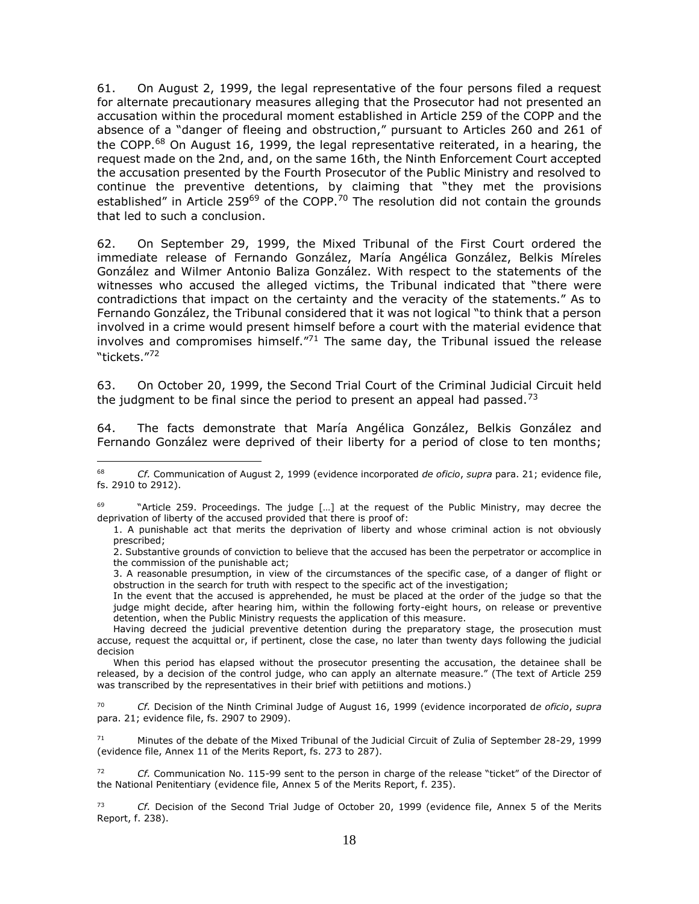61. On August 2, 1999, the legal representative of the four persons filed a request for alternate precautionary measures alleging that the Prosecutor had not presented an accusation within the procedural moment established in Article 259 of the COPP and the absence of a "danger of fleeing and obstruction," pursuant to Articles 260 and 261 of the COPP.<sup>68</sup> On August 16, 1999, the legal representative reiterated, in a hearing, the request made on the 2nd, and, on the same 16th, the Ninth Enforcement Court accepted the accusation presented by the Fourth Prosecutor of the Public Ministry and resolved to continue the preventive detentions, by claiming that "they met the provisions established" in Article 259<sup>69</sup> of the COPP.<sup>70</sup> The resolution did not contain the grounds that led to such a conclusion.

62. On September 29, 1999, the Mixed Tribunal of the First Court ordered the immediate release of Fernando González, María Angélica González, Belkis Míreles González and Wilmer Antonio Baliza González. With respect to the statements of the witnesses who accused the alleged victims, the Tribunal indicated that "there were contradictions that impact on the certainty and the veracity of the statements." As to Fernando González, the Tribunal considered that it was not logical "to think that a person involved in a crime would present himself before a court with the material evidence that involves and compromises himself. $171}$  The same day, the Tribunal issued the release "tickets." 72

63. On October 20, 1999, the Second Trial Court of the Criminal Judicial Circuit held the judgment to be final since the period to present an appeal had passed.<sup>73</sup>

64. The facts demonstrate that María Angélica González, Belkis González and Fernando González were deprived of their liberty for a period of close to ten months;

 $\overline{a}$ 

<sup>70</sup> *Cf.* Decision of the Ninth Criminal Judge of August 16, 1999 (evidence incorporated d*e oficio*, *supra*  para. 21; evidence file, fs. 2907 to 2909).

<sup>71</sup> Minutes of the debate of the Mixed Tribunal of the Judicial Circuit of Zulia of September 28-29, 1999 (evidence file, Annex 11 of the Merits Report, fs. 273 to 287).

<sup>72</sup> *Cf.* Communication No. 115-99 sent to the person in charge of the release "ticket" of the Director of the National Penitentiary (evidence file, Annex 5 of the Merits Report, f. 235).

<sup>73</sup> *Cf.* Decision of the Second Trial Judge of October 20, 1999 (evidence file, Annex 5 of the Merits Report, f. 238).

<sup>68</sup> *Cf.* Communication of August 2, 1999 (evidence incorporated *de oficio*, *supra* para. 21; evidence file, fs. 2910 to 2912).

<sup>&</sup>quot;Article 259. Proceedings. The judge [...] at the request of the Public Ministry, may decree the deprivation of liberty of the accused provided that there is proof of:

<sup>1.</sup> A punishable act that merits the deprivation of liberty and whose criminal action is not obviously prescribed;

<sup>2.</sup> Substantive grounds of conviction to believe that the accused has been the perpetrator or accomplice in the commission of the punishable act;

<sup>3.</sup> A reasonable presumption, in view of the circumstances of the specific case, of a danger of flight or obstruction in the search for truth with respect to the specific act of the investigation;

In the event that the accused is apprehended, he must be placed at the order of the judge so that the judge might decide, after hearing him, within the following forty-eight hours, on release or preventive detention, when the Public Ministry requests the application of this measure.

Having decreed the judicial preventive detention during the preparatory stage, the prosecution must accuse, request the acquittal or, if pertinent, close the case, no later than twenty days following the judicial decision

When this period has elapsed without the prosecutor presenting the accusation, the detainee shall be released, by a decision of the control judge, who can apply an alternate measure." (The text of Article 259 was transcribed by the representatives in their brief with petiitions and motions.)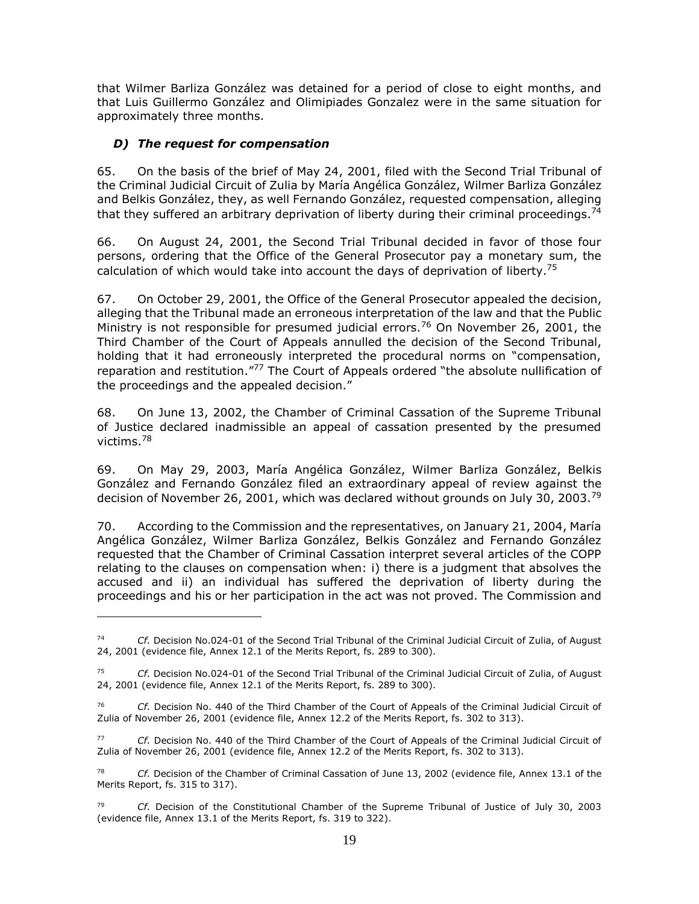that Wilmer Barliza González was detained for a period of close to eight months, and that Luis Guillermo González and Olimipiades Gonzalez were in the same situation for approximately three months.

# <span id="page-18-0"></span>*D) The request for compensation*

 $\overline{a}$ 

65. On the basis of the brief of May 24, 2001, filed with the Second Trial Tribunal of the Criminal Judicial Circuit of Zulia by María Angélica González, Wilmer Barliza González and Belkis González, they, as well Fernando González, requested compensation, alleging that they suffered an arbitrary deprivation of liberty during their criminal proceedings.<sup>74</sup>

66. On August 24, 2001, the Second Trial Tribunal decided in favor of those four persons, ordering that the Office of the General Prosecutor pay a monetary sum, the calculation of which would take into account the days of deprivation of liberty.<sup>75</sup>

67. On October 29, 2001, the Office of the General Prosecutor appealed the decision, alleging that the Tribunal made an erroneous interpretation of the law and that the Public Ministry is not responsible for presumed judicial errors.<sup>76</sup> On November 26, 2001, the Third Chamber of the Court of Appeals annulled the decision of the Second Tribunal, holding that it had erroneously interpreted the procedural norms on "compensation, reparation and restitution."<sup>77</sup> The Court of Appeals ordered "the absolute nullification of the proceedings and the appealed decision."

68. On June 13, 2002, the Chamber of Criminal Cassation of the Supreme Tribunal of Justice declared inadmissible an appeal of cassation presented by the presumed victims.<sup>78</sup>

69. On May 29, 2003, María Angélica González, Wilmer Barliza González, Belkis González and Fernando González filed an extraordinary appeal of review against the decision of November 26, 2001, which was declared without grounds on July 30, 2003.<sup>79</sup>

70. According to the Commission and the representatives, on January 21, 2004, María Angélica González, Wilmer Barliza González, Belkis González and Fernando González requested that the Chamber of Criminal Cassation interpret several articles of the COPP relating to the clauses on compensation when: i) there is a judgment that absolves the accused and ii) an individual has suffered the deprivation of liberty during the proceedings and his or her participation in the act was not proved. The Commission and

<sup>74</sup> *Cf.* Decision No.024-01 of the Second Trial Tribunal of the Criminal Judicial Circuit of Zulia, of August 24, 2001 (evidence file, Annex 12.1 of the Merits Report, fs. 289 to 300).

<sup>75</sup> *Cf.* Decision No.024-01 of the Second Trial Tribunal of the Criminal Judicial Circuit of Zulia, of August 24, 2001 (evidence file, Annex 12.1 of the Merits Report, fs. 289 to 300).

<sup>76</sup> *Cf.* Decision No. 440 of the Third Chamber of the Court of Appeals of the Criminal Judicial Circuit of Zulia of November 26, 2001 (evidence file, Annex 12.2 of the Merits Report, fs. 302 to 313).

<sup>77</sup> *Cf.* Decision No. 440 of the Third Chamber of the Court of Appeals of the Criminal Judicial Circuit of Zulia of November 26, 2001 (evidence file, Annex 12.2 of the Merits Report, fs. 302 to 313).

<sup>78</sup> *Cf.* Decision of the Chamber of Criminal Cassation of June 13, 2002 (evidence file, Annex 13.1 of the Merits Report, fs. 315 to 317).

<sup>79</sup> *Cf.* Decision of the Constitutional Chamber of the Supreme Tribunal of Justice of July 30, 2003 (evidence file, Annex 13.1 of the Merits Report, fs. 319 to 322).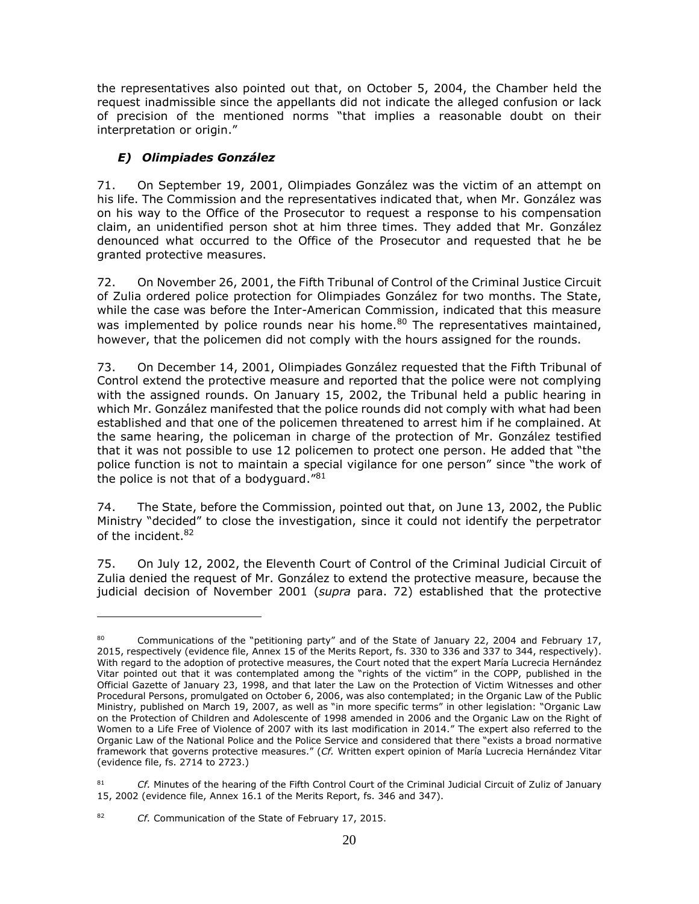the representatives also pointed out that, on October 5, 2004, the Chamber held the request inadmissible since the appellants did not indicate the alleged confusion or lack of precision of the mentioned norms "that implies a reasonable doubt on their interpretation or origin."

# <span id="page-19-0"></span>*E) Olimpiades González*

71. On September 19, 2001, Olimpiades González was the victim of an attempt on his life. The Commission and the representatives indicated that, when Mr. González was on his way to the Office of the Prosecutor to request a response to his compensation claim, an unidentified person shot at him three times. They added that Mr. González denounced what occurred to the Office of the Prosecutor and requested that he be granted protective measures.

72. On November 26, 2001, the Fifth Tribunal of Control of the Criminal Justice Circuit of Zulia ordered police protection for Olimpiades González for two months. The State, while the case was before the Inter-American Commission, indicated that this measure was implemented by police rounds near his home.<sup>80</sup> The representatives maintained, however, that the policemen did not comply with the hours assigned for the rounds.

73. On December 14, 2001, Olimpiades González requested that the Fifth Tribunal of Control extend the protective measure and reported that the police were not complying with the assigned rounds. On January 15, 2002, the Tribunal held a public hearing in which Mr. González manifested that the police rounds did not comply with what had been established and that one of the policemen threatened to arrest him if he complained. At the same hearing, the policeman in charge of the protection of Mr. González testified that it was not possible to use 12 policemen to protect one person. He added that "the police function is not to maintain a special vigilance for one person" since "the work of the police is not that of a bodyguard." $81$ 

74. The State, before the Commission, pointed out that, on June 13, 2002, the Public Ministry "decided" to close the investigation, since it could not identify the perpetrator of the incident.<sup>82</sup>

75. On July 12, 2002, the Eleventh Court of Control of the Criminal Judicial Circuit of Zulia denied the request of Mr. González to extend the protective measure, because the judicial decision of November 2001 (*supra* para. 72) established that the protective

Communications of the "petitioning party" and of the State of January 22, 2004 and February 17, 2015, respectively (evidence file, Annex 15 of the Merits Report, fs. 330 to 336 and 337 to 344, respectively). With regard to the adoption of protective measures, the Court noted that the expert María Lucrecia Hernández Vitar pointed out that it was contemplated among the "rights of the victim" in the COPP, published in the Official Gazette of January 23, 1998, and that later the Law on the Protection of Victim Witnesses and other Procedural Persons, promulgated on October 6, 2006, was also contemplated; in the Organic Law of the Public Ministry, published on March 19, 2007, as well as "in more specific terms" in other legislation: "Organic Law on the Protection of Children and Adolescente of 1998 amended in 2006 and the Organic Law on the Right of Women to a Life Free of Violence of 2007 with its last modification in 2014." The expert also referred to the Organic Law of the National Police and the Police Service and considered that there "exists a broad normative framework that governs protective measures." (*Cf.* Written expert opinion of María Lucrecia Hernández Vitar (evidence file, fs. 2714 to 2723.)

Cf. Minutes of the hearing of the Fifth Control Court of the Criminal Judicial Circuit of Zuliz of January 15, 2002 (evidence file, Annex 16.1 of the Merits Report, fs. 346 and 347).

<sup>82</sup> *Cf.* Communication of the State of February 17, 2015.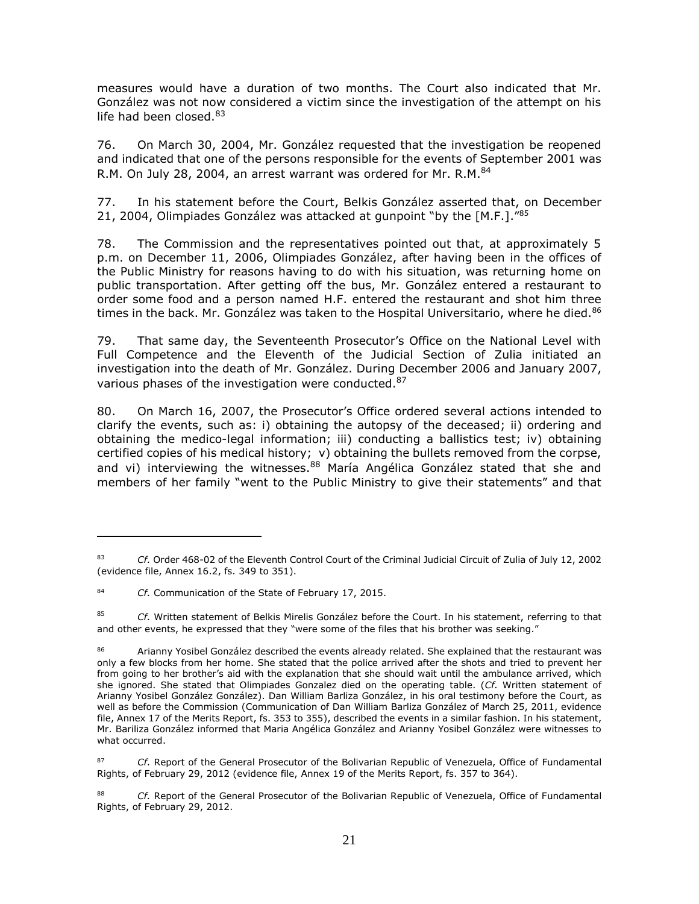measures would have a duration of two months. The Court also indicated that Mr. González was not now considered a victim since the investigation of the attempt on his life had been closed. $83$ 

76. On March 30, 2004, Mr. González requested that the investigation be reopened and indicated that one of the persons responsible for the events of September 2001 was R.M. On July 28, 2004, an arrest warrant was ordered for Mr. R.M.<sup>84</sup>

77. In his statement before the Court, Belkis González asserted that, on December 21, 2004, Olimpiades González was attacked at gunpoint "by the [M.F.]."<sup>85</sup>

78. The Commission and the representatives pointed out that, at approximately 5 p.m. on December 11, 2006, Olimpiades González, after having been in the offices of the Public Ministry for reasons having to do with his situation, was returning home on public transportation. After getting off the bus, Mr. González entered a restaurant to order some food and a person named H.F. entered the restaurant and shot him three times in the back. Mr. González was taken to the Hospital Universitario, where he died.<sup>86</sup>

79. That same day, the Seventeenth Prosecutor's Office on the National Level with Full Competence and the Eleventh of the Judicial Section of Zulia initiated an investigation into the death of Mr. González. During December 2006 and January 2007, various phases of the investigation were conducted.<sup>87</sup>

80. On March 16, 2007, the Prosecutor's Office ordered several actions intended to clarify the events, such as: i) obtaining the autopsy of the deceased; ii) ordering and obtaining the medico-legal information; iii) conducting a ballistics test; iv) obtaining certified copies of his medical history; v) obtaining the bullets removed from the corpse, and vi) interviewing the witnesses.<sup>88</sup> María Angélica González stated that she and members of her family "went to the Public Ministry to give their statements" and that

<sup>83</sup> *Cf.* Order 468-02 of the Eleventh Control Court of the Criminal Judicial Circuit of Zulia of July 12, 2002 (evidence file, Annex 16.2, fs. 349 to 351).

<sup>84</sup> *Cf.* Communication of the State of February 17, 2015.

<sup>85</sup> *Cf.* Written statement of Belkis Mirelis González before the Court. In his statement, referring to that and other events, he expressed that they "were some of the files that his brother was seeking."

Arianny Yosibel González described the events already related. She explained that the restaurant was only a few blocks from her home. She stated that the police arrived after the shots and tried to prevent her from going to her brother's aid with the explanation that she should wait until the ambulance arrived, which she ignored. She stated that Olimpiades Gonzalez died on the operating table. (*Cf.* Written statement of Arianny Yosibel González González). Dan William Barliza González, in his oral testimony before the Court, as well as before the Commission (Communication of Dan William Barliza González of March 25, 2011, evidence file, Annex 17 of the Merits Report, fs. 353 to 355), described the events in a similar fashion. In his statement, Mr. Bariliza González informed that Maria Angélica González and Arianny Yosibel González were witnesses to what occurred.

<sup>87</sup> *Cf.* Report of the General Prosecutor of the Bolivarian Republic of Venezuela, Office of Fundamental Rights, of February 29, 2012 (evidence file, Annex 19 of the Merits Report, fs. 357 to 364).

Cf. Report of the General Prosecutor of the Bolivarian Republic of Venezuela, Office of Fundamental Rights, of February 29, 2012.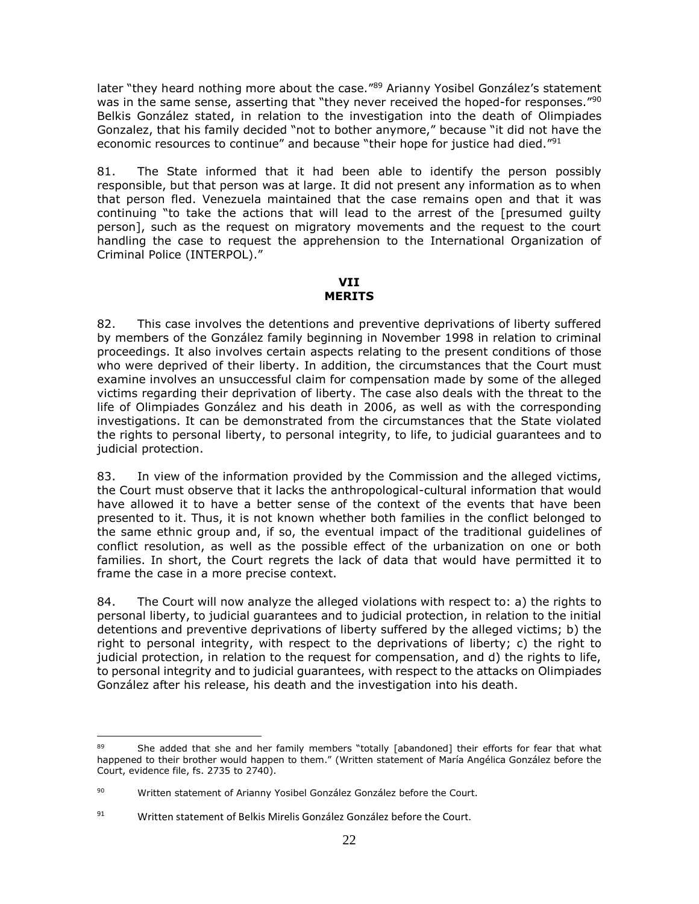later "they heard nothing more about the case."<sup>89</sup> Arianny Yosibel González's statement was in the same sense, asserting that "they never received the hoped-for responses."<sup>90</sup> Belkis González stated, in relation to the investigation into the death of Olimpiades Gonzalez, that his family decided "not to bother anymore," because "it did not have the economic resources to continue" and because "their hope for justice had died."<sup>91</sup>

81. The State informed that it had been able to identify the person possibly responsible, but that person was at large. It did not present any information as to when that person fled. Venezuela maintained that the case remains open and that it was continuing "to take the actions that will lead to the arrest of the [presumed guilty person], such as the request on migratory movements and the request to the court handling the case to request the apprehension to the International Organization of Criminal Police (INTERPOL)."

#### **VII MERITS**

<span id="page-21-1"></span><span id="page-21-0"></span>82. This case involves the detentions and preventive deprivations of liberty suffered by members of the González family beginning in November 1998 in relation to criminal proceedings. It also involves certain aspects relating to the present conditions of those who were deprived of their liberty. In addition, the circumstances that the Court must examine involves an unsuccessful claim for compensation made by some of the alleged victims regarding their deprivation of liberty. The case also deals with the threat to the life of Olimpiades González and his death in 2006, as well as with the corresponding investigations. It can be demonstrated from the circumstances that the State violated the rights to personal liberty, to personal integrity, to life, to judicial guarantees and to judicial protection.

83. In view of the information provided by the Commission and the alleged victims, the Court must observe that it lacks the anthropological-cultural information that would have allowed it to have a better sense of the context of the events that have been presented to it. Thus, it is not known whether both families in the conflict belonged to the same ethnic group and, if so, the eventual impact of the traditional guidelines of conflict resolution, as well as the possible effect of the urbanization on one or both families. In short, the Court regrets the lack of data that would have permitted it to frame the case in a more precise context.

84. The Court will now analyze the alleged violations with respect to: a) the rights to personal liberty, to judicial guarantees and to judicial protection, in relation to the initial detentions and preventive deprivations of liberty suffered by the alleged victims; b) the right to personal integrity, with respect to the deprivations of liberty; c) the right to judicial protection, in relation to the request for compensation, and d) the rights to life, to personal integrity and to judicial guarantees, with respect to the attacks on Olimpiades González after his release, his death and the investigation into his death.

<sup>89</sup> She added that she and her family members "totally [abandoned] their efforts for fear that what happened to their brother would happen to them." (Written statement of María Angélica González before the Court, evidence file, fs. 2735 to 2740).

<sup>90</sup> Written statement of Arianny Yosibel González González before the Court.

<sup>91</sup> Written statement of Belkis Mirelis González González before the Court.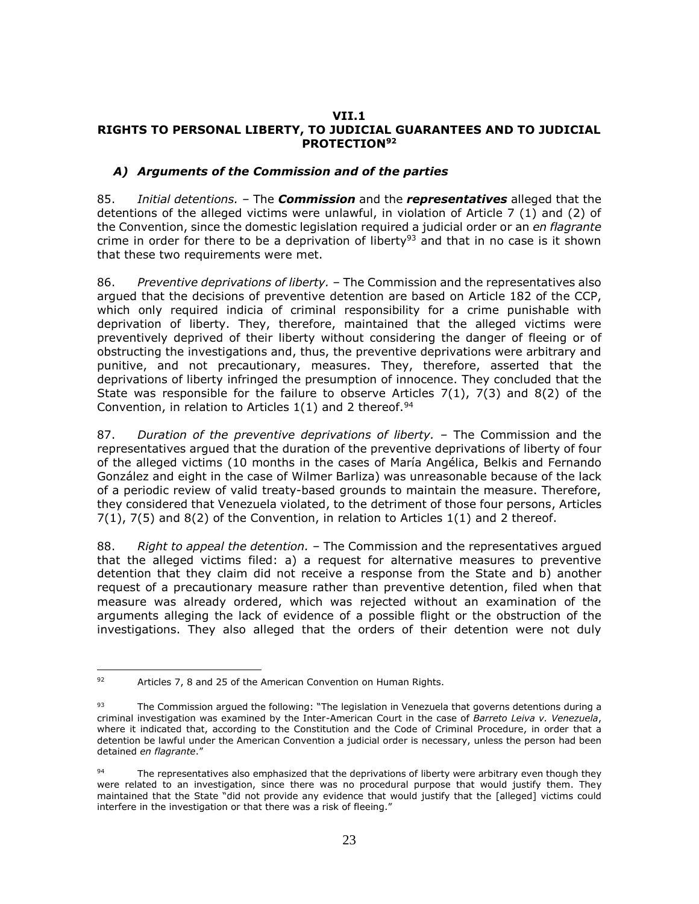#### <span id="page-22-1"></span><span id="page-22-0"></span>**VII.1 RIGHTS TO PERSONAL LIBERTY, TO JUDICIAL GUARANTEES AND TO JUDICIAL PROTECTION<sup>92</sup>**

### <span id="page-22-2"></span>*A) Arguments of the Commission and of the parties*

85. *Initial detentions. –* The *Commission* and the *representatives* alleged that the detentions of the alleged victims were unlawful, in violation of Article 7 (1) and (2) of the Convention, since the domestic legislation required a judicial order or an *en flagrante* crime in order for there to be a deprivation of liberty<sup>93</sup> and that in no case is it shown that these two requirements were met.

86. *Preventive deprivations of liberty. –* The Commission and the representatives also argued that the decisions of preventive detention are based on Article 182 of the CCP, which only required indicia of criminal responsibility for a crime punishable with deprivation of liberty. They, therefore, maintained that the alleged victims were preventively deprived of their liberty without considering the danger of fleeing or of obstructing the investigations and, thus, the preventive deprivations were arbitrary and punitive, and not precautionary, measures. They, therefore, asserted that the deprivations of liberty infringed the presumption of innocence. They concluded that the State was responsible for the failure to observe Articles 7(1), 7(3) and 8(2) of the Convention, in relation to Articles  $1(1)$  and 2 thereof.<sup>94</sup>

87. *Duration of the preventive deprivations of liberty.* – The Commission and the representatives argued that the duration of the preventive deprivations of liberty of four of the alleged victims (10 months in the cases of María Angélica, Belkis and Fernando González and eight in the case of Wilmer Barliza) was unreasonable because of the lack of a periodic review of valid treaty-based grounds to maintain the measure. Therefore, they considered that Venezuela violated, to the detriment of those four persons, Articles  $7(1)$ ,  $7(5)$  and  $8(2)$  of the Convention, in relation to Articles  $1(1)$  and 2 thereof.

88. *Right to appeal the detention. –* The Commission and the representatives argued that the alleged victims filed: a) a request for alternative measures to preventive detention that they claim did not receive a response from the State and b) another request of a precautionary measure rather than preventive detention, filed when that measure was already ordered, which was rejected without an examination of the arguments alleging the lack of evidence of a possible flight or the obstruction of the investigations. They also alleged that the orders of their detention were not duly

 $\overline{a}$ 92 Articles 7, 8 and 25 of the American Convention on Human Rights.

<sup>93</sup> The Commission argued the following: "The legislation in Venezuela that governs detentions during a criminal investigation was examined by the Inter-American Court in the case of *Barreto Leiva v. Venezuela*, where it indicated that, according to the Constitution and the Code of Criminal Procedure, in order that a detention be lawful under the American Convention a judicial order is necessary, unless the person had been detained *en flagrante*."

The representatives also emphasized that the deprivations of liberty were arbitrary even though they were related to an investigation, since there was no procedural purpose that would justify them. They maintained that the State "did not provide any evidence that would justify that the [alleged] victims could interfere in the investigation or that there was a risk of fleeing."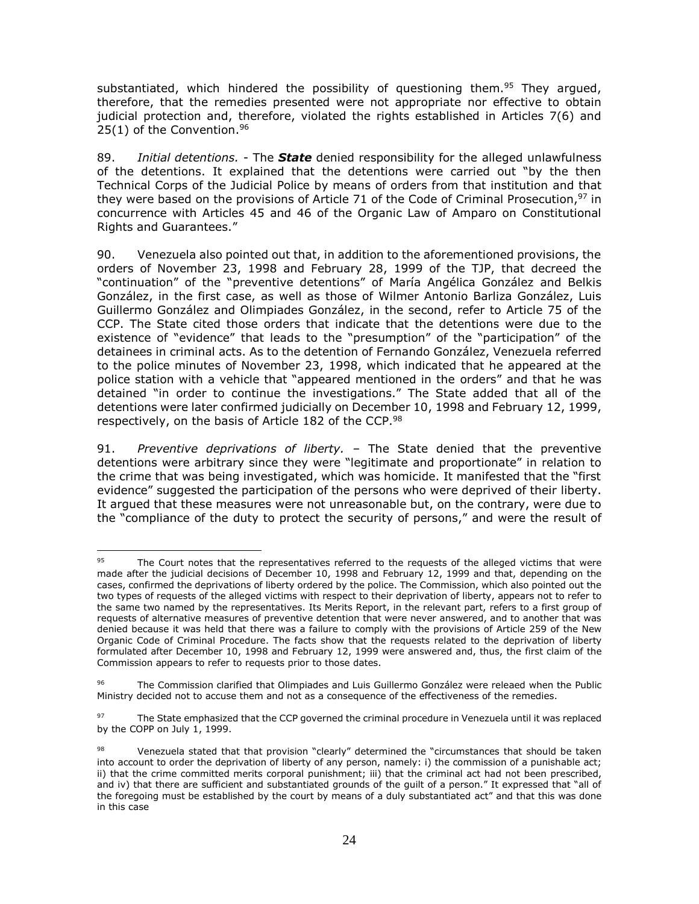substantiated, which hindered the possibility of questioning them.<sup>95</sup> They argued, therefore, that the remedies presented were not appropriate nor effective to obtain judicial protection and, therefore, violated the rights established in Articles 7(6) and  $25(1)$  of the Convention.<sup>96</sup>

89. *Initial detentions. -* The *State* denied responsibility for the alleged unlawfulness of the detentions. It explained that the detentions were carried out "by the then Technical Corps of the Judicial Police by means of orders from that institution and that they were based on the provisions of Article 71 of the Code of Criminal Prosecution,<sup>97</sup> in concurrence with Articles 45 and 46 of the Organic Law of Amparo on Constitutional Rights and Guarantees."

90. Venezuela also pointed out that, in addition to the aforementioned provisions, the orders of November 23, 1998 and February 28, 1999 of the TJP, that decreed the "continuation" of the "preventive detentions" of María Angélica González and Belkis González, in the first case, as well as those of Wilmer Antonio Barliza González, Luis Guillermo González and Olimpiades González, in the second, refer to Article 75 of the CCP. The State cited those orders that indicate that the detentions were due to the existence of "evidence" that leads to the "presumption" of the "participation" of the detainees in criminal acts. As to the detention of Fernando González, Venezuela referred to the police minutes of November 23, 1998, which indicated that he appeared at the police station with a vehicle that "appeared mentioned in the orders" and that he was detained "in order to continue the investigations." The State added that all of the detentions were later confirmed judicially on December 10, 1998 and February 12, 1999, respectively, on the basis of Article 182 of the CCP.<sup>98</sup>

91. *Preventive deprivations of liberty. –* The State denied that the preventive detentions were arbitrary since they were "legitimate and proportionate" in relation to the crime that was being investigated, which was homicide. It manifested that the "first evidence" suggested the participation of the persons who were deprived of their liberty. It argued that these measures were not unreasonable but, on the contrary, were due to the "compliance of the duty to protect the security of persons," and were the result of

 $\overline{a}$ 95 The Court notes that the representatives referred to the requests of the alleged victims that were made after the judicial decisions of December 10, 1998 and February 12, 1999 and that, depending on the cases, confirmed the deprivations of liberty ordered by the police. The Commission, which also pointed out the two types of requests of the alleged victims with respect to their deprivation of liberty, appears not to refer to the same two named by the representatives. Its Merits Report, in the relevant part, refers to a first group of requests of alternative measures of preventive detention that were never answered, and to another that was denied because it was held that there was a failure to comply with the provisions of Article 259 of the New Organic Code of Criminal Procedure. The facts show that the requests related to the deprivation of liberty formulated after December 10, 1998 and February 12, 1999 were answered and, thus, the first claim of the Commission appears to refer to requests prior to those dates.

<sup>96</sup> The Commission clarified that Olimpiades and Luis Guillermo González were releaed when the Public Ministry decided not to accuse them and not as a consequence of the effectiveness of the remedies.

<sup>97</sup> The State emphasized that the CCP governed the criminal procedure in Venezuela until it was replaced by the COPP on July 1, 1999.

<sup>98</sup> Venezuela stated that that provision "clearly" determined the "circumstances that should be taken into account to order the deprivation of liberty of any person, namely: i) the commission of a punishable act; ii) that the crime committed merits corporal punishment; iii) that the criminal act had not been prescribed, and iv) that there are sufficient and substantiated grounds of the guilt of a person." It expressed that "all of the foregoing must be established by the court by means of a duly substantiated act" and that this was done in this case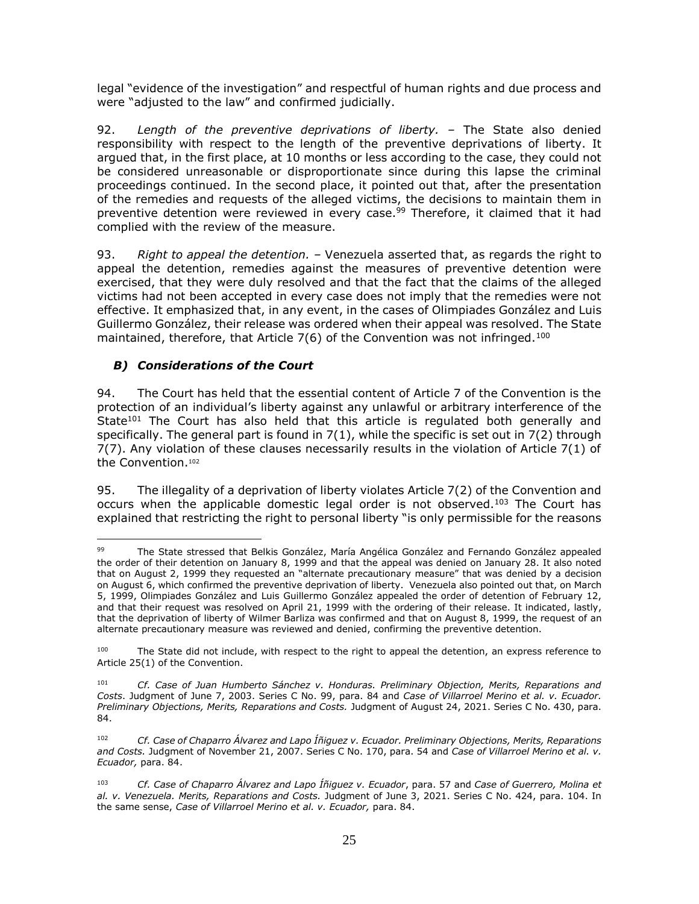legal "evidence of the investigation" and respectful of human rights and due process and were "adjusted to the law" and confirmed judicially.

92. *Length of the preventive deprivations of liberty. –* The State also denied responsibility with respect to the length of the preventive deprivations of liberty. It argued that, in the first place, at 10 months or less according to the case, they could not be considered unreasonable or disproportionate since during this lapse the criminal proceedings continued. In the second place, it pointed out that, after the presentation of the remedies and requests of the alleged victims, the decisions to maintain them in preventive detention were reviewed in every case.<sup>99</sup> Therefore, it claimed that it had complied with the review of the measure.

93. *Right to appeal the detention. –* Venezuela asserted that, as regards the right to appeal the detention, remedies against the measures of preventive detention were exercised, that they were duly resolved and that the fact that the claims of the alleged victims had not been accepted in every case does not imply that the remedies were not effective. It emphasized that, in any event, in the cases of Olimpiades González and Luis Guillermo González, their release was ordered when their appeal was resolved. The State maintained, therefore, that Article 7(6) of the Convention was not infringed.<sup>100</sup>

#### <span id="page-24-0"></span>*B) Considerations of the Court*

94. The Court has held that the essential content of Article 7 of the Convention is the protection of an individual's liberty against any unlawful or arbitrary interference of the State $101$  The Court has also held that this article is regulated both generally and specifically. The general part is found in 7(1), while the specific is set out in 7(2) through 7(7). Any violation of these clauses necessarily results in the violation of Article 7(1) of the Convention.<sup>102</sup>

95. The illegality of a deprivation of liberty violates Article 7(2) of the Convention and occurs when the applicable domestic legal order is not observed.<sup>103</sup> The Court has explained that restricting the right to personal liberty "is only permissible for the reasons

 $\overline{a}$ 99 The State stressed that Belkis González, María Angélica González and Fernando González appealed the order of their detention on January 8, 1999 and that the appeal was denied on January 28. It also noted that on August 2, 1999 they requested an "alternate precautionary measure" that was denied by a decision on August 6, which confirmed the preventive deprivation of liberty. Venezuela also pointed out that, on March 5, 1999, Olimpiades González and Luis Guillermo González appealed the order of detention of February 12, and that their request was resolved on April 21, 1999 with the ordering of their release. It indicated, lastly, that the deprivation of liberty of Wilmer Barliza was confirmed and that on August 8, 1999, the request of an alternate precautionary measure was reviewed and denied, confirming the preventive detention.

<sup>&</sup>lt;sup>100</sup> The State did not include, with respect to the right to appeal the detention, an express reference to Article 25(1) of the Convention.

<sup>101</sup> *Cf. Case of Juan Humberto Sánchez v. Honduras. Preliminary Objection, Merits, Reparations and Costs*. Judgment of June 7, 2003. Series C No. 99, para. 84 and *Case of Villarroel Merino et al. v. Ecuador. Preliminary Objections, Merits, Reparations and Costs.* Judgment of August 24, 2021. Series C No. 430, para. 84.

<sup>102</sup> *Cf. Case of Chaparro Álvarez and Lapo Íñiguez v. Ecuador. Preliminary Objections, Merits, Reparations and Costs.* Judgment of November 21, 2007. Series C No. 170, para. 54 and *Case of Villarroel Merino et al. v. Ecuador,* para. 84.

<sup>103</sup> *Cf. Case of Chaparro Álvarez and Lapo Íñiguez v. Ecuador*, para. 57 and *Case of Guerrero, Molina et al. v. Venezuela. Merits, Reparations and Costs.* Judgment of June 3, 2021. Series C No. 424, para. 104. In the same sense, *Case of Villarroel Merino et al. v. Ecuador,* para. 84.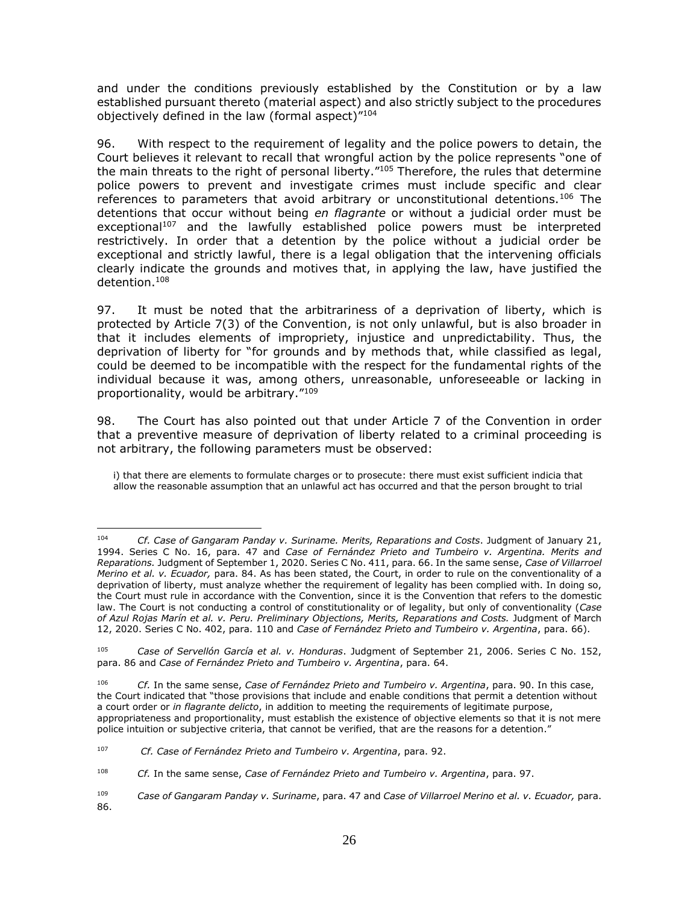and under the conditions previously established by the Constitution or by a law established pursuant thereto (material aspect) and also strictly subject to the procedures objectively defined in the law (formal aspect)"<sup>104</sup>

96. With respect to the requirement of legality and the police powers to detain, the Court believes it relevant to recall that wrongful action by the police represents "one of the main threats to the right of personal liberty."<sup>105</sup> Therefore, the rules that determine police powers to prevent and investigate crimes must include specific and clear references to parameters that avoid arbitrary or unconstitutional detentions.<sup>106</sup> The detentions that occur without being *en flagrante* or without a judicial order must be exceptional<sup>107</sup> and the lawfully established police powers must be interpreted restrictively. In order that a detention by the police without a judicial order be exceptional and strictly lawful, there is a legal obligation that the intervening officials clearly indicate the grounds and motives that, in applying the law, have justified the detention.<sup>108</sup>

97. It must be noted that the arbitrariness of a deprivation of liberty, which is protected by Article 7(3) of the Convention, is not only unlawful, but is also broader in that it includes elements of impropriety, injustice and unpredictability. Thus, the deprivation of liberty for "for grounds and by methods that, while classified as legal, could be deemed to be incompatible with the respect for the fundamental rights of the individual because it was, among others, unreasonable, unforeseeable or lacking in proportionality, would be arbitrary." 109

98. The Court has also pointed out that under Article 7 of the Convention in order that a preventive measure of deprivation of liberty related to a criminal proceeding is not arbitrary, the following parameters must be observed:

i) that there are elements to formulate charges or to prosecute: there must exist sufficient indicia that allow the reasonable assumption that an unlawful act has occurred and that the person brought to trial

 $104$ <sup>104</sup> *Cf. Case of Gangaram Panday v. Suriname. Merits, Reparations and Costs*. Judgment of January 21, 1994. Series C No. 16, para. 47 and *Case of Fernández Prieto and Tumbeiro v. Argentina. Merits and Reparations.* Judgment of September 1, 2020. Series C No. 411, para. 66. In the same sense, *Case of Villarroel Merino et al. v. Ecuador,* para. 84. As has been stated, the Court, in order to rule on the conventionality of a deprivation of liberty, must analyze whether the requirement of legality has been complied with. In doing so, the Court must rule in accordance with the Convention, since it is the Convention that refers to the domestic law. The Court is not conducting a control of constitutionality or of legality, but only of conventionality (*Case of Azul Rojas Marín et al. v. Peru. Preliminary Objections, Merits, Reparations and Costs.* Judgment of March 12, 2020. Series C No. 402, para. 110 and *Case of Fernández Prieto and Tumbeiro v. Argentina*, para. 66).

<sup>105</sup> *Case of Servellón García et al. v. Honduras*. Judgment of September 21, 2006. Series C No. 152, para. 86 and *Case of Fernández Prieto and Tumbeiro v. Argentina*, para. 64.

<sup>106</sup> *Cf.* In the same sense, *Case of Fernández Prieto and Tumbeiro v. Argentina*, para. 90. In this case, the Court indicated that "those provisions that include and enable conditions that permit a detention without a court order or *in flagrante delicto*, in addition to meeting the requirements of legitimate purpose, appropriateness and proportionality, must establish the existence of objective elements so that it is not mere police intuition or subjective criteria, that cannot be verified, that are the reasons for a detention."

<sup>107</sup> *Cf. Case of Fernández Prieto and Tumbeiro v. Argentina*, para. 92.

<sup>108</sup> *Cf.* In the same sense, *Case of Fernández Prieto and Tumbeiro v. Argentina*, para. 97.

<sup>109</sup> *Case of Gangaram Panday v. Suriname*, para. 47 and *Case of Villarroel Merino et al. v. Ecuador,* para. 86.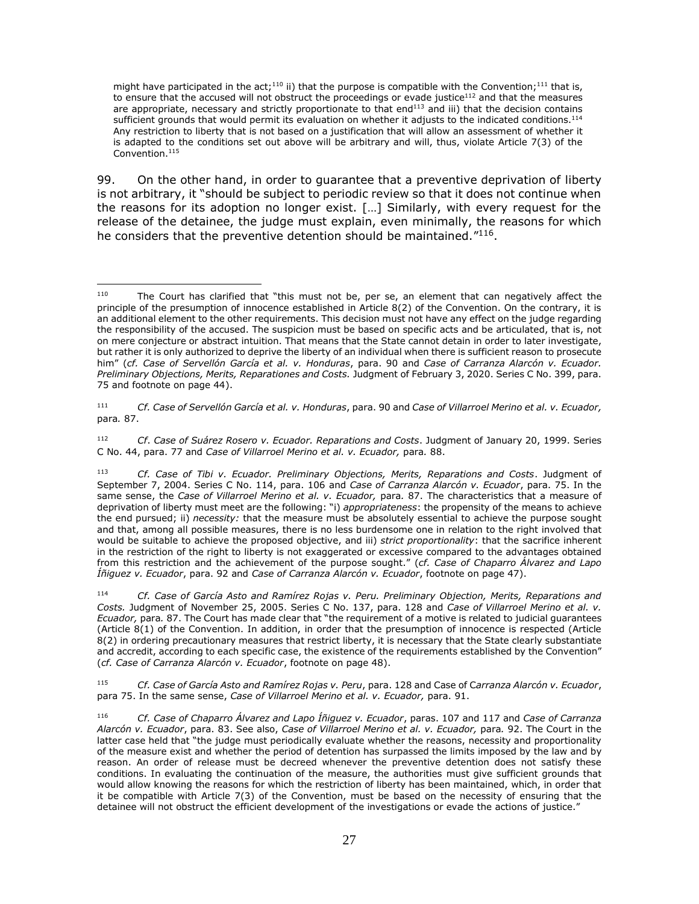might have participated in the act;<sup>110</sup> ii) that the purpose is compatible with the Convention;<sup>111</sup> that is, to ensure that the accused will not obstruct the proceedings or evade justice<sup>112</sup> and that the measures are appropriate, necessary and strictly proportionate to that end $113$  and iii) that the decision contains sufficient grounds that would permit its evaluation on whether it adjusts to the indicated conditions.<sup>114</sup> Any restriction to liberty that is not based on a justification that will allow an assessment of whether it is adapted to the conditions set out above will be arbitrary and will, thus, violate Article 7(3) of the Convention.<sup>115</sup>

99. On the other hand, in order to guarantee that a preventive deprivation of liberty is not arbitrary, it "should be subject to periodic review so that it does not continue when the reasons for its adoption no longer exist. […] Similarly, with every request for the release of the detainee, the judge must explain, even minimally, the reasons for which he considers that the preventive detention should be maintained."<sup>116</sup>.

111 *Cf. Case of Servellón García et al. v. Honduras*, para. 90 and *Case of Villarroel Merino et al. v. Ecuador,*  para*.* 87.

<sup>112</sup> *Cf*. *Case of Suárez Rosero v. Ecuador. Reparations and Costs*. Judgment of January 20, 1999. Series C No. 44, para. 77 and *Case of Villarroel Merino et al. v. Ecuador,* para*.* 88.

<sup>114</sup> *Cf. Case of García Asto and Ramírez Rojas v. Peru. Preliminary Objection, Merits, Reparations and Costs.* Judgment of November 25, 2005. Series C No. 137, para. 128 and *Case of Villarroel Merino et al. v. Ecuador,* para*.* 87. The Court has made clear that "the requirement of a motive is related to judicial guarantees (Article 8(1) of the Convention. In addition, in order that the presumption of innocence is respected (Article 8(2) in ordering precautionary measures that restrict liberty, it is necessary that the State clearly substantiate and accredit, according to each specific case, the existence of the requirements established by the Convention" (*cf. Case of Carranza Alarcón v. Ecuador*, footnote on page 48).

<sup>115</sup> *Cf. Case of García Asto and Ramírez Rojas v. Peru*, para. 128 and Case of C*arranza Alarcón v. Ecuador*, para 75. In the same sense, *Case of Villarroel Merino et al. v. Ecuador,* para. 91.

 $110$ The Court has clarified that "this must not be, per se, an element that can negatively affect the principle of the presumption of innocence established in Article 8(2) of the Convention. On the contrary, it is an additional element to the other requirements. This decision must not have any effect on the judge regarding the responsibility of the accused. The suspicion must be based on specific acts and be articulated, that is, not on mere conjecture or abstract intuition. That means that the State cannot detain in order to later investigate, but rather it is only authorized to deprive the liberty of an individual when there is sufficient reason to prosecute him" (*cf. Case of Servellón García et al. v. Honduras*, para. 90 and *Case of Carranza Alarcón v. Ecuador. Preliminary Objections, Merits, Reparationes and Costs.* Judgment of February 3, 2020. Series C No. 399, para. 75 and footnote on page 44).

<sup>113</sup> *Cf. Case of Tibi v. Ecuador. Preliminary Objections, Merits, Reparations and Costs*. Judgment of September 7, 2004. Series C No. 114, para. 106 and *Case of Carranza Alarcón v. Ecuador*, para. 75. In the same sense, the *Case of Villarroel Merino et al. v. Ecuador,* para. 87. The characteristics that a measure of deprivation of liberty must meet are the following: "i) *appropriateness*: the propensity of the means to achieve the end pursued; ii) *necessity:* that the measure must be absolutely essential to achieve the purpose sought and that, among all possible measures, there is no less burdensome one in relation to the right involved that would be suitable to achieve the proposed objective, and iii) *strict proportionality*: that the sacrifice inherent in the restriction of the right to liberty is not exaggerated or excessive compared to the advantages obtained from this restriction and the achievement of the purpose sought." (*cf. Case of Chaparro Álvarez and Lapo Íñiguez v. Ecuador*, para. 92 and *Case of Carranza Alarcón v. Ecuador*, footnote on page 47).

<sup>116</sup> *Cf. Case of Chaparro Álvarez and Lapo Íñiguez v. Ecuador*, paras. 107 and 117 and *Case of Carranza Alarcón v. Ecuador*, para. 83. See also, *Case of Villarroel Merino et al. v. Ecuador,* para*.* 92. The Court in the latter case held that "the judge must periodically evaluate whether the reasons, necessity and proportionality of the measure exist and whether the period of detention has surpassed the limits imposed by the law and by reason. An order of release must be decreed whenever the preventive detention does not satisfy these conditions. In evaluating the continuation of the measure, the authorities must give sufficient grounds that would allow knowing the reasons for which the restriction of liberty has been maintained, which, in order that it be compatible with Article 7(3) of the Convention, must be based on the necessity of ensuring that the detainee will not obstruct the efficient development of the investigations or evade the actions of justice."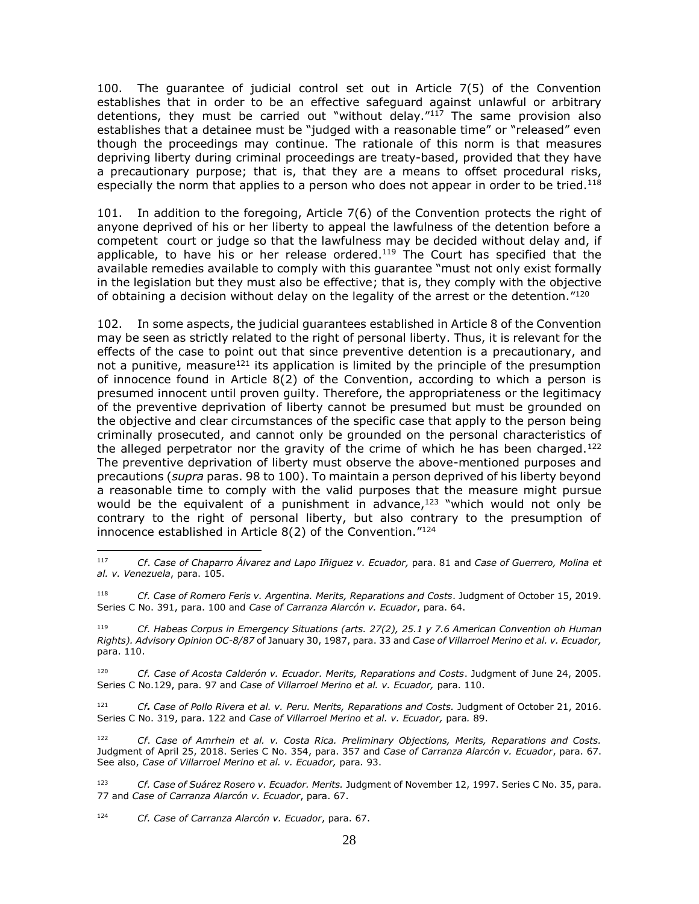100. The guarantee of judicial control set out in Article 7(5) of the Convention establishes that in order to be an effective safeguard against unlawful or arbitrary detentions, they must be carried out "without delay."<sup>117</sup> The same provision also establishes that a detainee must be "judged with a reasonable time" or "released" even though the proceedings may continue. The rationale of this norm is that measures depriving liberty during criminal proceedings are treaty-based, provided that they have a precautionary purpose; that is, that they are a means to offset procedural risks, especially the norm that applies to a person who does not appear in order to be tried.<sup>118</sup>

101. In addition to the foregoing, Article 7(6) of the Convention protects the right of anyone deprived of his or her liberty to appeal the lawfulness of the detention before a competent court or judge so that the lawfulness may be decided without delay and, if applicable, to have his or her release ordered.<sup>119</sup> The Court has specified that the available remedies available to comply with this guarantee "must not only exist formally in the legislation but they must also be effective; that is, they comply with the objective of obtaining a decision without delay on the legality of the arrest or the detention."<sup>120</sup>

102. In some aspects, the judicial guarantees established in Article 8 of the Convention may be seen as strictly related to the right of personal liberty. Thus, it is relevant for the effects of the case to point out that since preventive detention is a precautionary, and not a punitive, measure<sup>121</sup> its application is limited by the principle of the presumption of innocence found in Article 8(2) of the Convention, according to which a person is presumed innocent until proven guilty. Therefore, the appropriateness or the legitimacy of the preventive deprivation of liberty cannot be presumed but must be grounded on the objective and clear circumstances of the specific case that apply to the person being criminally prosecuted, and cannot only be grounded on the personal characteristics of the alleged perpetrator nor the gravity of the crime of which he has been charged.<sup>122</sup> The preventive deprivation of liberty must observe the above-mentioned purposes and precautions (*supra* paras. 98 to 100). To maintain a person deprived of his liberty beyond a reasonable time to comply with the valid purposes that the measure might pursue would be the equivalent of a punishment in advance, $123$  "which would not only be contrary to the right of personal liberty, but also contrary to the presumption of innocence established in Article 8(2) of the Convention." 124

<sup>120</sup> *Cf. Case of Acosta Calderón v. Ecuador. Merits, Reparations and Costs*. Judgment of June 24, 2005. Series C No.129, para. 97 and *Case of Villarroel Merino et al. v. Ecuador*, para. 110.

<sup>121</sup> *Cf. Case of Pollo Rivera et al. v. Peru. Merits, Reparations and Costs.* Judgment of October 21, 2016. Series C No. 319, para. 122 and *Case of Villarroel Merino et al. v. Ecuador,* para*.* 89.

<sup>122</sup> *Cf*. *Case of Amrhein et al. v. Costa Rica. Preliminary Objections, Merits, Reparations and Costs.*  Judgment of April 25, 2018. Series C No. 354, para. 357 and *Case of Carranza Alarcón v. Ecuador*, para. 67. See also, *Case of Villarroel Merino et al. v. Ecuador,* para*.* 93.

<sup>123</sup> *Cf. Case of Suárez Rosero v. Ecuador. Merits.* Judgment of November 12, 1997. Series C No. 35, para. 77 and *Case of Carranza Alarcón v. Ecuador*, para. 67.

<sup>124</sup> *Cf. Case of Carranza Alarcón v. Ecuador*, para. 67.

<sup>117</sup> <sup>117</sup> *Cf*. *Case of Chaparro Álvarez and Lapo Iñiguez v. Ecuador,* para. 81 and *Case of Guerrero, Molina et al. v. Venezuela*, para. 105.

<sup>118</sup> *Cf. Case of Romero Feris v. Argentina. Merits, Reparations and Costs*. Judgment of October 15, 2019. Series C No. 391, para. 100 and *Case of Carranza Alarcón v. Ecuador*, para. 64.

<sup>119</sup> *Cf. Habeas Corpus in Emergency Situations (arts. 27(2), 25.1 y 7.6 American Convention oh Human Rights). Advisory Opinion OC-8/87* of January 30, 1987, para. 33 and *Case of Villarroel Merino et al. v. Ecuador,*  para. 110.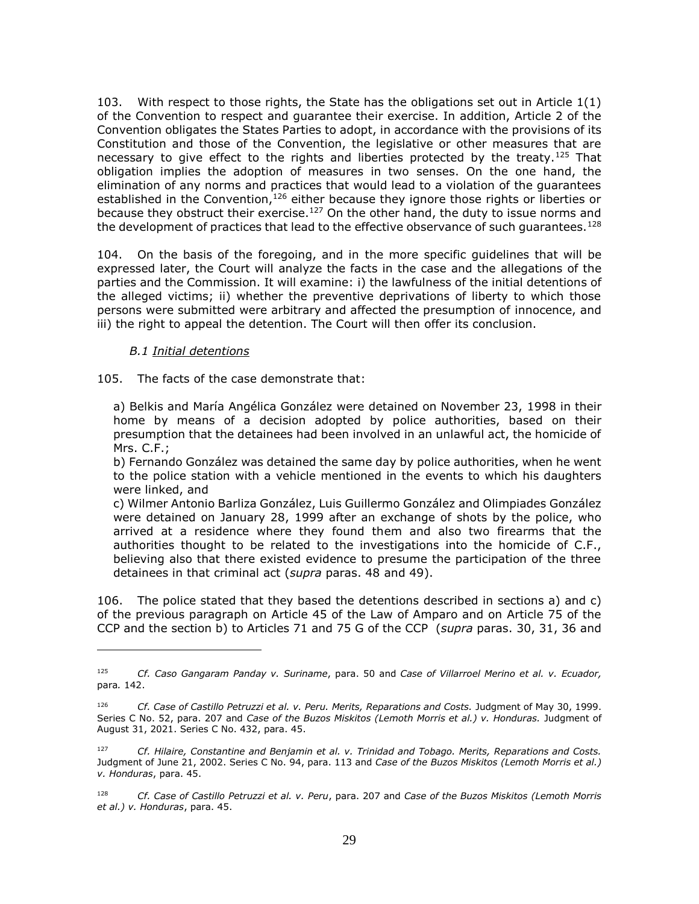103. With respect to those rights, the State has the obligations set out in Article 1(1) of the Convention to respect and guarantee their exercise. In addition, Article 2 of the Convention obligates the States Parties to adopt, in accordance with the provisions of its Constitution and those of the Convention, the legislative or other measures that are necessary to give effect to the rights and liberties protected by the treaty.<sup>125</sup> That obligation implies the adoption of measures in two senses. On the one hand, the elimination of any norms and practices that would lead to a violation of the guarantees established in the Convention,<sup>126</sup> either because they ignore those rights or liberties or because they obstruct their exercise.<sup>127</sup> On the other hand, the duty to issue norms and the development of practices that lead to the effective observance of such quarantees.<sup>128</sup>

104. On the basis of the foregoing, and in the more specific guidelines that will be expressed later, the Court will analyze the facts in the case and the allegations of the parties and the Commission. It will examine: i) the lawfulness of the initial detentions of the alleged victims; ii) whether the preventive deprivations of liberty to which those persons were submitted were arbitrary and affected the presumption of innocence, and iii) the right to appeal the detention. The Court will then offer its conclusion.

#### *B.1 Initial detentions*

 $\overline{a}$ 

<span id="page-28-0"></span>105. The facts of the case demonstrate that:

a) Belkis and María Angélica González were detained on November 23, 1998 in their home by means of a decision adopted by police authorities, based on their presumption that the detainees had been involved in an unlawful act, the homicide of Mrs. C.F.;

b) Fernando González was detained the same day by police authorities, when he went to the police station with a vehicle mentioned in the events to which his daughters were linked, and

c) Wilmer Antonio Barliza González, Luis Guillermo González and Olimpiades González were detained on January 28, 1999 after an exchange of shots by the police, who arrived at a residence where they found them and also two firearms that the authorities thought to be related to the investigations into the homicide of C.F., believing also that there existed evidence to presume the participation of the three detainees in that criminal act (*supra* paras. 48 and 49).

106. The police stated that they based the detentions described in sections a) and c) of the previous paragraph on Article 45 of the Law of Amparo and on Article 75 of the CCP and the section b) to Articles 71 and 75 G of the CCP (*supra* paras. 30, 31, 36 and

<sup>125</sup> *Cf. Caso Gangaram Panday v. Suriname*, para. 50 and *Case of Villarroel Merino et al. v. Ecuador,*  para*.* 142.

<sup>126</sup> *Cf. Case of Castillo Petruzzi et al. v. Peru. Merits, Reparations and Costs.* Judgment of May 30, 1999. Series C No. 52, para. 207 and *Case of the Buzos Miskitos (Lemoth Morris et al.) v. Honduras.* Judgment of August 31, 2021. Series C No. 432, para. 45.

<sup>127</sup> *Cf. Hilaire, Constantine and Benjamin et al. v. Trinidad and Tobago. Merits, Reparations and Costs.* Judgment of June 21, 2002. Series C No. 94, para. 113 and *Case of the Buzos Miskitos (Lemoth Morris et al.) v. Honduras*, para. 45.

<sup>128</sup> *Cf. Case of Castillo Petruzzi et al. v. Peru*, para. 207 and *Case of the Buzos Miskitos (Lemoth Morris et al.) v. Honduras*, para. 45.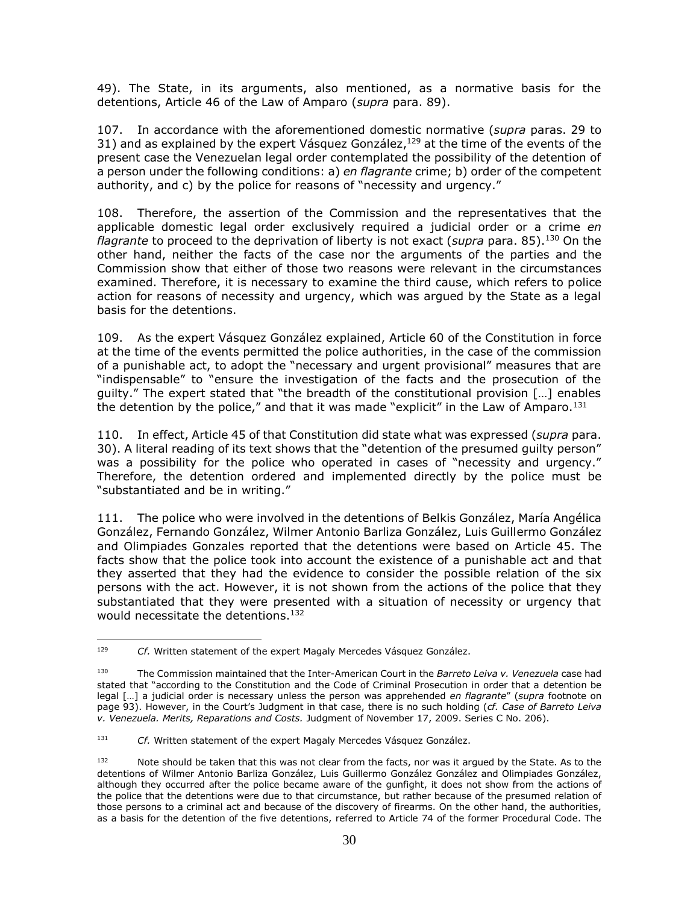49). The State, in its arguments, also mentioned, as a normative basis for the detentions, Article 46 of the Law of Amparo (*supra* para. 89).

107. In accordance with the aforementioned domestic normative (*supra* paras. 29 to 31) and as explained by the expert Vásquez González, $^{129}$  at the time of the events of the present case the Venezuelan legal order contemplated the possibility of the detention of a person under the following conditions: a) *en flagrante* crime; b) order of the competent authority, and c) by the police for reasons of "necessity and urgency."

108. Therefore, the assertion of the Commission and the representatives that the applicable domestic legal order exclusively required a judicial order or a crime *en flagrante* to proceed to the deprivation of liberty is not exact (*supra* para. 85). <sup>130</sup> On the other hand, neither the facts of the case nor the arguments of the parties and the Commission show that either of those two reasons were relevant in the circumstances examined. Therefore, it is necessary to examine the third cause, which refers to police action for reasons of necessity and urgency, which was argued by the State as a legal basis for the detentions.

109. As the expert Vásquez González explained, Article 60 of the Constitution in force at the time of the events permitted the police authorities, in the case of the commission of a punishable act, to adopt the "necessary and urgent provisional" measures that are "indispensable" to "ensure the investigation of the facts and the prosecution of the guilty." The expert stated that "the breadth of the constitutional provision […] enables the detention by the police," and that it was made "explicit" in the Law of Amparo. $131$ 

110. In effect, Article 45 of that Constitution did state what was expressed (*supra* para. 30). A literal reading of its text shows that the "detention of the presumed guilty person" was a possibility for the police who operated in cases of "necessity and urgency." Therefore, the detention ordered and implemented directly by the police must be "substantiated and be in writing."

111. The police who were involved in the detentions of Belkis González, María Angélica González, Fernando González, Wilmer Antonio Barliza González, Luis Guillermo González and Olimpiades Gonzales reported that the detentions were based on Article 45. The facts show that the police took into account the existence of a punishable act and that they asserted that they had the evidence to consider the possible relation of the six persons with the act. However, it is not shown from the actions of the police that they substantiated that they were presented with a situation of necessity or urgency that would necessitate the detentions. 132

 $\overline{a}$ <sup>129</sup> *Cf.* Written statement of the expert Magaly Mercedes Vásquez González.

<sup>130</sup> The Commission maintained that the Inter-American Court in the *Barreto Leiva v. Venezuela* case had stated that "according to the Constitution and the Code of Criminal Prosecution in order that a detention be legal […] a judicial order is necessary unless the person was apprehended *en flagrante*" (*supra* footnote on page 93). However, in the Court's Judgment in that case, there is no such holding (*cf. Case of Barreto Leiva v. Venezuela. Merits, Reparations and Costs.* Judgment of November 17, 2009. Series C No. 206).

<sup>131</sup> *Cf.* Written statement of the expert Magaly Mercedes Vásquez González.

<sup>132</sup> Note should be taken that this was not clear from the facts, nor was it argued by the State. As to the detentions of Wilmer Antonio Barliza González, Luis Guillermo González González and Olimpiades González, although they occurred after the police became aware of the gunfight, it does not show from the actions of the police that the detentions were due to that circumstance, but rather because of the presumed relation of those persons to a criminal act and because of the discovery of firearms. On the other hand, the authorities, as a basis for the detention of the five detentions, referred to Article 74 of the former Procedural Code. The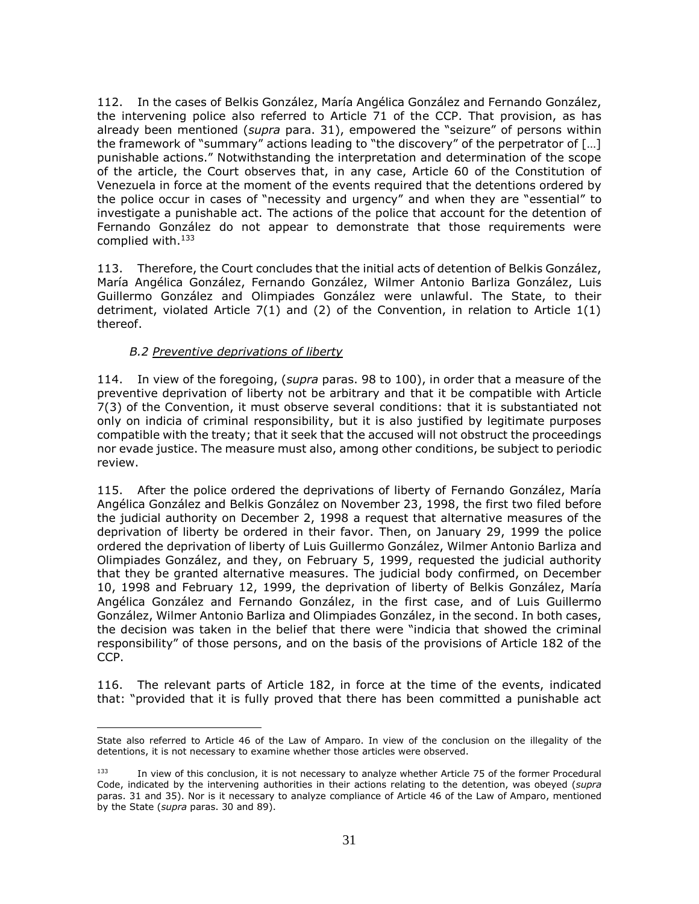112. In the cases of Belkis González, María Angélica González and Fernando González, the intervening police also referred to Article 71 of the CCP. That provision, as has already been mentioned (*supra* para. 31), empowered the "seizure" of persons within the framework of "summary" actions leading to "the discovery" of the perpetrator of […] punishable actions." Notwithstanding the interpretation and determination of the scope of the article, the Court observes that, in any case, Article 60 of the Constitution of Venezuela in force at the moment of the events required that the detentions ordered by the police occur in cases of "necessity and urgency" and when they are "essential" to investigate a punishable act. The actions of the police that account for the detention of Fernando González do not appear to demonstrate that those requirements were complied with.<sup>133</sup>

113. Therefore, the Court concludes that the initial acts of detention of Belkis González, María Angélica González, Fernando González, Wilmer Antonio Barliza González, Luis Guillermo González and Olimpiades González were unlawful. The State, to their detriment, violated Article  $7(1)$  and (2) of the Convention, in relation to Article  $1(1)$ thereof.

#### *B.2 Preventive deprivations of liberty*

<span id="page-30-0"></span>114. In view of the foregoing, (*supra* paras. 98 to 100), in order that a measure of the preventive deprivation of liberty not be arbitrary and that it be compatible with Article 7(3) of the Convention, it must observe several conditions: that it is substantiated not only on indicia of criminal responsibility, but it is also justified by legitimate purposes compatible with the treaty; that it seek that the accused will not obstruct the proceedings nor evade justice. The measure must also, among other conditions, be subject to periodic review.

115. After the police ordered the deprivations of liberty of Fernando González, María Angélica González and Belkis González on November 23, 1998, the first two filed before the judicial authority on December 2, 1998 a request that alternative measures of the deprivation of liberty be ordered in their favor. Then, on January 29, 1999 the police ordered the deprivation of liberty of Luis Guillermo González, Wilmer Antonio Barliza and Olimpiades González, and they, on February 5, 1999, requested the judicial authority that they be granted alternative measures. The judicial body confirmed, on December 10, 1998 and February 12, 1999, the deprivation of liberty of Belkis González, María Angélica González and Fernando González, in the first case, and of Luis Guillermo González, Wilmer Antonio Barliza and Olimpiades González, in the second. In both cases, the decision was taken in the belief that there were "indicia that showed the criminal responsibility" of those persons, and on the basis of the provisions of Article 182 of the CCP.

116. The relevant parts of Article 182, in force at the time of the events, indicated that: "provided that it is fully proved that there has been committed a punishable act

 $\overline{a}$ State also referred to Article 46 of the Law of Amparo. In view of the conclusion on the illegality of the detentions, it is not necessary to examine whether those articles were observed.

<sup>133</sup> In view of this conclusion, it is not necessary to analyze whether Article 75 of the former Procedural Code, indicated by the intervening authorities in their actions relating to the detention, was obeyed (*supra*  paras. 31 and 35). Nor is it necessary to analyze compliance of Article 46 of the Law of Amparo, mentioned by the State (*supra* paras. 30 and 89).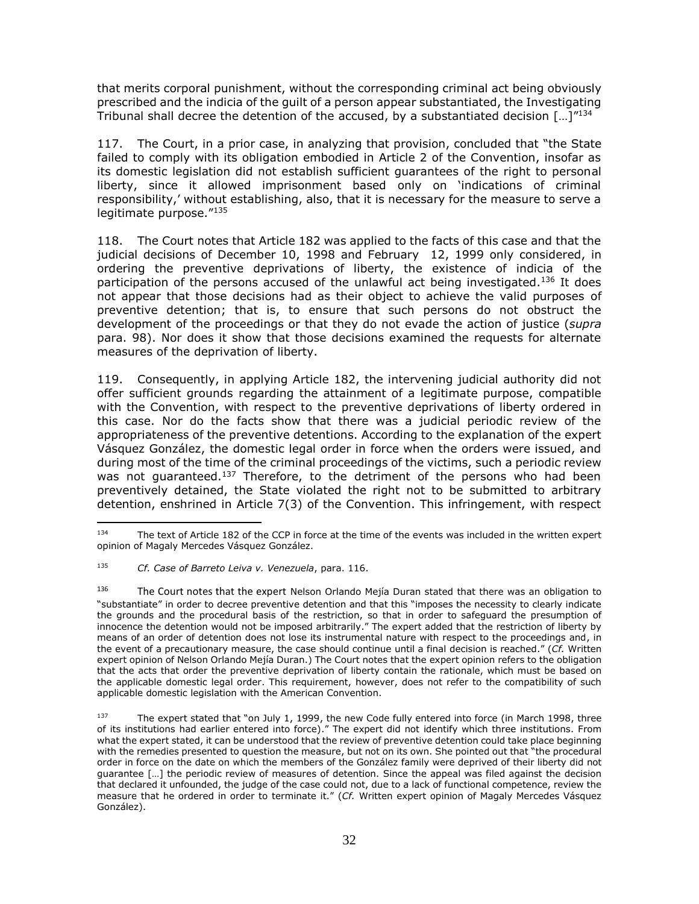that merits corporal punishment, without the corresponding criminal act being obviously prescribed and the indicia of the guilt of a person appear substantiated, the Investigating Tribunal shall decree the detention of the accused, by a substantiated decision  $\left[ \ldots \right]^{n_{134}}$ 

117. The Court, in a prior case, in analyzing that provision, concluded that "the State failed to comply with its obligation embodied in Article 2 of the Convention, insofar as its domestic legislation did not establish sufficient guarantees of the right to personal liberty, since it allowed imprisonment based only on 'indications of criminal responsibility,' without establishing, also, that it is necessary for the measure to serve a legitimate purpose."<sup>135</sup>

118. The Court notes that Article 182 was applied to the facts of this case and that the judicial decisions of December 10, 1998 and February 12, 1999 only considered, in ordering the preventive deprivations of liberty, the existence of indicia of the participation of the persons accused of the unlawful act being investigated.<sup>136</sup> It does not appear that those decisions had as their object to achieve the valid purposes of preventive detention; that is, to ensure that such persons do not obstruct the development of the proceedings or that they do not evade the action of justice (*supra*  para. 98). Nor does it show that those decisions examined the requests for alternate measures of the deprivation of liberty.

119. Consequently, in applying Article 182, the intervening judicial authority did not offer sufficient grounds regarding the attainment of a legitimate purpose, compatible with the Convention, with respect to the preventive deprivations of liberty ordered in this case. Nor do the facts show that there was a judicial periodic review of the appropriateness of the preventive detentions. According to the explanation of the expert Vásquez González, the domestic legal order in force when the orders were issued, and during most of the time of the criminal proceedings of the victims, such a periodic review was not guaranteed.<sup>137</sup> Therefore, to the detriment of the persons who had been preventively detained, the State violated the right not to be submitted to arbitrary detention, enshrined in Article 7(3) of the Convention. This infringement, with respect

 $\overline{a}$ <sup>134</sup> The text of Article 182 of the CCP in force at the time of the events was included in the written expert opinion of Magaly Mercedes Vásquez González.

<sup>135</sup> *Cf. Case of Barreto Leiva v. Venezuela*, para. 116.

<sup>136</sup> The Court notes that the expert Nelson Orlando Mejía Duran stated that there was an obligation to "substantiate" in order to decree preventive detention and that this "imposes the necessity to clearly indicate the grounds and the procedural basis of the restriction, so that in order to safeguard the presumption of innocence the detention would not be imposed arbitrarily." The expert added that the restriction of liberty by means of an order of detention does not lose its instrumental nature with respect to the proceedings and, in the event of a precautionary measure, the case should continue until a final decision is reached." (*Cf.* Written expert opinion of Nelson Orlando Mejía Duran.) The Court notes that the expert opinion refers to the obligation that the acts that order the preventive deprivation of liberty contain the rationale, which must be based on the applicable domestic legal order. This requirement, however, does not refer to the compatibility of such applicable domestic legislation with the American Convention.

<sup>137</sup> The expert stated that "on July 1, 1999, the new Code fully entered into force (in March 1998, three of its institutions had earlier entered into force)." The expert did not identify which three institutions. From what the expert stated, it can be understood that the review of preventive detention could take place beginning with the remedies presented to question the measure, but not on its own. She pointed out that "the procedural order in force on the date on which the members of the González family were deprived of their liberty did not guarantee […] the periodic review of measures of detention. Since the appeal was filed against the decision that declared it unfounded, the judge of the case could not, due to a lack of functional competence, review the measure that he ordered in order to terminate it." (*Cf.* Written expert opinion of Magaly Mercedes Vásquez González).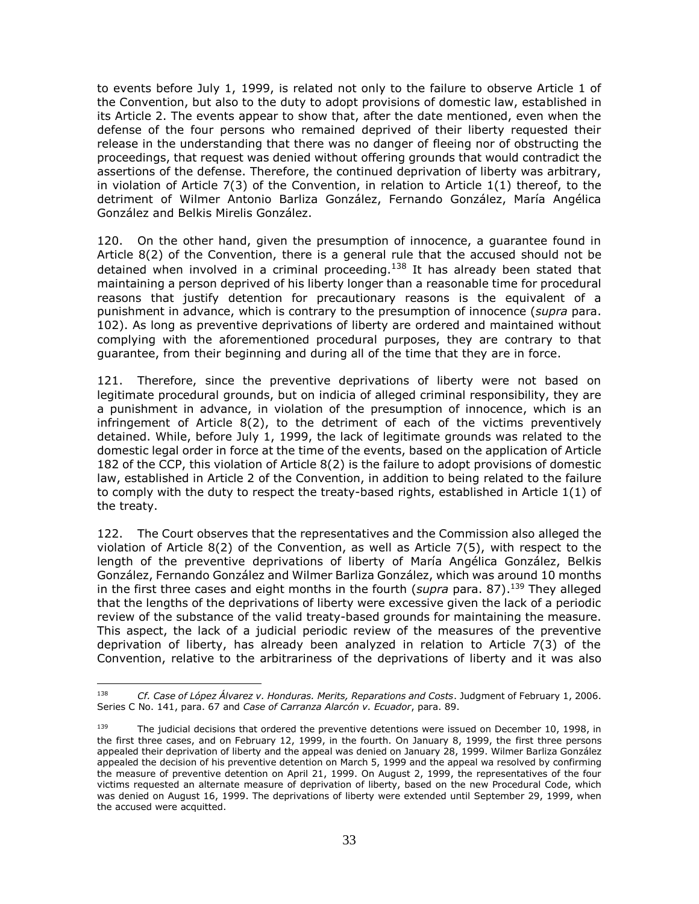to events before July 1, 1999, is related not only to the failure to observe Article 1 of the Convention, but also to the duty to adopt provisions of domestic law, established in its Article 2. The events appear to show that, after the date mentioned, even when the defense of the four persons who remained deprived of their liberty requested their release in the understanding that there was no danger of fleeing nor of obstructing the proceedings, that request was denied without offering grounds that would contradict the assertions of the defense. Therefore, the continued deprivation of liberty was arbitrary, in violation of Article 7(3) of the Convention, in relation to Article 1(1) thereof, to the detriment of Wilmer Antonio Barliza González, Fernando González, María Angélica González and Belkis Mirelis González.

120. On the other hand, given the presumption of innocence, a guarantee found in Article 8(2) of the Convention, there is a general rule that the accused should not be detained when involved in a criminal proceeding. $138$  It has already been stated that maintaining a person deprived of his liberty longer than a reasonable time for procedural reasons that justify detention for precautionary reasons is the equivalent of a punishment in advance, which is contrary to the presumption of innocence (*supra* para. 102). As long as preventive deprivations of liberty are ordered and maintained without complying with the aforementioned procedural purposes, they are contrary to that guarantee, from their beginning and during all of the time that they are in force.

121. Therefore, since the preventive deprivations of liberty were not based on legitimate procedural grounds, but on indicia of alleged criminal responsibility, they are a punishment in advance, in violation of the presumption of innocence, which is an infringement of Article 8(2), to the detriment of each of the victims preventively detained. While, before July 1, 1999, the lack of legitimate grounds was related to the domestic legal order in force at the time of the events, based on the application of Article 182 of the CCP, this violation of Article 8(2) is the failure to adopt provisions of domestic law, established in Article 2 of the Convention, in addition to being related to the failure to comply with the duty to respect the treaty-based rights, established in Article 1(1) of the treaty.

122. The Court observes that the representatives and the Commission also alleged the violation of Article 8(2) of the Convention, as well as Article 7(5), with respect to the length of the preventive deprivations of liberty of María Angélica González, Belkis González, Fernando González and Wilmer Barliza González, which was around 10 months in the first three cases and eight months in the fourth (*supra* para. 87). <sup>139</sup> They alleged that the lengths of the deprivations of liberty were excessive given the lack of a periodic review of the substance of the valid treaty-based grounds for maintaining the measure. This aspect, the lack of a judicial periodic review of the measures of the preventive deprivation of liberty, has already been analyzed in relation to Article 7(3) of the Convention, relative to the arbitrariness of the deprivations of liberty and it was also

<sup>138</sup> *Cf. Case of López Álvarez v. Honduras. Merits, Reparations and Costs*. Judgment of February 1, 2006. Series C No. 141, para. 67 and *Case of Carranza Alarcón v. Ecuador*, para. 89.

<sup>&</sup>lt;sup>139</sup> The judicial decisions that ordered the preventive detentions were issued on December 10, 1998, in the first three cases, and on February 12, 1999, in the fourth. On January 8, 1999, the first three persons appealed their deprivation of liberty and the appeal was denied on January 28, 1999. Wilmer Barliza González appealed the decision of his preventive detention on March 5, 1999 and the appeal wa resolved by confirming the measure of preventive detention on April 21, 1999. On August 2, 1999, the representatives of the four victims requested an alternate measure of deprivation of liberty, based on the new Procedural Code, which was denied on August 16, 1999. The deprivations of liberty were extended until September 29, 1999, when the accused were acquitted.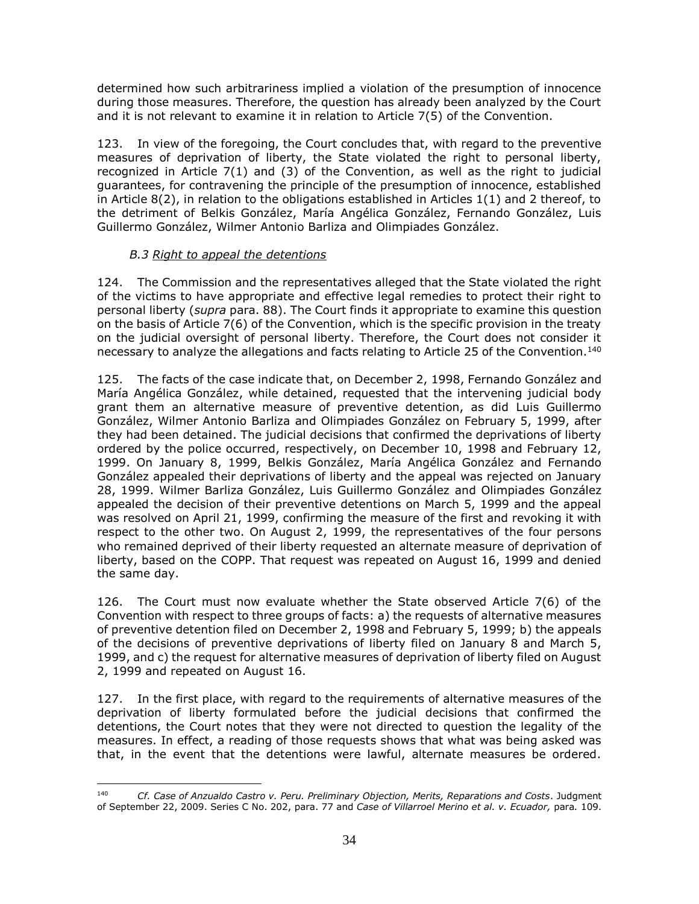determined how such arbitrariness implied a violation of the presumption of innocence during those measures. Therefore, the question has already been analyzed by the Court and it is not relevant to examine it in relation to Article 7(5) of the Convention.

123. In view of the foregoing, the Court concludes that, with regard to the preventive measures of deprivation of liberty, the State violated the right to personal liberty, recognized in Article 7(1) and (3) of the Convention, as well as the right to judicial guarantees, for contravening the principle of the presumption of innocence, established in Article 8(2), in relation to the obligations established in Articles 1(1) and 2 thereof, to the detriment of Belkis González, María Angélica González, Fernando González, Luis Guillermo González, Wilmer Antonio Barliza and Olimpiades González.

# *B.3 Right to appeal the detentions*

<span id="page-33-0"></span>124. The Commission and the representatives alleged that the State violated the right of the victims to have appropriate and effective legal remedies to protect their right to personal liberty (*supra* para. 88). The Court finds it appropriate to examine this question on the basis of Article 7(6) of the Convention, which is the specific provision in the treaty on the judicial oversight of personal liberty. Therefore, the Court does not consider it necessary to analyze the allegations and facts relating to Article 25 of the Convention.<sup>140</sup>

125. The facts of the case indicate that, on December 2, 1998, Fernando González and María Angélica González, while detained, requested that the intervening judicial body grant them an alternative measure of preventive detention, as did Luis Guillermo González, Wilmer Antonio Barliza and Olimpiades González on February 5, 1999, after they had been detained. The judicial decisions that confirmed the deprivations of liberty ordered by the police occurred, respectively, on December 10, 1998 and February 12, 1999. On January 8, 1999, Belkis González, María Angélica González and Fernando González appealed their deprivations of liberty and the appeal was rejected on January 28, 1999. Wilmer Barliza González, Luis Guillermo González and Olimpiades González appealed the decision of their preventive detentions on March 5, 1999 and the appeal was resolved on April 21, 1999, confirming the measure of the first and revoking it with respect to the other two. On August 2, 1999, the representatives of the four persons who remained deprived of their liberty requested an alternate measure of deprivation of liberty, based on the COPP. That request was repeated on August 16, 1999 and denied the same day.

126. The Court must now evaluate whether the State observed Article 7(6) of the Convention with respect to three groups of facts: a) the requests of alternative measures of preventive detention filed on December 2, 1998 and February 5, 1999; b) the appeals of the decisions of preventive deprivations of liberty filed on January 8 and March 5, 1999, and c) the request for alternative measures of deprivation of liberty filed on August 2, 1999 and repeated on August 16.

127. In the first place, with regard to the requirements of alternative measures of the deprivation of liberty formulated before the judicial decisions that confirmed the detentions, the Court notes that they were not directed to question the legality of the measures. In effect, a reading of those requests shows that what was being asked was that, in the event that the detentions were lawful, alternate measures be ordered.

 $\overline{a}$ 140 *Cf. Case of Anzualdo Castro v. Peru. Preliminary Objection, Merits, Reparations and Costs*. Judgment of September 22, 2009. Series C No. 202, para. 77 and *Case of Villarroel Merino et al. v. Ecuador,* para*.* 109.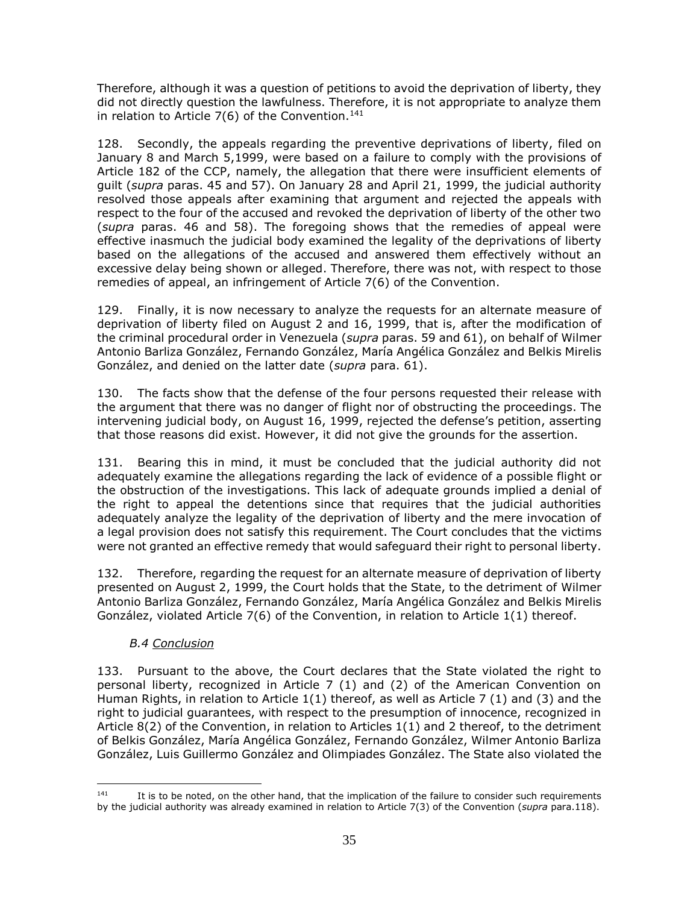Therefore, although it was a question of petitions to avoid the deprivation of liberty, they did not directly question the lawfulness. Therefore, it is not appropriate to analyze them in relation to Article  $7(6)$  of the Convention.<sup>141</sup>

128. Secondly, the appeals regarding the preventive deprivations of liberty, filed on January 8 and March 5,1999, were based on a failure to comply with the provisions of Article 182 of the CCP, namely, the allegation that there were insufficient elements of guilt (*supra* paras. 45 and 57). On January 28 and April 21, 1999, the judicial authority resolved those appeals after examining that argument and rejected the appeals with respect to the four of the accused and revoked the deprivation of liberty of the other two (*supra* paras. 46 and 58). The foregoing shows that the remedies of appeal were effective inasmuch the judicial body examined the legality of the deprivations of liberty based on the allegations of the accused and answered them effectively without an excessive delay being shown or alleged. Therefore, there was not, with respect to those remedies of appeal, an infringement of Article 7(6) of the Convention.

129. Finally, it is now necessary to analyze the requests for an alternate measure of deprivation of liberty filed on August 2 and 16, 1999, that is, after the modification of the criminal procedural order in Venezuela (*supra* paras. 59 and 61), on behalf of Wilmer Antonio Barliza González, Fernando González, María Angélica González and Belkis Mirelis González, and denied on the latter date (*supra* para. 61).

130. The facts show that the defense of the four persons requested their release with the argument that there was no danger of flight nor of obstructing the proceedings. The intervening judicial body, on August 16, 1999, rejected the defense's petition, asserting that those reasons did exist. However, it did not give the grounds for the assertion.

131. Bearing this in mind, it must be concluded that the judicial authority did not adequately examine the allegations regarding the lack of evidence of a possible flight or the obstruction of the investigations. This lack of adequate grounds implied a denial of the right to appeal the detentions since that requires that the judicial authorities adequately analyze the legality of the deprivation of liberty and the mere invocation of a legal provision does not satisfy this requirement. The Court concludes that the victims were not granted an effective remedy that would safeguard their right to personal liberty.

132. Therefore, regarding the request for an alternate measure of deprivation of liberty presented on August 2, 1999, the Court holds that the State, to the detriment of Wilmer Antonio Barliza González, Fernando González, María Angélica González and Belkis Mirelis González, violated Article 7(6) of the Convention, in relation to Article 1(1) thereof.

# *B.4 Conclusion*

 $\overline{a}$ 

<span id="page-34-0"></span>133. Pursuant to the above, the Court declares that the State violated the right to personal liberty, recognized in Article 7 (1) and (2) of the American Convention on Human Rights, in relation to Article 1(1) thereof, as well as Article 7 (1) and (3) and the right to judicial guarantees, with respect to the presumption of innocence, recognized in Article 8(2) of the Convention, in relation to Articles 1(1) and 2 thereof, to the detriment of Belkis González, María Angélica González, Fernando González, Wilmer Antonio Barliza González, Luis Guillermo González and Olimpiades González. The State also violated the

<sup>&</sup>lt;sup>141</sup> It is to be noted, on the other hand, that the implication of the failure to consider such requirements by the judicial authority was already examined in relation to Article 7(3) of the Convention (*supra* para.118).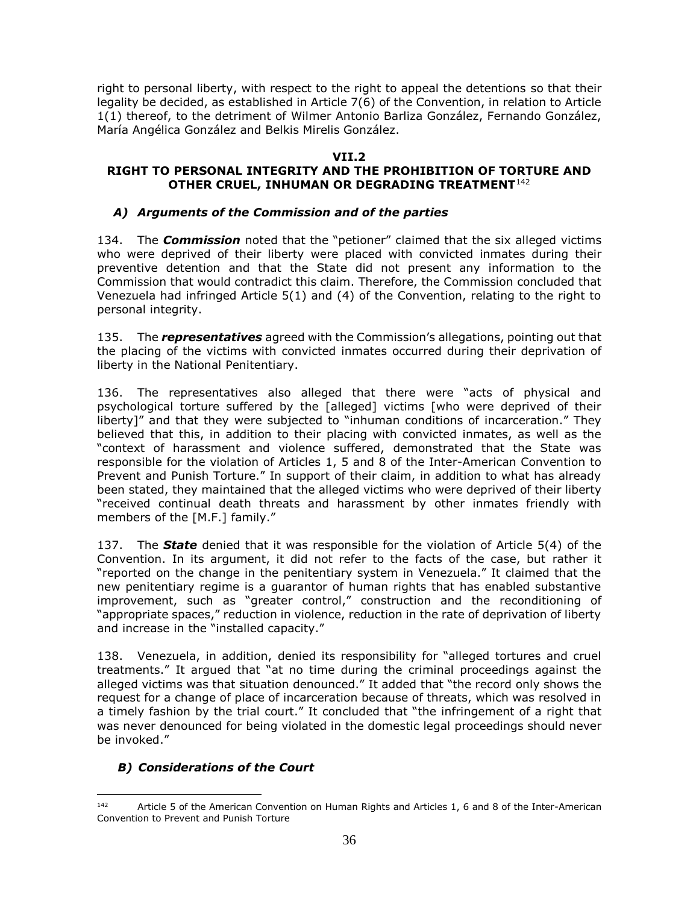right to personal liberty, with respect to the right to appeal the detentions so that their legality be decided, as established in Article 7(6) of the Convention, in relation to Article 1(1) thereof, to the detriment of Wilmer Antonio Barliza González, Fernando González, María Angélica González and Belkis Mirelis González.

# **VII.2**

# <span id="page-35-1"></span><span id="page-35-0"></span>**RIGHT TO PERSONAL INTEGRITY AND THE PROHIBITION OF TORTURE AND OTHER CRUEL, INHUMAN OR DEGRADING TREATMENT**<sup>142</sup>

# <span id="page-35-2"></span>*A) Arguments of the Commission and of the parties*

134. The *Commission* noted that the "petioner" claimed that the six alleged victims who were deprived of their liberty were placed with convicted inmates during their preventive detention and that the State did not present any information to the Commission that would contradict this claim. Therefore, the Commission concluded that Venezuela had infringed Article 5(1) and (4) of the Convention, relating to the right to personal integrity.

135. The *representatives* agreed with the Commission's allegations, pointing out that the placing of the victims with convicted inmates occurred during their deprivation of liberty in the National Penitentiary.

136. The representatives also alleged that there were "acts of physical and psychological torture suffered by the [alleged] victims [who were deprived of their liberty]" and that they were subjected to "inhuman conditions of incarceration." They believed that this, in addition to their placing with convicted inmates, as well as the "context of harassment and violence suffered, demonstrated that the State was responsible for the violation of Articles 1, 5 and 8 of the Inter-American Convention to Prevent and Punish Torture." In support of their claim, in addition to what has already been stated, they maintained that the alleged victims who were deprived of their liberty "received continual death threats and harassment by other inmates friendly with members of the [M.F.] family."

137. The *State* denied that it was responsible for the violation of Article 5(4) of the Convention. In its argument, it did not refer to the facts of the case, but rather it "reported on the change in the penitentiary system in Venezuela." It claimed that the new penitentiary regime is a guarantor of human rights that has enabled substantive improvement, such as "greater control," construction and the reconditioning of "appropriate spaces," reduction in violence, reduction in the rate of deprivation of liberty and increase in the "installed capacity."

138. Venezuela, in addition, denied its responsibility for "alleged tortures and cruel treatments." It argued that "at no time during the criminal proceedings against the alleged victims was that situation denounced." It added that "the record only shows the request for a change of place of incarceration because of threats, which was resolved in a timely fashion by the trial court." It concluded that "the infringement of a right that was never denounced for being violated in the domestic legal proceedings should never be invoked."

# <span id="page-35-3"></span>*B) Considerations of the Court*

<sup>142</sup> Article 5 of the American Convention on Human Rights and Articles 1, 6 and 8 of the Inter-American Convention to Prevent and Punish Torture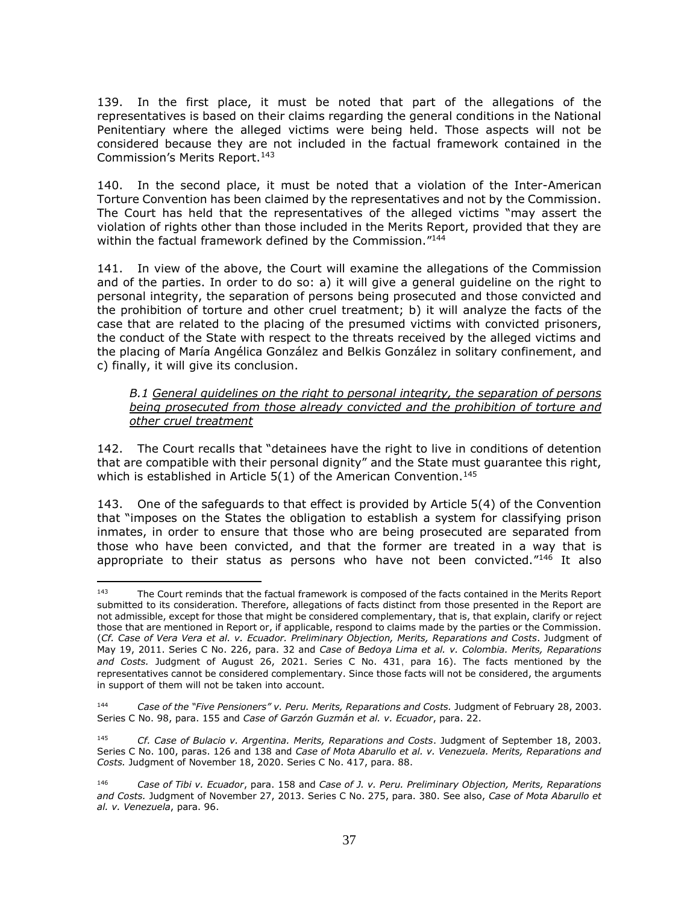139. In the first place, it must be noted that part of the allegations of the representatives is based on their claims regarding the general conditions in the National Penitentiary where the alleged victims were being held. Those aspects will not be considered because they are not included in the factual framework contained in the Commission's Merits Report.<sup>143</sup>

140. In the second place, it must be noted that a violation of the Inter-American Torture Convention has been claimed by the representatives and not by the Commission. The Court has held that the representatives of the alleged victims "may assert the violation of rights other than those included in the Merits Report, provided that they are within the factual framework defined by the Commission."<sup>144</sup>

141. In view of the above, the Court will examine the allegations of the Commission and of the parties. In order to do so: a) it will give a general guideline on the right to personal integrity, the separation of persons being prosecuted and those convicted and the prohibition of torture and other cruel treatment; b) it will analyze the facts of the case that are related to the placing of the presumed victims with convicted prisoners, the conduct of the State with respect to the threats received by the alleged victims and the placing of María Angélica González and Belkis González in solitary confinement, and c) finally, it will give its conclusion.

<span id="page-36-0"></span>*B.1 General guidelines on the right to personal integrity, the separation of persons being prosecuted from those already convicted and the prohibition of torture and other cruel treatment* 

142. The Court recalls that "detainees have the right to live in conditions of detention that are compatible with their personal dignity" and the State must guarantee this right, which is established in Article  $5(1)$  of the American Convention.<sup>145</sup>

143. One of the safeguards to that effect is provided by Article 5(4) of the Convention that "imposes on the States the obligation to establish a system for classifying prison inmates, in order to ensure that those who are being prosecuted are separated from those who have been convicted, and that the former are treated in a way that is appropriate to their status as persons who have not been convicted."<sup>146</sup> It also

<sup>143</sup> The Court reminds that the factual framework is composed of the facts contained in the Merits Report submitted to its consideration. Therefore, allegations of facts distinct from those presented in the Report are not admissible, except for those that might be considered complementary, that is, that explain, clarify or reject those that are mentioned in Report or, if applicable, respond to claims made by the parties or the Commission. (*Cf. Case of Vera Vera et al. v. Ecuador. Preliminary Objection, Merits, Reparations and Costs*. Judgment of May 19, 2011. Series C No. 226, para. 32 and *Case of Bedoya Lima et al. v. Colombia. Merits, Reparations and Costs.* Judgment of August 26, 2021. Series C No. 431, para 16). The facts mentioned by the representatives cannot be considered complementary. Since those facts will not be considered, the arguments in support of them will not be taken into account.

<sup>144</sup> *Case of the "Five Pensioners" v. Peru. Merits, Reparations and Costs.* Judgment of February 28, 2003. Series C No. 98, para. 155 and *Case of Garzón Guzmán et al. v. Ecuador*, para. 22.

<sup>145</sup> *Cf. Case of Bulacio v. Argentina. Merits, Reparations and Costs*. Judgment of September 18, 2003. Series C No. 100, paras. 126 and 138 and *Case of Mota Abarullo et al. v. Venezuela. Merits, Reparations and Costs.* Judgment of November 18, 2020. Series C No. 417, para. 88.

<sup>146</sup> *Case of Tibi v. Ecuador*, para. 158 and *Case of J. v. Peru. Preliminary Objection, Merits, Reparations and Costs.* Judgment of November 27, 2013. Series C No. 275, para. 380. See also, *Case of Mota Abarullo et al. v. Venezuela*, para. 96.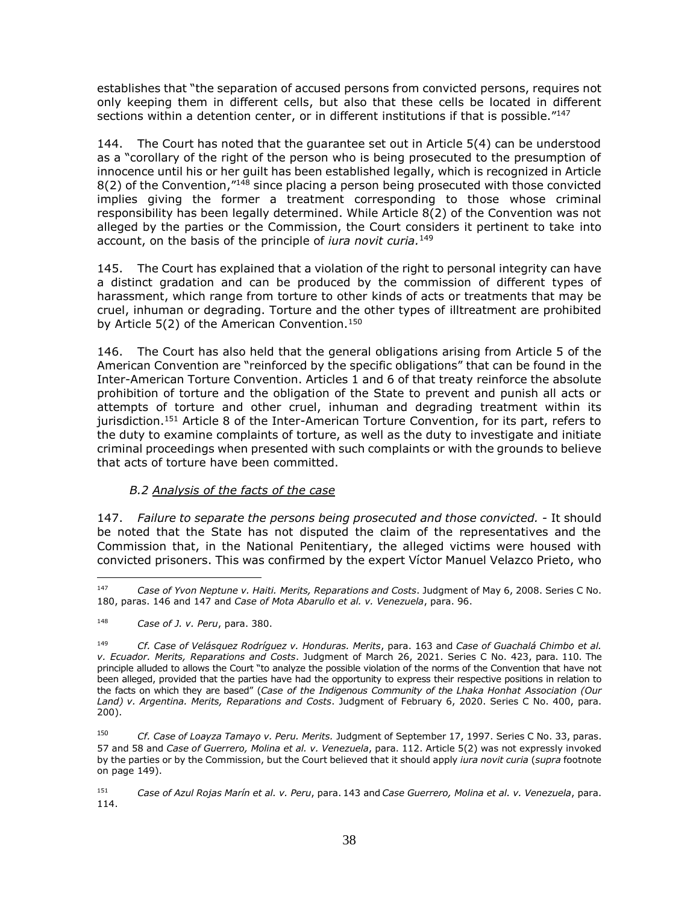establishes that "the separation of accused persons from convicted persons, requires not only keeping them in different cells, but also that these cells be located in different sections within a detention center, or in different institutions if that is possible." $147$ 

144. The Court has noted that the guarantee set out in Article 5(4) can be understood as a "corollary of the right of the person who is being prosecuted to the presumption of innocence until his or her guilt has been established legally, which is recognized in Article 8(2) of the Convention, "<sup>148</sup> since placing a person being prosecuted with those convicted implies giving the former a treatment corresponding to those whose criminal responsibility has been legally determined. While Article 8(2) of the Convention was not alleged by the parties or the Commission, the Court considers it pertinent to take into account, on the basis of the principle of *iura novit curia.* 149

145. The Court has explained that a violation of the right to personal integrity can have a distinct gradation and can be produced by the commission of different types of harassment, which range from torture to other kinds of acts or treatments that may be cruel, inhuman or degrading. Torture and the other types of illtreatment are prohibited by Article 5(2) of the American Convention.<sup>150</sup>

146. The Court has also held that the general obligations arising from Article 5 of the American Convention are "reinforced by the specific obligations" that can be found in the Inter-American Torture Convention. Articles 1 and 6 of that treaty reinforce the absolute prohibition of torture and the obligation of the State to prevent and punish all acts or attempts of torture and other cruel, inhuman and degrading treatment within its jurisdiction.<sup>151</sup> Article 8 of the Inter-American Torture Convention, for its part, refers to the duty to examine complaints of torture, as well as the duty to investigate and initiate criminal proceedings when presented with such complaints or with the grounds to believe that acts of torture have been committed.

#### *B.2 Analysis of the facts of the case*

<span id="page-37-0"></span>147. *Failure to separate the persons being prosecuted and those convicted. -* It should be noted that the State has not disputed the claim of the representatives and the Commission that, in the National Penitentiary, the alleged victims were housed with convicted prisoners. This was confirmed by the expert Víctor Manuel Velazco Prieto, who

<sup>147</sup> *Case of Yvon Neptune v. Haiti. Merits, Reparations and Costs*. Judgment of May 6, 2008. Series C No. 180, paras. 146 and 147 and *Case of Mota Abarullo et al. v. Venezuela*, para. 96.

<sup>148</sup> *Case of J. v. Peru*, para. 380.

<sup>149</sup> *Cf. Case of Velásquez Rodríguez v. Honduras. Merits*, para. 163 and *Case of Guachalá Chimbo et al. v. Ecuador. Merits, Reparations and Costs*. Judgment of March 26, 2021. Series C No. 423, para. 110. The principle alluded to allows the Court "to analyze the possible violation of the norms of the Convention that have not been alleged, provided that the parties have had the opportunity to express their respective positions in relation to the facts on which they are based" (*Case of the Indigenous Community of the Lhaka Honhat Association (Our Land) v. Argentina. Merits, Reparations and Costs*. Judgment of February 6, 2020. Series C No. 400, para. 200).

<sup>150</sup> *Cf. Case of Loayza Tamayo v. Peru. Merits.* Judgment of September 17, 1997. Series C No. 33, paras. 57 and 58 and *Case of Guerrero, Molina et al. v. Venezuela*, para. 112. Article 5(2) was not expressly invoked by the parties or by the Commission, but the Court believed that it should apply *iura novit curia* (*supra* footnote on page 149).

<sup>151</sup> *Case of Azul Rojas Marín et al. v. Peru*, para. 143 and *Case Guerrero, Molina et al. v. Venezuela*, para. 114.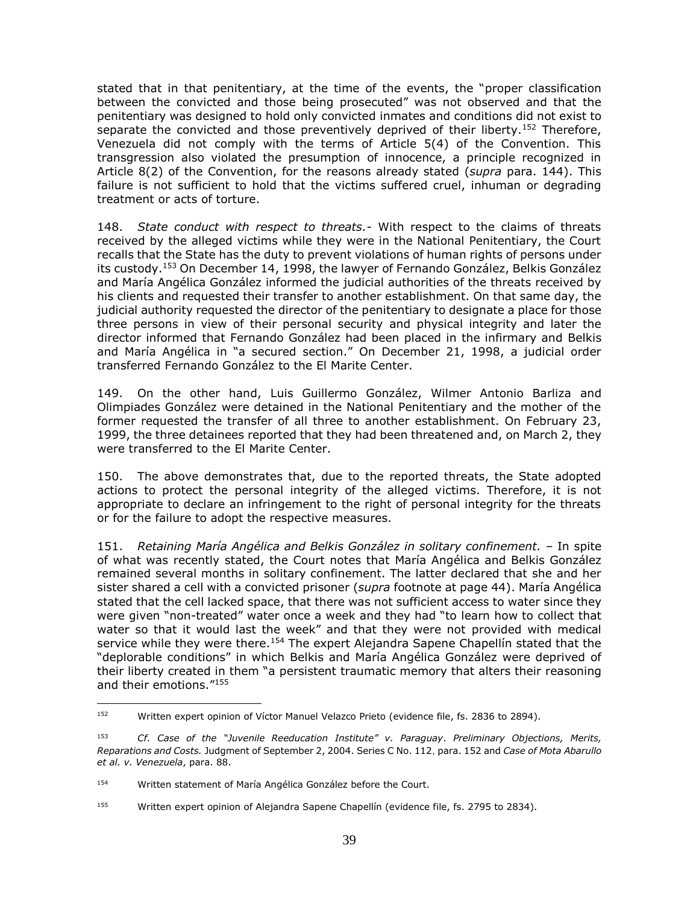stated that in that penitentiary, at the time of the events, the "proper classification between the convicted and those being prosecuted" was not observed and that the penitentiary was designed to hold only convicted inmates and conditions did not exist to separate the convicted and those preventively deprived of their liberty.<sup>152</sup> Therefore, Venezuela did not comply with the terms of Article 5(4) of the Convention. This transgression also violated the presumption of innocence, a principle recognized in Article 8(2) of the Convention, for the reasons already stated (*supra* para. 144). This failure is not sufficient to hold that the victims suffered cruel, inhuman or degrading treatment or acts of torture.

148. *State conduct with respect to threats.-* With respect to the claims of threats received by the alleged victims while they were in the National Penitentiary, the Court recalls that the State has the duty to prevent violations of human rights of persons under its custody.<sup>153</sup> On December 14, 1998, the lawyer of Fernando González, Belkis González and María Angélica González informed the judicial authorities of the threats received by his clients and requested their transfer to another establishment. On that same day, the judicial authority requested the director of the penitentiary to designate a place for those three persons in view of their personal security and physical integrity and later the director informed that Fernando González had been placed in the infirmary and Belkis and María Angélica in "a secured section." On December 21, 1998, a judicial order transferred Fernando González to the El Marite Center.

149. On the other hand, Luis Guillermo González, Wilmer Antonio Barliza and Olimpiades González were detained in the National Penitentiary and the mother of the former requested the transfer of all three to another establishment. On February 23, 1999, the three detainees reported that they had been threatened and, on March 2, they were transferred to the El Marite Center.

150. The above demonstrates that, due to the reported threats, the State adopted actions to protect the personal integrity of the alleged victims. Therefore, it is not appropriate to declare an infringement to the right of personal integrity for the threats or for the failure to adopt the respective measures.

151. *Retaining María Angélica and Belkis González in solitary confinement. –* In spite of what was recently stated, the Court notes that María Angélica and Belkis González remained several months in solitary confinement. The latter declared that she and her sister shared a cell with a convicted prisoner (*supra* footnote at page 44). María Angélica stated that the cell lacked space, that there was not sufficient access to water since they were given "non-treated" water once a week and they had "to learn how to collect that water so that it would last the week" and that they were not provided with medical service while they were there.<sup>154</sup> The expert Alejandra Sapene Chapellín stated that the "deplorable conditions" in which Belkis and María Angélica González were deprived of their liberty created in them "a persistent traumatic memory that alters their reasoning and their emotions." 155

 $\frac{1}{152}$ Written expert opinion of Víctor Manuel Velazco Prieto (evidence file, fs. 2836 to 2894).

<sup>153</sup> *Cf. Case of the "Juvenile Reeducation Institute" v. Paraguay*. *Preliminary Objections, Merits, Reparations and Costs.* Judgment of September 2, 2004. Series C No. 112, para. 152 and *Case of Mota Abarullo et al. v. Venezuela*, para. 88.

<sup>154</sup> Written statement of María Angélica González before the Court.

<sup>155</sup> Written expert opinion of Alejandra Sapene Chapellín (evidence file, fs. 2795 to 2834).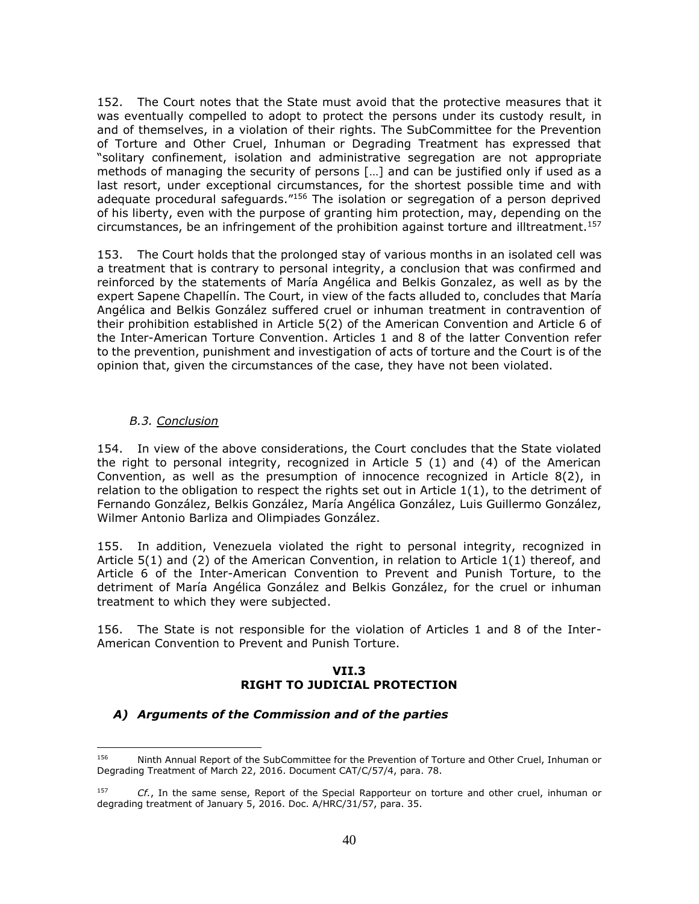152. The Court notes that the State must avoid that the protective measures that it was eventually compelled to adopt to protect the persons under its custody result, in and of themselves, in a violation of their rights. The SubCommittee for the Prevention of Torture and Other Cruel, Inhuman or Degrading Treatment has expressed that "solitary confinement, isolation and administrative segregation are not appropriate methods of managing the security of persons […] and can be justified only if used as a last resort, under exceptional circumstances, for the shortest possible time and with adequate procedural safeguards."<sup>156</sup> The isolation or segregation of a person deprived of his liberty, even with the purpose of granting him protection, may, depending on the circumstances, be an infringement of the prohibition against torture and illtreatment.<sup>157</sup>

153. The Court holds that the prolonged stay of various months in an isolated cell was a treatment that is contrary to personal integrity, a conclusion that was confirmed and reinforced by the statements of María Angélica and Belkis Gonzalez, as well as by the expert Sapene Chapellín. The Court, in view of the facts alluded to, concludes that María Angélica and Belkis González suffered cruel or inhuman treatment in contravention of their prohibition established in Article 5(2) of the American Convention and Article 6 of the Inter-American Torture Convention. Articles 1 and 8 of the latter Convention refer to the prevention, punishment and investigation of acts of torture and the Court is of the opinion that, given the circumstances of the case, they have not been violated.

#### *B.3. Conclusion*

<span id="page-39-0"></span>154. In view of the above considerations, the Court concludes that the State violated the right to personal integrity, recognized in Article 5 (1) and (4) of the American Convention, as well as the presumption of innocence recognized in Article 8(2), in relation to the obligation to respect the rights set out in Article  $1(1)$ , to the detriment of Fernando González, Belkis González, María Angélica González, Luis Guillermo González, Wilmer Antonio Barliza and Olimpiades González.

155. In addition, Venezuela violated the right to personal integrity, recognized in Article 5(1) and (2) of the American Convention, in relation to Article 1(1) thereof, and Article 6 of the Inter-American Convention to Prevent and Punish Torture, to the detriment of María Angélica González and Belkis González, for the cruel or inhuman treatment to which they were subjected.

<span id="page-39-1"></span>156. The State is not responsible for the violation of Articles 1 and 8 of the Inter-American Convention to Prevent and Punish Torture.

#### **VII.3 RIGHT TO JUDICIAL PROTECTION**

#### <span id="page-39-3"></span><span id="page-39-2"></span>*A) Arguments of the Commission and of the parties*

<sup>156</sup> Ninth Annual Report of the SubCommittee for the Prevention of Torture and Other Cruel, Inhuman or Degrading Treatment of March 22, 2016. Document CAT/C/57/4, para. 78.

<sup>157</sup> *Cf.*, In the same sense, Report of the Special Rapporteur on torture and other cruel, inhuman or degrading treatment of January 5, 2016. Doc. A/HRC/31/57, para. 35.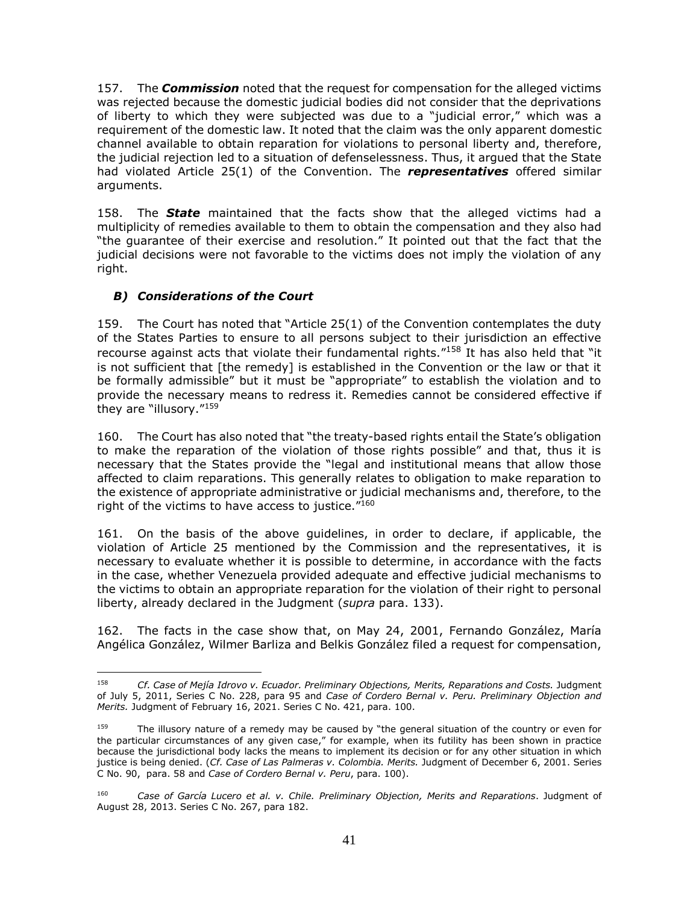157. The *Commission* noted that the request for compensation for the alleged victims was rejected because the domestic judicial bodies did not consider that the deprivations of liberty to which they were subjected was due to a "judicial error," which was a requirement of the domestic law. It noted that the claim was the only apparent domestic channel available to obtain reparation for violations to personal liberty and, therefore, the judicial rejection led to a situation of defenselessness. Thus, it argued that the State had violated Article 25(1) of the Convention. The *representatives* offered similar arguments.

158. The *State* maintained that the facts show that the alleged victims had a multiplicity of remedies available to them to obtain the compensation and they also had "the guarantee of their exercise and resolution." It pointed out that the fact that the judicial decisions were not favorable to the victims does not imply the violation of any right.

# <span id="page-40-0"></span>*B) Considerations of the Court*

 $\overline{a}$ 

159. The Court has noted that "Article 25(1) of the Convention contemplates the duty of the States Parties to ensure to all persons subject to their jurisdiction an effective recourse against acts that violate their fundamental rights."<sup>158</sup> It has also held that "it is not sufficient that [the remedy] is established in the Convention or the law or that it be formally admissible" but it must be "appropriate" to establish the violation and to provide the necessary means to redress it. Remedies cannot be considered effective if they are "illusory."<sup>159</sup>

160. The Court has also noted that "the treaty-based rights entail the State's obligation to make the reparation of the violation of those rights possible" and that, thus it is necessary that the States provide the "legal and institutional means that allow those affected to claim reparations. This generally relates to obligation to make reparation to the existence of appropriate administrative or judicial mechanisms and, therefore, to the right of the victims to have access to justice."<sup>160</sup>

161. On the basis of the above guidelines, in order to declare, if applicable, the violation of Article 25 mentioned by the Commission and the representatives, it is necessary to evaluate whether it is possible to determine, in accordance with the facts in the case, whether Venezuela provided adequate and effective judicial mechanisms to the victims to obtain an appropriate reparation for the violation of their right to personal liberty, already declared in the Judgment (*supra* para. 133).

162. The facts in the case show that, on May 24, 2001, Fernando González, María Angélica González, Wilmer Barliza and Belkis González filed a request for compensation,

<sup>158</sup> *Cf. Case of Mejía Idrovo v. Ecuador. Preliminary Objections, Merits, Reparations and Costs.* Judgment of July 5, 2011, Series C No. 228, para 95 and *Case of Cordero Bernal v. Peru. Preliminary Objection and Merits.* Judgment of February 16, 2021. Series C No. 421, para. 100.

<sup>159</sup> The illusory nature of a remedy may be caused by "the general situation of the country or even for the particular circumstances of any given case," for example, when its futility has been shown in practice because the jurisdictional body lacks the means to implement its decision or for any other situation in which justice is being denied. (*Cf. Case of Las Palmeras v. Colombia. Merits.* Judgment of December 6, 2001. Series C No. 90, para. 58 and *Case of Cordero Bernal v. Peru*, para. 100).

<sup>160</sup> *Case of García Lucero et al. v. Chile. Preliminary Objection, Merits and Reparations*. Judgment of August 28, 2013. Series C No. 267, para 182.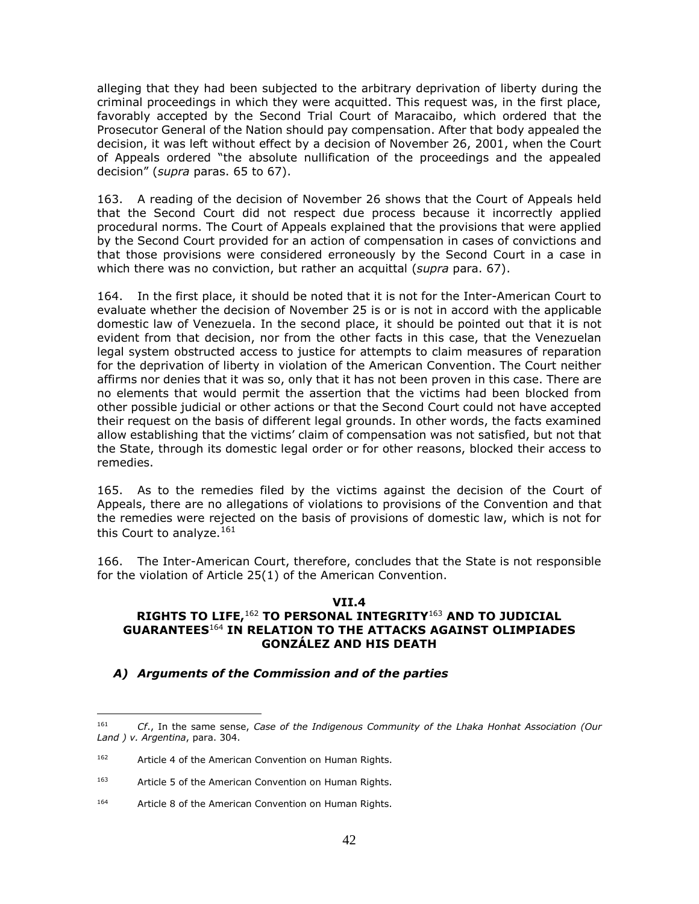alleging that they had been subjected to the arbitrary deprivation of liberty during the criminal proceedings in which they were acquitted. This request was, in the first place, favorably accepted by the Second Trial Court of Maracaibo, which ordered that the Prosecutor General of the Nation should pay compensation. After that body appealed the decision, it was left without effect by a decision of November 26, 2001, when the Court of Appeals ordered "the absolute nullification of the proceedings and the appealed decision" (*supra* paras. 65 to 67).

163. A reading of the decision of November 26 shows that the Court of Appeals held that the Second Court did not respect due process because it incorrectly applied procedural norms. The Court of Appeals explained that the provisions that were applied by the Second Court provided for an action of compensation in cases of convictions and that those provisions were considered erroneously by the Second Court in a case in which there was no conviction, but rather an acquittal (*supra* para. 67).

164. In the first place, it should be noted that it is not for the Inter-American Court to evaluate whether the decision of November 25 is or is not in accord with the applicable domestic law of Venezuela. In the second place, it should be pointed out that it is not evident from that decision, nor from the other facts in this case, that the Venezuelan legal system obstructed access to justice for attempts to claim measures of reparation for the deprivation of liberty in violation of the American Convention. The Court neither affirms nor denies that it was so, only that it has not been proven in this case. There are no elements that would permit the assertion that the victims had been blocked from other possible judicial or other actions or that the Second Court could not have accepted their request on the basis of different legal grounds. In other words, the facts examined allow establishing that the victims' claim of compensation was not satisfied, but not that the State, through its domestic legal order or for other reasons, blocked their access to remedies.

165. As to the remedies filed by the victims against the decision of the Court of Appeals, there are no allegations of violations to provisions of the Convention and that the remedies were rejected on the basis of provisions of domestic law, which is not for this Court to analyze.<sup>161</sup>

166. The Inter-American Court, therefore, concludes that the State is not responsible for the violation of Article 25(1) of the American Convention.

#### **VII.4**

#### <span id="page-41-1"></span><span id="page-41-0"></span>**RIGHTS TO LIFE,**<sup>162</sup> **TO PERSONAL INTEGRITY**<sup>163</sup> **AND TO JUDICIAL GUARANTEES**<sup>164</sup> **IN RELATION TO THE ATTACKS AGAINST OLIMPIADES GONZÁLEZ AND HIS DEATH**

#### <span id="page-41-2"></span>*A) Arguments of the Commission and of the parties*

<sup>161</sup> *Cf*., In the same sense, *Case of the Indigenous Community of the Lhaka Honhat Association (Our Land ) v. Argentina*, para. 304.

<sup>162</sup> Article 4 of the American Convention on Human Rights.

<sup>163</sup> Article 5 of the American Convention on Human Rights.

<sup>164</sup> Article 8 of the American Convention on Human Rights.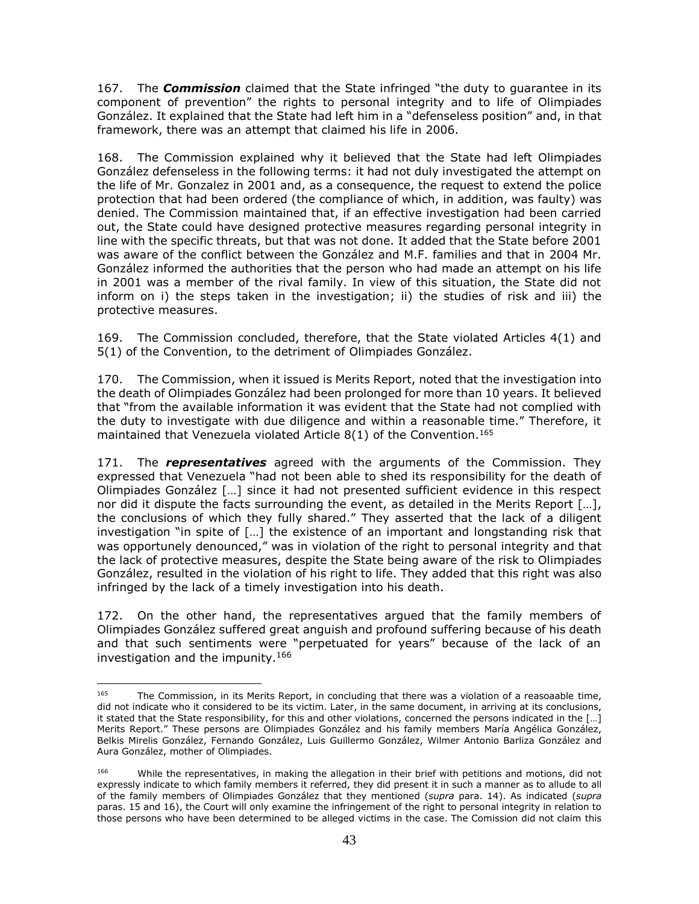167. The *Commission* claimed that the State infringed "the duty to guarantee in its component of prevention" the rights to personal integrity and to life of Olimpiades González. It explained that the State had left him in a "defenseless position" and, in that framework, there was an attempt that claimed his life in 2006.

168. The Commission explained why it believed that the State had left Olimpiades González defenseless in the following terms: it had not duly investigated the attempt on the life of Mr. Gonzalez in 2001 and, as a consequence, the request to extend the police protection that had been ordered (the compliance of which, in addition, was faulty) was denied. The Commission maintained that, if an effective investigation had been carried out, the State could have designed protective measures regarding personal integrity in line with the specific threats, but that was not done. It added that the State before 2001 was aware of the conflict between the González and M.F. families and that in 2004 Mr. González informed the authorities that the person who had made an attempt on his life in 2001 was a member of the rival family. In view of this situation, the State did not inform on i) the steps taken in the investigation; ii) the studies of risk and iii) the protective measures.

169. The Commission concluded, therefore, that the State violated Articles 4(1) and 5(1) of the Convention, to the detriment of Olimpiades González.

170. The Commission, when it issued is Merits Report, noted that the investigation into the death of Olimpiades González had been prolonged for more than 10 years. It believed that "from the available information it was evident that the State had not complied with the duty to investigate with due diligence and within a reasonable time." Therefore, it maintained that Venezuela violated Article  $8(1)$  of the Convention.<sup>165</sup>

171. The *representatives* agreed with the arguments of the Commission. They expressed that Venezuela "had not been able to shed its responsibility for the death of Olimpiades González […] since it had not presented sufficient evidence in this respect nor did it dispute the facts surrounding the event, as detailed in the Merits Report […], the conclusions of which they fully shared." They asserted that the lack of a diligent investigation "in spite of […] the existence of an important and longstanding risk that was opportunely denounced," was in violation of the right to personal integrity and that the lack of protective measures, despite the State being aware of the risk to Olimpiades González, resulted in the violation of his right to life. They added that this right was also infringed by the lack of a timely investigation into his death.

172. On the other hand, the representatives argued that the family members of Olimpiades González suffered great anguish and profound suffering because of his death and that such sentiments were "perpetuated for years" because of the lack of an investigation and the impunity.<sup>166</sup>

<sup>165</sup> The Commission, in its Merits Report, in concluding that there was a violation of a reasoaable time, did not indicate who it considered to be its victim. Later, in the same document, in arriving at its conclusions, it stated that the State responsibility, for this and other violations, concerned the persons indicated in the […] Merits Report." These persons are Olimpiades González and his family members María Angélica González, Belkis Mirelis González, Fernando González, Luis Guillermo González, Wilmer Antonio Barliza González and Aura González, mother of Olimpiades.

<sup>166</sup> While the representatives, in making the allegation in their brief with petitions and motions, did not expressly indicate to which family members it referred, they did present it in such a manner as to allude to all of the family members of Olimpiades González that they mentioned (*supra* para. 14). As indicated (*supra*  paras. 15 and 16), the Court will only examine the infringement of the right to personal integrity in relation to those persons who have been determined to be alleged victims in the case. The Comission did not claim this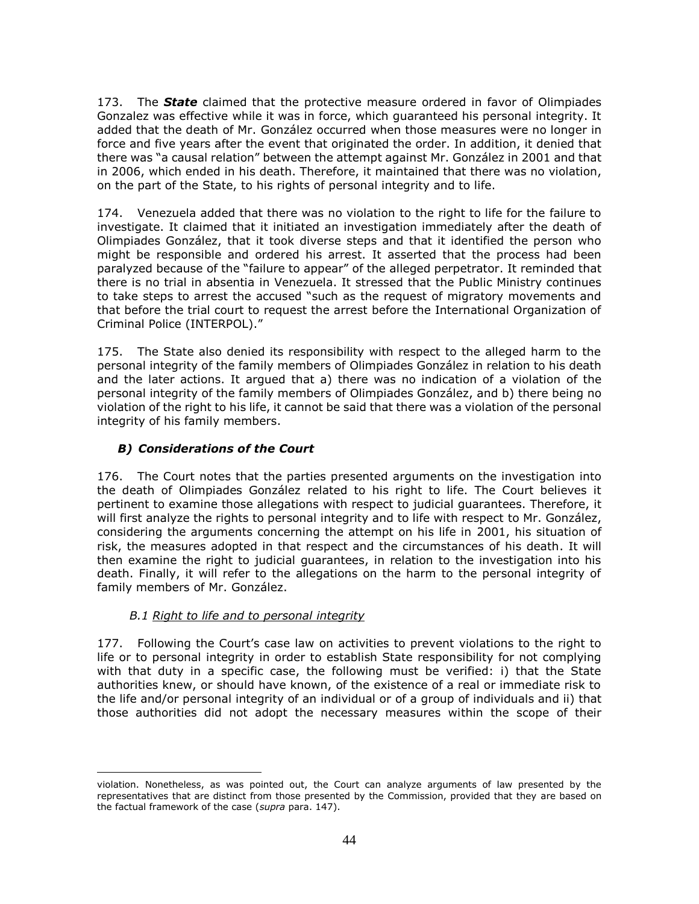173. The *State* claimed that the protective measure ordered in favor of Olimpiades Gonzalez was effective while it was in force, which guaranteed his personal integrity. It added that the death of Mr. González occurred when those measures were no longer in force and five years after the event that originated the order. In addition, it denied that there was "a causal relation" between the attempt against Mr. González in 2001 and that in 2006, which ended in his death. Therefore, it maintained that there was no violation, on the part of the State, to his rights of personal integrity and to life.

174. Venezuela added that there was no violation to the right to life for the failure to investigate. It claimed that it initiated an investigation immediately after the death of Olimpiades González, that it took diverse steps and that it identified the person who might be responsible and ordered his arrest. It asserted that the process had been paralyzed because of the "failure to appear" of the alleged perpetrator. It reminded that there is no trial in absentia in Venezuela. It stressed that the Public Ministry continues to take steps to arrest the accused "such as the request of migratory movements and that before the trial court to request the arrest before the International Organization of Criminal Police (INTERPOL)."

175. The State also denied its responsibility with respect to the alleged harm to the personal integrity of the family members of Olimpiades González in relation to his death and the later actions. It argued that a) there was no indication of a violation of the personal integrity of the family members of Olimpiades González, and b) there being no violation of the right to his life, it cannot be said that there was a violation of the personal integrity of his family members.

# <span id="page-43-0"></span>*B) Considerations of the Court*

176. The Court notes that the parties presented arguments on the investigation into the death of Olimpiades González related to his right to life. The Court believes it pertinent to examine those allegations with respect to judicial guarantees. Therefore, it will first analyze the rights to personal integrity and to life with respect to Mr. González, considering the arguments concerning the attempt on his life in 2001, his situation of risk, the measures adopted in that respect and the circumstances of his death. It will then examine the right to judicial guarantees, in relation to the investigation into his death. Finally, it will refer to the allegations on the harm to the personal integrity of family members of Mr. González.

# *B.1 Right to life and to personal integrity*

 $\overline{a}$ 

<span id="page-43-1"></span>177. Following the Court's case law on activities to prevent violations to the right to life or to personal integrity in order to establish State responsibility for not complying with that duty in a specific case, the following must be verified: i) that the State authorities knew, or should have known, of the existence of a real or immediate risk to the life and/or personal integrity of an individual or of a group of individuals and ii) that those authorities did not adopt the necessary measures within the scope of their

violation. Nonetheless, as was pointed out, the Court can analyze arguments of law presented by the representatives that are distinct from those presented by the Commission, provided that they are based on the factual framework of the case (*supra* para. 147).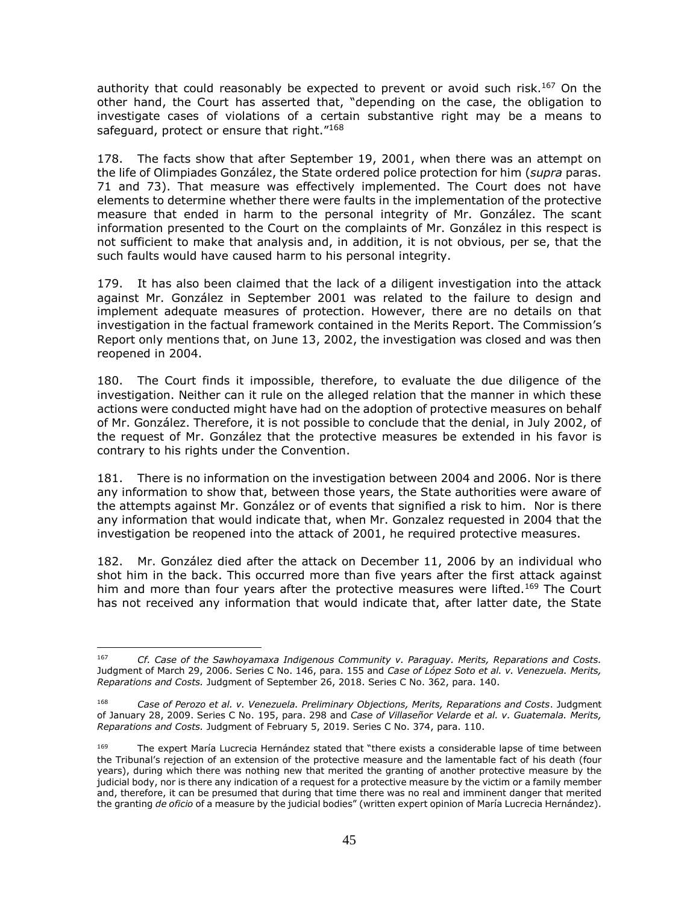authority that could reasonably be expected to prevent or avoid such risk.<sup>167</sup> On the other hand, the Court has asserted that, "depending on the case, the obligation to investigate cases of violations of a certain substantive right may be a means to safeguard, protect or ensure that right."<sup>168</sup>

178. The facts show that after September 19, 2001, when there was an attempt on the life of Olimpiades González, the State ordered police protection for him (*supra* paras. 71 and 73). That measure was effectively implemented. The Court does not have elements to determine whether there were faults in the implementation of the protective measure that ended in harm to the personal integrity of Mr. González. The scant information presented to the Court on the complaints of Mr. González in this respect is not sufficient to make that analysis and, in addition, it is not obvious, per se, that the such faults would have caused harm to his personal integrity.

179. It has also been claimed that the lack of a diligent investigation into the attack against Mr. González in September 2001 was related to the failure to design and implement adequate measures of protection. However, there are no details on that investigation in the factual framework contained in the Merits Report. The Commission's Report only mentions that, on June 13, 2002, the investigation was closed and was then reopened in 2004.

180. The Court finds it impossible, therefore, to evaluate the due diligence of the investigation. Neither can it rule on the alleged relation that the manner in which these actions were conducted might have had on the adoption of protective measures on behalf of Mr. González. Therefore, it is not possible to conclude that the denial, in July 2002, of the request of Mr. González that the protective measures be extended in his favor is contrary to his rights under the Convention.

181. There is no information on the investigation between 2004 and 2006. Nor is there any information to show that, between those years, the State authorities were aware of the attempts against Mr. González or of events that signified a risk to him. Nor is there any information that would indicate that, when Mr. Gonzalez requested in 2004 that the investigation be reopened into the attack of 2001, he required protective measures.

182. Mr. González died after the attack on December 11, 2006 by an individual who shot him in the back. This occurred more than five years after the first attack against him and more than four years after the protective measures were lifted.<sup>169</sup> The Court has not received any information that would indicate that, after latter date, the State

<sup>167</sup> <sup>167</sup> *Cf. Case of the Sawhoyamaxa Indigenous Community v. Paraguay. Merits, Reparations and Costs.* Judgment of March 29, 2006. Series C No. 146, para. 155 and *Case of López Soto et al. v. Venezuela. Merits, Reparations and Costs.* Judgment of September 26, 2018. Series C No. 362, para. 140.

<sup>168</sup> *Case of Perozo et al. v. Venezuela. Preliminary Objections, Merits, Reparations and Costs*. Judgment of January 28, 2009. Series C No. 195, para. 298 and *Case of Villaseñor Velarde et al. v. Guatemala. Merits, Reparations and Costs.* Judgment of February 5, 2019. Series C No. 374, para. 110.

<sup>169</sup> The expert María Lucrecia Hernández stated that "there exists a considerable lapse of time between the Tribunal's rejection of an extension of the protective measure and the lamentable fact of his death (four years), during which there was nothing new that merited the granting of another protective measure by the judicial body, nor is there any indication of a request for a protective measure by the victim or a family member and, therefore, it can be presumed that during that time there was no real and imminent danger that merited the granting *de oficio* of a measure by the judicial bodies" (written expert opinion of María Lucrecia Hernández).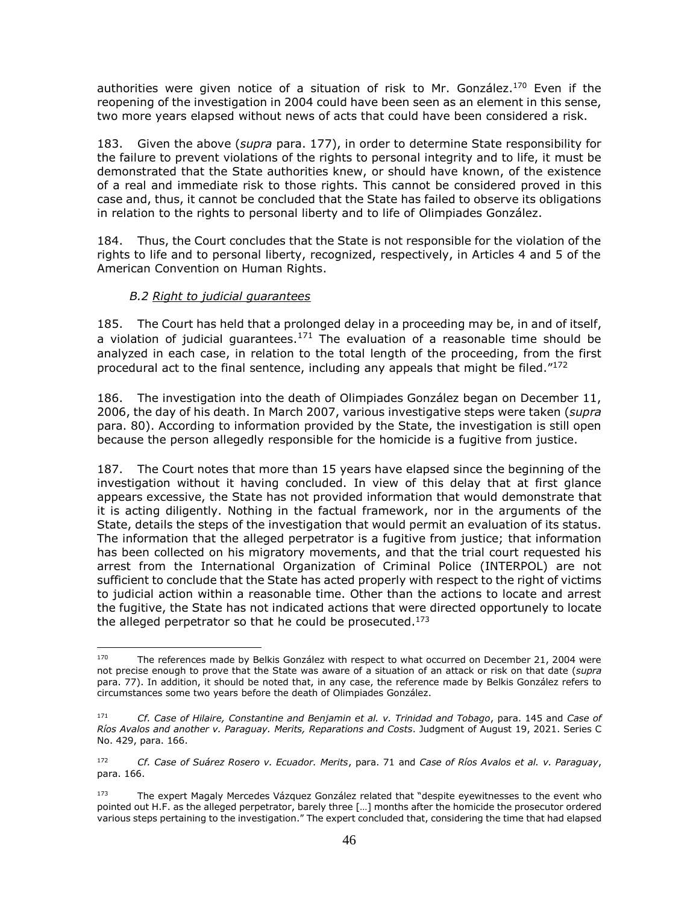authorities were given notice of a situation of risk to Mr. González.<sup>170</sup> Even if the reopening of the investigation in 2004 could have been seen as an element in this sense, two more years elapsed without news of acts that could have been considered a risk.

183. Given the above (*supra* para. 177), in order to determine State responsibility for the failure to prevent violations of the rights to personal integrity and to life, it must be demonstrated that the State authorities knew, or should have known, of the existence of a real and immediate risk to those rights. This cannot be considered proved in this case and, thus, it cannot be concluded that the State has failed to observe its obligations in relation to the rights to personal liberty and to life of Olimpiades González.

184. Thus, the Court concludes that the State is not responsible for the violation of the rights to life and to personal liberty, recognized, respectively, in Articles 4 and 5 of the American Convention on Human Rights.

# *B.2 Right to judicial guarantees*

<span id="page-45-0"></span>185. The Court has held that a prolonged delay in a proceeding may be, in and of itself, a violation of judicial guarantees.<sup>171</sup> The evaluation of a reasonable time should be analyzed in each case, in relation to the total length of the proceeding, from the first procedural act to the final sentence, including any appeals that might be filed."<sup>172</sup>

186. The investigation into the death of Olimpiades González began on December 11, 2006, the day of his death. In March 2007, various investigative steps were taken (*supra*  para. 80). According to information provided by the State, the investigation is still open because the person allegedly responsible for the homicide is a fugitive from justice.

187. The Court notes that more than 15 years have elapsed since the beginning of the investigation without it having concluded. In view of this delay that at first glance appears excessive, the State has not provided information that would demonstrate that it is acting diligently. Nothing in the factual framework, nor in the arguments of the State, details the steps of the investigation that would permit an evaluation of its status. The information that the alleged perpetrator is a fugitive from justice; that information has been collected on his migratory movements, and that the trial court requested his arrest from the International Organization of Criminal Police (INTERPOL) are not sufficient to conclude that the State has acted properly with respect to the right of victims to judicial action within a reasonable time. Other than the actions to locate and arrest the fugitive, the State has not indicated actions that were directed opportunely to locate the alleged perpetrator so that he could be prosecuted.<sup>173</sup>

 $\frac{1}{170}$  The references made by Belkis González with respect to what occurred on December 21, 2004 were not precise enough to prove that the State was aware of a situation of an attack or risk on that date (*supra*  para. 77). In addition, it should be noted that, in any case, the reference made by Belkis González refers to circumstances some two years before the death of Olimpiades González.

<sup>171</sup> *Cf. Case of Hilaire, Constantine and Benjamin et al. v. Trinidad and Tobago*, para. 145 and *Case of Ríos Avalos and another v. Paraguay. Merits, Reparations and Costs*. Judgment of August 19, 2021. Series C No. 429, para. 166.

<sup>172</sup> *Cf. Case of Suárez Rosero v. Ecuador. Merits*, para. 71 and *Case of Ríos Avalos et al. v. Paraguay*, para. 166.

<sup>173</sup> The expert Magaly Mercedes Vázquez González related that "despite eyewitnesses to the event who pointed out H.F. as the alleged perpetrator, barely three […] months after the homicide the prosecutor ordered various steps pertaining to the investigation." The expert concluded that, considering the time that had elapsed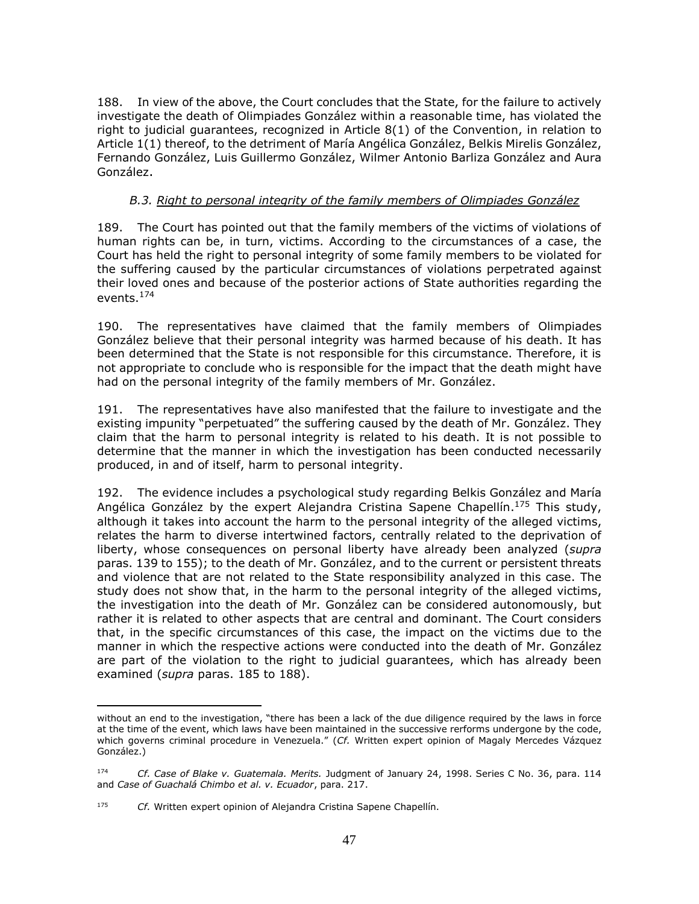188. In view of the above, the Court concludes that the State, for the failure to actively investigate the death of Olimpiades González within a reasonable time, has violated the right to judicial guarantees, recognized in Article 8(1) of the Convention, in relation to Article 1(1) thereof, to the detriment of María Angélica González, Belkis Mirelis González, Fernando González, Luis Guillermo González, Wilmer Antonio Barliza González and Aura González.

### *B.3. Right to personal integrity of the family members of Olimpiades González*

<span id="page-46-0"></span>189. The Court has pointed out that the family members of the victims of violations of human rights can be, in turn, victims. According to the circumstances of a case, the Court has held the right to personal integrity of some family members to be violated for the suffering caused by the particular circumstances of violations perpetrated against their loved ones and because of the posterior actions of State authorities regarding the events. 174

190. The representatives have claimed that the family members of Olimpiades González believe that their personal integrity was harmed because of his death. It has been determined that the State is not responsible for this circumstance. Therefore, it is not appropriate to conclude who is responsible for the impact that the death might have had on the personal integrity of the family members of Mr. González.

191. The representatives have also manifested that the failure to investigate and the existing impunity "perpetuated" the suffering caused by the death of Mr. González. They claim that the harm to personal integrity is related to his death. It is not possible to determine that the manner in which the investigation has been conducted necessarily produced, in and of itself, harm to personal integrity.

192. The evidence includes a psychological study regarding Belkis González and María Angélica González by the expert Alejandra Cristina Sapene Chapellín.<sup>175</sup> This study, although it takes into account the harm to the personal integrity of the alleged victims, relates the harm to diverse intertwined factors, centrally related to the deprivation of liberty, whose consequences on personal liberty have already been analyzed (*supra*  paras. 139 to 155); to the death of Mr. González, and to the current or persistent threats and violence that are not related to the State responsibility analyzed in this case. The study does not show that, in the harm to the personal integrity of the alleged victims, the investigation into the death of Mr. González can be considered autonomously, but rather it is related to other aspects that are central and dominant. The Court considers that, in the specific circumstances of this case, the impact on the victims due to the manner in which the respective actions were conducted into the death of Mr. González are part of the violation to the right to judicial guarantees, which has already been examined (*supra* paras. 185 to 188).

without an end to the investigation, "there has been a lack of the due diligence required by the laws in force at the time of the event, which laws have been maintained in the successive rerforms undergone by the code, which governs criminal procedure in Venezuela." (*Cf.* Written expert opinion of Magaly Mercedes Vázquez González.)

<sup>174</sup> *Cf. Case of Blake v. Guatemala. Merits.* Judgment of January 24, 1998. Series C No. 36, para. 114 and *Case of Guachalá Chimbo et al. v. Ecuador*, para. 217.

<sup>175</sup> *Cf.* Written expert opinion of Alejandra Cristina Sapene Chapellín.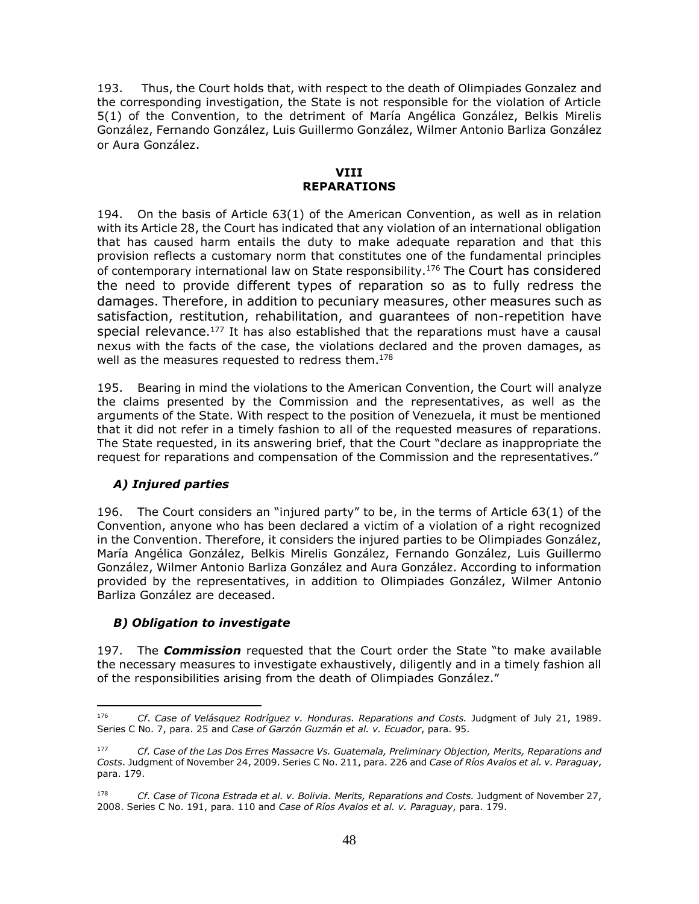193. Thus, the Court holds that, with respect to the death of Olimpiades Gonzalez and the corresponding investigation, the State is not responsible for the violation of Article 5(1) of the Convention, to the detriment of María Angélica González, Belkis Mirelis González, Fernando González, Luis Guillermo González, Wilmer Antonio Barliza González or Aura González.

#### **VIII REPARATIONS**

<span id="page-47-1"></span><span id="page-47-0"></span>194. On the basis of Article 63(1) of the American Convention, as well as in relation with its Article 28, the Court has indicated that any violation of an international obligation that has caused harm entails the duty to make adequate reparation and that this provision reflects a customary norm that constitutes one of the fundamental principles of contemporary international law on State responsibility.<sup>176</sup> The Court has considered the need to provide different types of reparation so as to fully redress the damages. Therefore, in addition to pecuniary measures, other measures such as satisfaction, restitution, rehabilitation, and guarantees of non-repetition have special relevance. <sup>177</sup> It has also established that the reparations must have a causal nexus with the facts of the case, the violations declared and the proven damages, as well as the measures requested to redress them.<sup>178</sup>

195. Bearing in mind the violations to the American Convention, the Court will analyze the claims presented by the Commission and the representatives, as well as the arguments of the State. With respect to the position of Venezuela, it must be mentioned that it did not refer in a timely fashion to all of the requested measures of reparations. The State requested, in its answering brief, that the Court "declare as inappropriate the request for reparations and compensation of the Commission and the representatives."

# <span id="page-47-2"></span>*A) Injured parties*

196. The Court considers an "injured party" to be, in the terms of Article 63(1) of the Convention, anyone who has been declared a victim of a violation of a right recognized in the Convention. Therefore, it considers the injured parties to be Olimpiades González, María Angélica González, Belkis Mirelis González, Fernando González, Luis Guillermo González, Wilmer Antonio Barliza González and Aura González. According to information provided by the representatives, in addition to Olimpiades González, Wilmer Antonio Barliza González are deceased.

# <span id="page-47-3"></span>*B) Obligation to investigate*

197. The *Commission* requested that the Court order the State "to make available the necessary measures to investigate exhaustively, diligently and in a timely fashion all of the responsibilities arising from the death of Olimpiades González."

 $\overline{a}$ <sup>176</sup> *Cf*. *Case of Velásquez Rodríguez v. Honduras. Reparations and Costs.* Judgment of July 21, 1989. Series C No. 7, para. 25 and *Case of Garzón Guzmán et al. v. Ecuador*, para. 95.

<sup>177</sup> *Cf. Case of the Las Dos Erres Massacre Vs. Guatemala, Preliminary Objection, Merits, Reparations and Costs*. Judgment of November 24, 2009. Series C No. 211, para. 226 and *Case of Ríos Avalos et al. v. Paraguay*, para. 179.

<sup>178</sup> *Cf. Case of Ticona Estrada et al. v. Bolivia. Merits, Reparations and Costs.* Judgment of November 27, 2008. Series C No. 191, para. 110 and *Case of Ríos Avalos et al. v. Paraguay*, para. 179.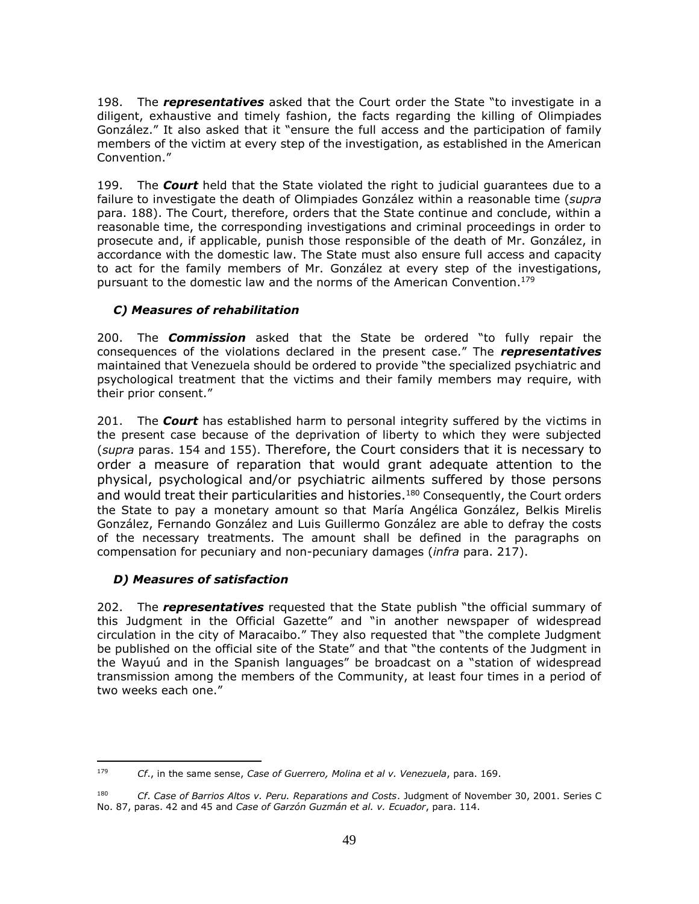198. The *representatives* asked that the Court order the State "to investigate in a diligent, exhaustive and timely fashion, the facts regarding the killing of Olimpiades González." It also asked that it "ensure the full access and the participation of family members of the victim at every step of the investigation, as established in the American Convention."

199. The *Court* held that the State violated the right to judicial guarantees due to a failure to investigate the death of Olimpiades González within a reasonable time (*supra* para. 188). The Court, therefore, orders that the State continue and conclude, within a reasonable time, the corresponding investigations and criminal proceedings in order to prosecute and, if applicable, punish those responsible of the death of Mr. González, in accordance with the domestic law. The State must also ensure full access and capacity to act for the family members of Mr. González at every step of the investigations, pursuant to the domestic law and the norms of the American Convention.<sup>179</sup>

# <span id="page-48-0"></span>*C) Measures of rehabilitation*

200. The *Commission* asked that the State be ordered "to fully repair the consequences of the violations declared in the present case." The *representatives* maintained that Venezuela should be ordered to provide "the specialized psychiatric and psychological treatment that the victims and their family members may require, with their prior consent."

201. The *Court* has established harm to personal integrity suffered by the victims in the present case because of the deprivation of liberty to which they were subjected (*supra* paras. 154 and 155). Therefore, the Court considers that it is necessary to order a measure of reparation that would grant adequate attention to the physical, psychological and/or psychiatric ailments suffered by those persons and would treat their particularities and histories. <sup>180</sup> Consequently, the Court orders the State to pay a monetary amount so that María Angélica González, Belkis Mirelis González, Fernando González and Luis Guillermo González are able to defray the costs of the necessary treatments. The amount shall be defined in the paragraphs on compensation for pecuniary and non-pecuniary damages (*infra* para. 217).

# <span id="page-48-1"></span>*D) Measures of satisfaction*

202. The *representatives* requested that the State publish "the official summary of this Judgment in the Official Gazette" and "in another newspaper of widespread circulation in the city of Maracaibo." They also requested that "the complete Judgment be published on the official site of the State" and that "the contents of the Judgment in the Wayuú and in the Spanish languages" be broadcast on a "station of widespread transmission among the members of the Community, at least four times in a period of two weeks each one."

 $\overline{a}$ <sup>179</sup> *Cf*., in the same sense, *Case of Guerrero, Molina et al v. Venezuela*, para. 169.

<sup>180</sup> *Cf*. *Case of Barrios Altos v. Peru. Reparations and Costs*. Judgment of November 30, 2001. Series C No. 87, paras. 42 and 45 and *Case of Garzón Guzmán et al. v. Ecuador*, para. 114.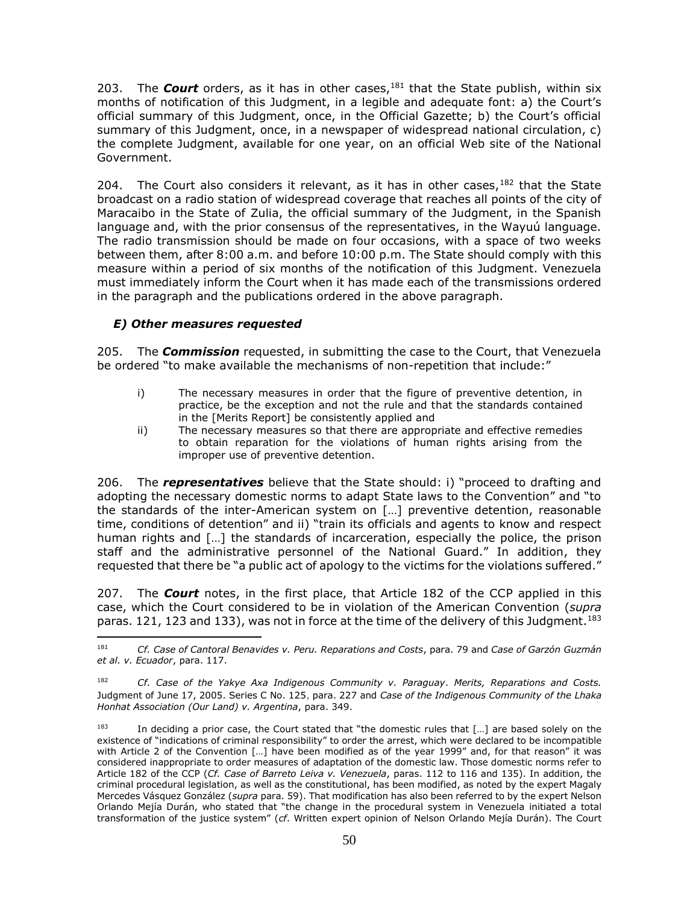203. The *Court* orders, as it has in other cases,<sup>181</sup> that the State publish, within six months of notification of this Judgment, in a legible and adequate font: a) the Court's official summary of this Judgment, once, in the Official Gazette; b) the Court's official summary of this Judgment, once, in a newspaper of widespread national circulation, c) the complete Judgment, available for one year, on an official Web site of the National Government.

204. The Court also considers it relevant, as it has in other cases,  $182$  that the State broadcast on a radio station of widespread coverage that reaches all points of the city of Maracaibo in the State of Zulia, the official summary of the Judgment, in the Spanish language and, with the prior consensus of the representatives, in the Wayuú language. The radio transmission should be made on four occasions, with a space of two weeks between them, after 8:00 a.m. and before 10:00 p.m. The State should comply with this measure within a period of six months of the notification of this Judgment. Venezuela must immediately inform the Court when it has made each of the transmissions ordered in the paragraph and the publications ordered in the above paragraph.

# <span id="page-49-0"></span>*E) Other measures requested*

205. The *Commission* requested, in submitting the case to the Court, that Venezuela be ordered "to make available the mechanisms of non-repetition that include:"

- i) The necessary measures in order that the figure of preventive detention, in practice, be the exception and not the rule and that the standards contained in the [Merits Report] be consistently applied and
- ii) The necessary measures so that there are appropriate and effective remedies to obtain reparation for the violations of human rights arising from the improper use of preventive detention.

206. The *representatives* believe that the State should: i) "proceed to drafting and adopting the necessary domestic norms to adapt State laws to the Convention" and "to the standards of the inter-American system on […] preventive detention, reasonable time, conditions of detention" and ii) "train its officials and agents to know and respect human rights and [...] the standards of incarceration, especially the police, the prison staff and the administrative personnel of the National Guard." In addition, they requested that there be "a public act of apology to the victims for the violations suffered."

207. The *Court* notes, in the first place, that Article 182 of the CCP applied in this case, which the Court considered to be in violation of the American Convention (*supra*  paras. 121, 123 and 133), was not in force at the time of the delivery of this Judgment.<sup>183</sup>

 $\overline{a}$ <sup>181</sup> *Cf. Case of Cantoral Benavides v. Peru. Reparations and Costs*, para. 79 and *Case of Garzón Guzmán et al. v. Ecuador*, para. 117.

<sup>182</sup> *Cf. Case of the Yakye Axa Indigenous Community v. Paraguay*. *Merits, Reparations and Costs.* Judgment of June 17, 2005. Series C No. 125, para. 227 and *Case of the Indigenous Community of the Lhaka Honhat Association (Our Land) v. Argentina*, para. 349.

<sup>183</sup> In deciding a prior case, the Court stated that "the domestic rules that [...] are based solely on the existence of "indications of criminal responsibility" to order the arrest, which were declared to be incompatible with Article 2 of the Convention […] have been modified as of the year 1999" and, for that reason" it was considered inappropriate to order measures of adaptation of the domestic law. Those domestic norms refer to Article 182 of the CCP (*Cf. Case of Barreto Leiva v. Venezuela*, paras. 112 to 116 and 135). In addition, the criminal procedural legislation, as well as the constitutional, has been modified, as noted by the expert Magaly Mercedes Vásquez González (*supra* para. 59). That modification has also been referred to by the expert Nelson Orlando Mejía Durán, who stated that "the change in the procedural system in Venezuela initiated a total transformation of the justice system" (*cf*. Written expert opinion of Nelson Orlando Mejía Durán). The Court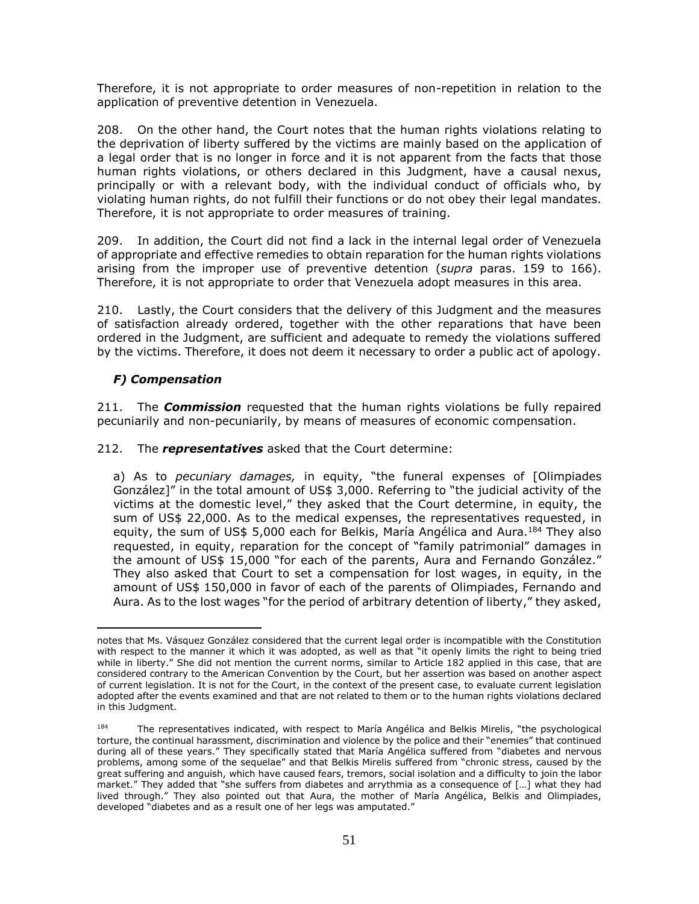Therefore, it is not appropriate to order measures of non-repetition in relation to the application of preventive detention in Venezuela.

208. On the other hand, the Court notes that the human rights violations relating to the deprivation of liberty suffered by the victims are mainly based on the application of a legal order that is no longer in force and it is not apparent from the facts that those human rights violations, or others declared in this Judgment, have a causal nexus, principally or with a relevant body, with the individual conduct of officials who, by violating human rights, do not fulfill their functions or do not obey their legal mandates. Therefore, it is not appropriate to order measures of training.

209. In addition, the Court did not find a lack in the internal legal order of Venezuela of appropriate and effective remedies to obtain reparation for the human rights violations arising from the improper use of preventive detention (*supra* paras. 159 to 166). Therefore, it is not appropriate to order that Venezuela adopt measures in this area.

210. Lastly, the Court considers that the delivery of this Judgment and the measures of satisfaction already ordered, together with the other reparations that have been ordered in the Judgment, are sufficient and adequate to remedy the violations suffered by the victims. Therefore, it does not deem it necessary to order a public act of apology.

# <span id="page-50-0"></span>*F) Compensation*

 $\overline{a}$ 

211. The *Commission* requested that the human rights violations be fully repaired pecuniarily and non-pecuniarily, by means of measures of economic compensation.

212. The *representatives* asked that the Court determine:

a) As to *pecuniary damages,* in equity, "the funeral expenses of [Olimpiades González]" in the total amount of US\$ 3,000. Referring to "the judicial activity of the victims at the domestic level," they asked that the Court determine, in equity, the sum of US\$ 22,000. As to the medical expenses, the representatives requested, in equity, the sum of US\$ 5,000 each for Belkis, María Angélica and Aura.<sup>184</sup> They also requested, in equity, reparation for the concept of "family patrimonial" damages in the amount of US\$ 15,000 "for each of the parents, Aura and Fernando González." They also asked that Court to set a compensation for lost wages, in equity, in the amount of US\$ 150,000 in favor of each of the parents of Olimpiades, Fernando and Aura. As to the lost wages "for the period of arbitrary detention of liberty," they asked,

notes that Ms. Vásquez González considered that the current legal order is incompatible with the Constitution with respect to the manner it which it was adopted, as well as that "it openly limits the right to being tried while in liberty." She did not mention the current norms, similar to Article 182 applied in this case, that are considered contrary to the American Convention by the Court, but her assertion was based on another aspect of current legislation. It is not for the Court, in the context of the present case, to evaluate current legislation adopted after the events examined and that are not related to them or to the human rights violations declared in this Judgment.

<sup>184</sup> The representatives indicated, with respect to María Angélica and Belkis Mirelis, "the psychological torture, the continual harassment, discrimination and violence by the police and their "enemies" that continued during all of these years." They specifically stated that María Angélica suffered from "diabetes and nervous problems, among some of the sequelae" and that Belkis Mirelis suffered from "chronic stress, caused by the great suffering and anguish, which have caused fears, tremors, social isolation and a difficulty to join the labor market." They added that "she suffers from diabetes and arrythmia as a consequence of […] what they had lived through." They also pointed out that Aura, the mother of María Angélica, Belkis and Olimpiades, developed "diabetes and as a result one of her legs was amputated."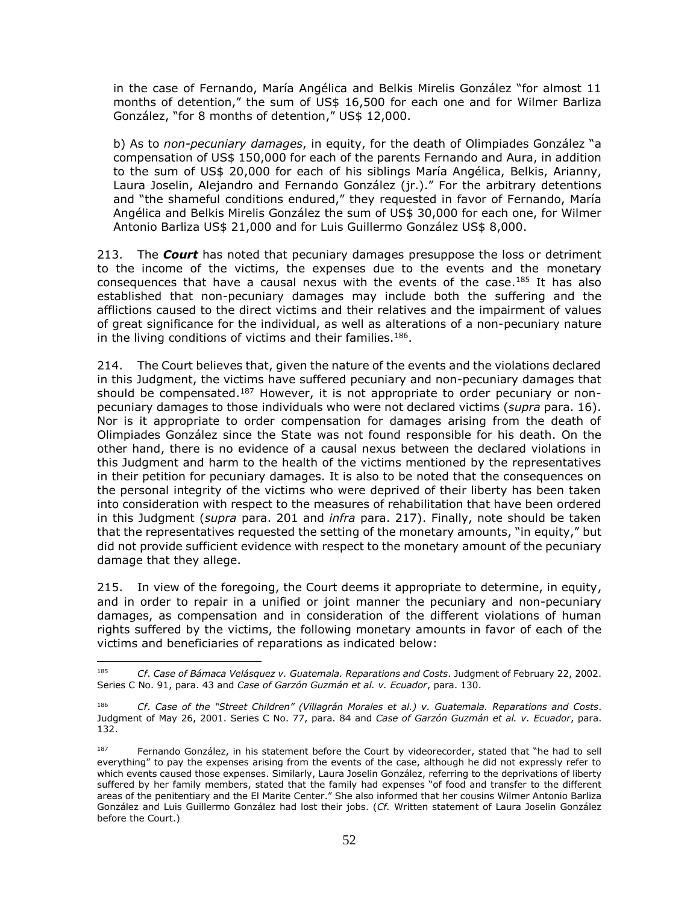in the case of Fernando, María Angélica and Belkis Mirelis González "for almost 11 months of detention," the sum of US\$ 16,500 for each one and for Wilmer Barliza González, "for 8 months of detention," US\$ 12,000.

b) As to *non-pecuniary damages*, in equity, for the death of Olimpiades González "a compensation of US\$ 150,000 for each of the parents Fernando and Aura, in addition to the sum of US\$ 20,000 for each of his siblings María Angélica, Belkis, Arianny, Laura Joselin, Alejandro and Fernando González (jr.)." For the arbitrary detentions and "the shameful conditions endured," they requested in favor of Fernando, María Angélica and Belkis Mirelis González the sum of US\$ 30,000 for each one, for Wilmer Antonio Barliza US\$ 21,000 and for Luis Guillermo González US\$ 8,000.

213. The *Court* has noted that pecuniary damages presuppose the loss or detriment to the income of the victims, the expenses due to the events and the monetary consequences that have a causal nexus with the events of the case. <sup>185</sup> It has also established that non-pecuniary damages may include both the suffering and the afflictions caused to the direct victims and their relatives and the impairment of values of great significance for the individual, as well as alterations of a non-pecuniary nature in the living conditions of victims and their families.<sup>186</sup>.

214. The Court believes that, given the nature of the events and the violations declared in this Judgment, the victims have suffered pecuniary and non-pecuniary damages that should be compensated.<sup>187</sup> However, it is not appropriate to order pecuniary or nonpecuniary damages to those individuals who were not declared victims (*supra* para. 16). Nor is it appropriate to order compensation for damages arising from the death of Olimpiades González since the State was not found responsible for his death. On the other hand, there is no evidence of a causal nexus between the declared violations in this Judgment and harm to the health of the victims mentioned by the representatives in their petition for pecuniary damages. It is also to be noted that the consequences on the personal integrity of the victims who were deprived of their liberty has been taken into consideration with respect to the measures of rehabilitation that have been ordered in this Judgment (*supra* para. 201 and *infra* para. 217). Finally, note should be taken that the representatives requested the setting of the monetary amounts, "in equity," but did not provide sufficient evidence with respect to the monetary amount of the pecuniary damage that they allege.

215. In view of the foregoing, the Court deems it appropriate to determine, in equity, and in order to repair in a unified or joint manner the pecuniary and non-pecuniary damages, as compensation and in consideration of the different violations of human rights suffered by the victims, the following monetary amounts in favor of each of the victims and beneficiaries of reparations as indicated below:

<sup>185</sup> *Cf*. *Case of Bámaca Velásquez v. Guatemala. Reparations and Costs*. Judgment of February 22, 2002. Series C No. 91, para. 43 and *Case of Garzón Guzmán et al. v. Ecuador*, para. 130.

<sup>186</sup> *Cf*. *Case of the "Street Children" (Villagrán Morales et al.) v. Guatemala. Reparations and Costs*. Judgment of May 26, 2001. Series C No. 77, para. 84 and *Case of Garzón Guzmán et al. v. Ecuador*, para. 132.

<sup>187</sup> Fernando González, in his statement before the Court by videorecorder, stated that "he had to sell everything" to pay the expenses arising from the events of the case, although he did not expressly refer to which events caused those expenses. Similarly, Laura Joselin González, referring to the deprivations of liberty suffered by her family members, stated that the family had expenses "of food and transfer to the different areas of the penitentiary and the El Marite Center." She also informed that her cousins Wilmer Antonio Barliza González and Luis Guillermo González had lost their jobs. (*Cf.* Written statement of Laura Joselin González before the Court.)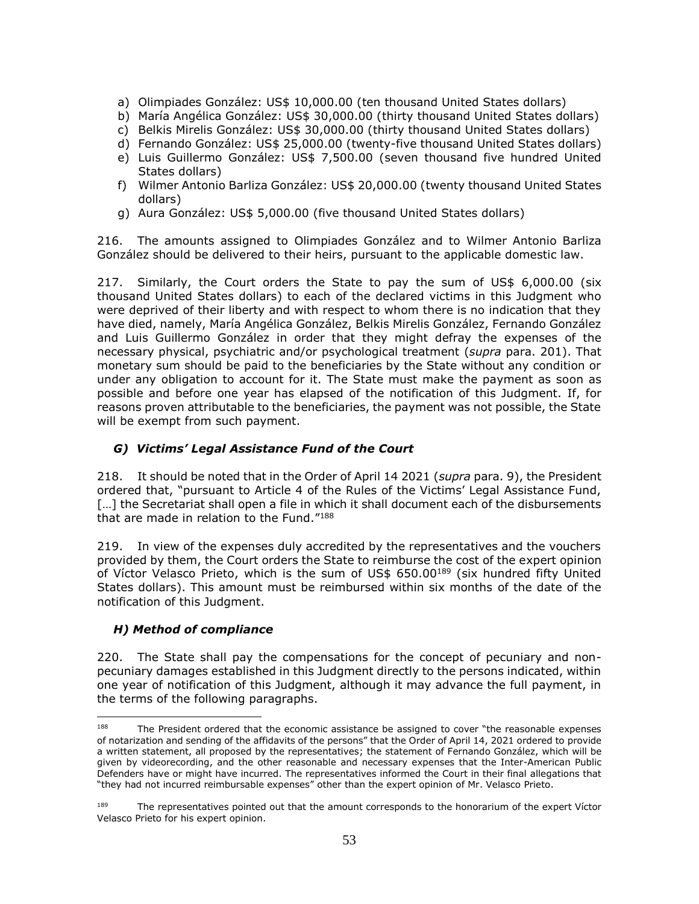- a) Olimpiades González: US\$ 10,000.00 (ten thousand United States dollars)
- b) María Angélica González: US\$ 30,000.00 (thirty thousand United States dollars)
- c) Belkis Mirelis González: US\$ 30,000.00 (thirty thousand United States dollars)
- d) Fernando González: US\$ 25,000.00 (twenty-five thousand United States dollars)
- e) Luis Guillermo González: US\$ 7,500.00 (seven thousand five hundred United States dollars)
- f) Wilmer Antonio Barliza González: US\$ 20,000.00 (twenty thousand United States dollars)
- g) Aura González: US\$ 5,000.00 (five thousand United States dollars)

216. The amounts assigned to Olimpiades González and to Wilmer Antonio Barliza González should be delivered to their heirs, pursuant to the applicable domestic law.

217. Similarly, the Court orders the State to pay the sum of US\$ 6,000.00 (six thousand United States dollars) to each of the declared victims in this Judgment who were deprived of their liberty and with respect to whom there is no indication that they have died, namely, María Angélica González, Belkis Mirelis González, Fernando González and Luis Guillermo González in order that they might defray the expenses of the necessary physical, psychiatric and/or psychological treatment (*supra* para. 201). That monetary sum should be paid to the beneficiaries by the State without any condition or under any obligation to account for it. The State must make the payment as soon as possible and before one year has elapsed of the notification of this Judgment. If, for reasons proven attributable to the beneficiaries, the payment was not possible, the State will be exempt from such payment.

# <span id="page-52-0"></span>*G) Victims' Legal Assistance Fund of the Court*

218. It should be noted that in the Order of April 14 2021 (*supra* para. 9), the President ordered that, "pursuant to Article 4 of the Rules of the Victims' Legal Assistance Fund, [...] the Secretariat shall open a file in which it shall document each of the disbursements that are made in relation to the Fund."<sup>188</sup>

219. In view of the expenses duly accredited by the representatives and the vouchers provided by them, the Court orders the State to reimburse the cost of the expert opinion of Víctor Velasco Prieto, which is the sum of US\$ 650.00<sup>189</sup> (six hundred fifty United States dollars). This amount must be reimbursed within six months of the date of the notification of this Judgment.

# <span id="page-52-1"></span>*H) Method of compliance*

220. The State shall pay the compensations for the concept of pecuniary and nonpecuniary damages established in this Judgment directly to the persons indicated, within one year of notification of this Judgment, although it may advance the full payment, in the terms of the following paragraphs.

<sup>188</sup> The President ordered that the economic assistance be assigned to cover "the reasonable expenses of notarization and sending of the affidavits of the persons" that the Order of April 14, 2021 ordered to provide a written statement, all proposed by the representatives; the statement of Fernando González, which will be given by videorecording, and the other reasonable and necessary expenses that the Inter-American Public Defenders have or might have incurred. The representatives informed the Court in their final allegations that "they had not incurred reimbursable expenses" other than the expert opinion of Mr. Velasco Prieto.

<sup>&</sup>lt;sup>189</sup> The representatives pointed out that the amount corresponds to the honorarium of the expert Víctor Velasco Prieto for his expert opinion.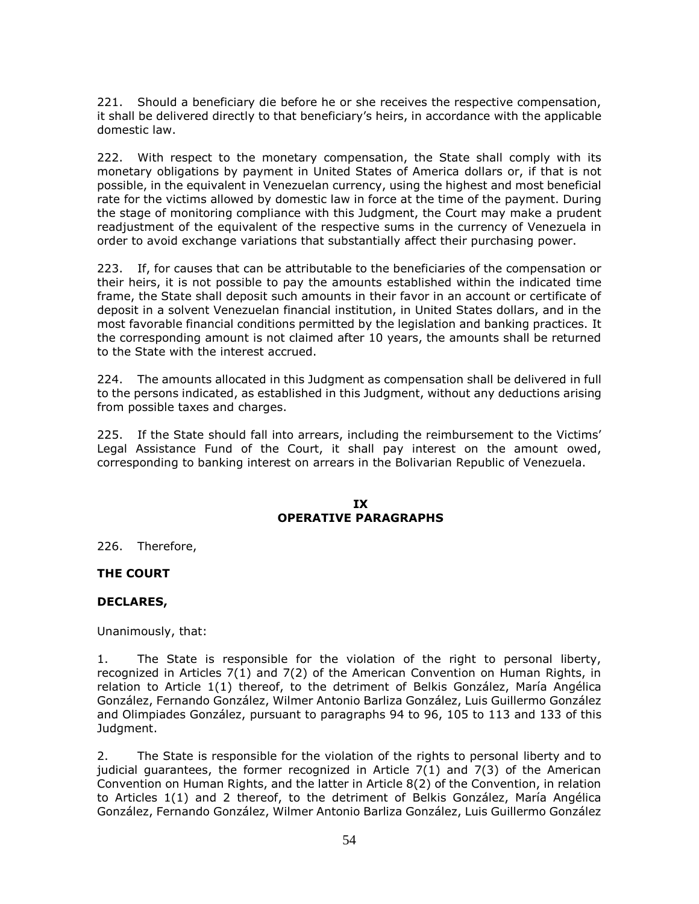221. Should a beneficiary die before he or she receives the respective compensation, it shall be delivered directly to that beneficiary's heirs, in accordance with the applicable domestic law.

222. With respect to the monetary compensation, the State shall comply with its monetary obligations by payment in United States of America dollars or, if that is not possible, in the equivalent in Venezuelan currency, using the highest and most beneficial rate for the victims allowed by domestic law in force at the time of the payment. During the stage of monitoring compliance with this Judgment, the Court may make a prudent readjustment of the equivalent of the respective sums in the currency of Venezuela in order to avoid exchange variations that substantially affect their purchasing power.

223. If, for causes that can be attributable to the beneficiaries of the compensation or their heirs, it is not possible to pay the amounts established within the indicated time frame, the State shall deposit such amounts in their favor in an account or certificate of deposit in a solvent Venezuelan financial institution, in United States dollars, and in the most favorable financial conditions permitted by the legislation and banking practices. It the corresponding amount is not claimed after 10 years, the amounts shall be returned to the State with the interest accrued.

224. The amounts allocated in this Judgment as compensation shall be delivered in full to the persons indicated, as established in this Judgment, without any deductions arising from possible taxes and charges.

225. If the State should fall into arrears, including the reimbursement to the Victims' Legal Assistance Fund of the Court, it shall pay interest on the amount owed, corresponding to banking interest on arrears in the Bolivarian Republic of Venezuela.

#### **IX OPERATIVE PARAGRAPHS**

<span id="page-53-1"></span><span id="page-53-0"></span>226. Therefore,

# **THE COURT**

#### **DECLARES,**

Unanimously, that:

1. The State is responsible for the violation of the right to personal liberty, recognized in Articles 7(1) and 7(2) of the American Convention on Human Rights, in relation to Article 1(1) thereof, to the detriment of Belkis González, María Angélica González, Fernando González, Wilmer Antonio Barliza González, Luis Guillermo González and Olimpiades González, pursuant to paragraphs 94 to 96, 105 to 113 and 133 of this Judgment.

2. The State is responsible for the violation of the rights to personal liberty and to judicial guarantees, the former recognized in Article 7(1) and 7(3) of the American Convention on Human Rights, and the latter in Article 8(2) of the Convention, in relation to Articles 1(1) and 2 thereof, to the detriment of Belkis González, María Angélica González, Fernando González, Wilmer Antonio Barliza González, Luis Guillermo González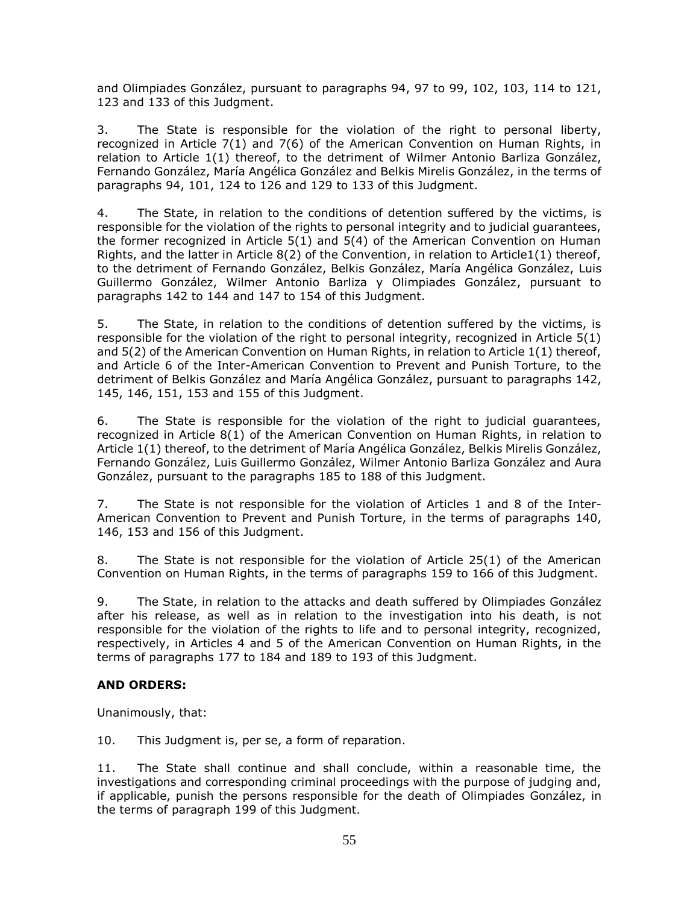and Olimpiades González, pursuant to paragraphs 94, 97 to 99, 102, 103, 114 to 121, 123 and 133 of this Judgment.

3. The State is responsible for the violation of the right to personal liberty, recognized in Article 7(1) and 7(6) of the American Convention on Human Rights, in relation to Article 1(1) thereof, to the detriment of Wilmer Antonio Barliza González, Fernando González, María Angélica González and Belkis Mirelis González, in the terms of paragraphs 94, 101, 124 to 126 and 129 to 133 of this Judgment.

4. The State, in relation to the conditions of detention suffered by the victims, is responsible for the violation of the rights to personal integrity and to judicial guarantees, the former recognized in Article 5(1) and 5(4) of the American Convention on Human Rights, and the latter in Article 8(2) of the Convention, in relation to Article1(1) thereof, to the detriment of Fernando González, Belkis González, María Angélica González, Luis Guillermo González, Wilmer Antonio Barliza y Olimpiades González, pursuant to paragraphs 142 to 144 and 147 to 154 of this Judgment.

5. The State, in relation to the conditions of detention suffered by the victims, is responsible for the violation of the right to personal integrity, recognized in Article 5(1) and 5(2) of the American Convention on Human Rights, in relation to Article 1(1) thereof, and Article 6 of the Inter-American Convention to Prevent and Punish Torture, to the detriment of Belkis González and María Angélica González, pursuant to paragraphs 142, 145, 146, 151, 153 and 155 of this Judgment.

6. The State is responsible for the violation of the right to judicial guarantees, recognized in Article 8(1) of the American Convention on Human Rights, in relation to Article 1(1) thereof, to the detriment of María Angélica González, Belkis Mirelis González, Fernando González, Luis Guillermo González, Wilmer Antonio Barliza González and Aura González, pursuant to the paragraphs 185 to 188 of this Judgment.

7. The State is not responsible for the violation of Articles 1 and 8 of the Inter-American Convention to Prevent and Punish Torture, in the terms of paragraphs 140, 146, 153 and 156 of this Judgment.

8. The State is not responsible for the violation of Article 25(1) of the American Convention on Human Rights, in the terms of paragraphs 159 to 166 of this Judgment.

9. The State, in relation to the attacks and death suffered by Olimpiades González after his release, as well as in relation to the investigation into his death, is not responsible for the violation of the rights to life and to personal integrity, recognized, respectively, in Articles 4 and 5 of the American Convention on Human Rights, in the terms of paragraphs 177 to 184 and 189 to 193 of this Judgment.

# **AND ORDERS:**

Unanimously, that:

10. This Judgment is, per se, a form of reparation.

11. The State shall continue and shall conclude, within a reasonable time, the investigations and corresponding criminal proceedings with the purpose of judging and, if applicable, punish the persons responsible for the death of Olimpiades González, in the terms of paragraph 199 of this Judgment.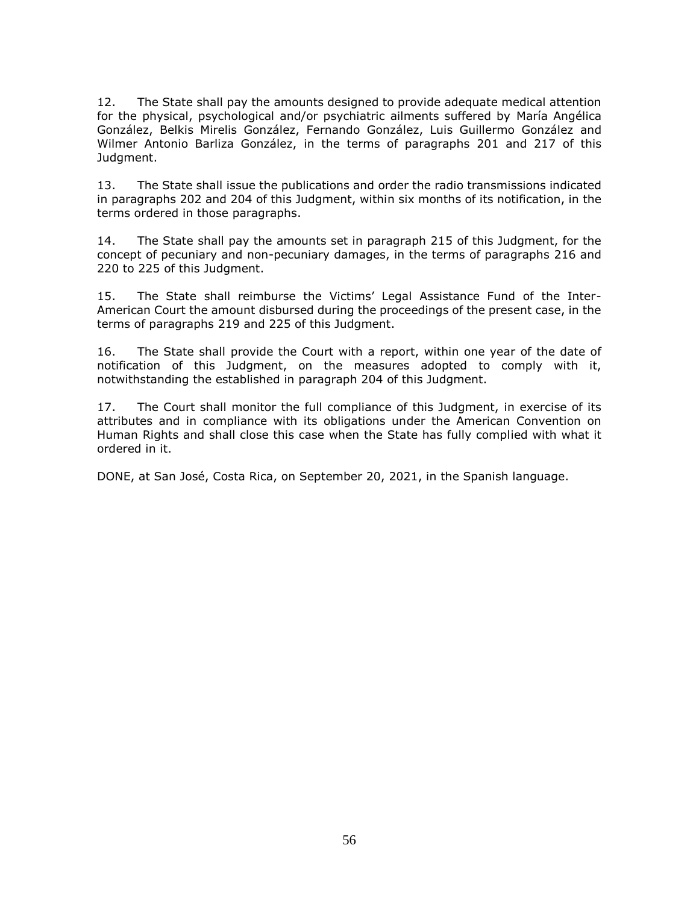12. The State shall pay the amounts designed to provide adequate medical attention for the physical, psychological and/or psychiatric ailments suffered by María Angélica González, Belkis Mirelis González, Fernando González, Luis Guillermo González and Wilmer Antonio Barliza González, in the terms of paragraphs 201 and 217 of this Judgment.

13. The State shall issue the publications and order the radio transmissions indicated in paragraphs 202 and 204 of this Judgment, within six months of its notification, in the terms ordered in those paragraphs.

14. The State shall pay the amounts set in paragraph 215 of this Judgment, for the concept of pecuniary and non-pecuniary damages, in the terms of paragraphs 216 and 220 to 225 of this Judgment.

15. The State shall reimburse the Victims' Legal Assistance Fund of the Inter-American Court the amount disbursed during the proceedings of the present case, in the terms of paragraphs 219 and 225 of this Judgment.

16. The State shall provide the Court with a report, within one year of the date of notification of this Judgment, on the measures adopted to comply with it, notwithstanding the established in paragraph 204 of this Judgment.

17. The Court shall monitor the full compliance of this Judgment, in exercise of its attributes and in compliance with its obligations under the American Convention on Human Rights and shall close this case when the State has fully complied with what it ordered in it.

DONE, at San José, Costa Rica, on September 20, 2021, in the Spanish language.